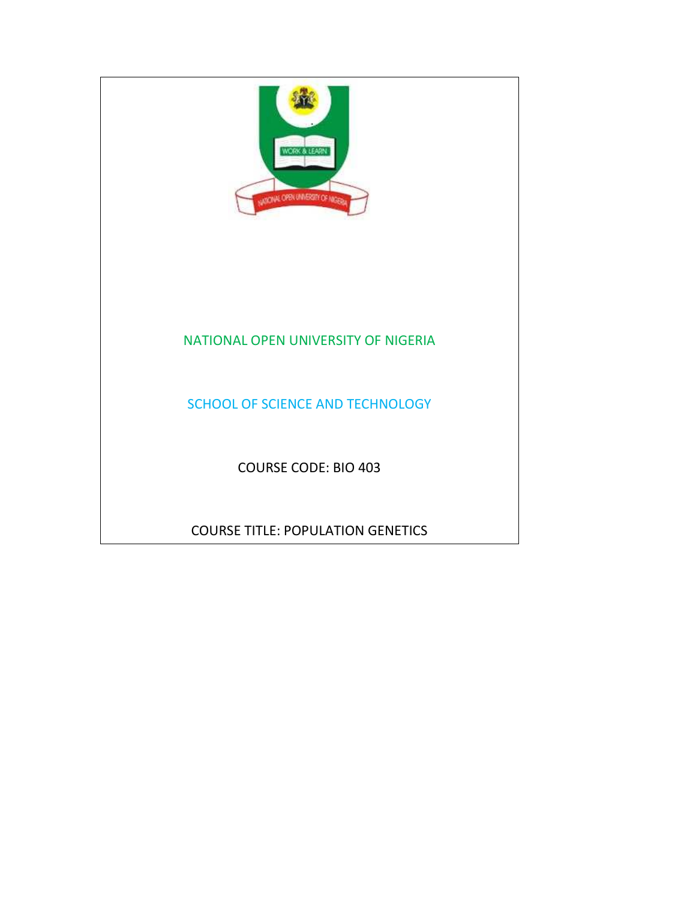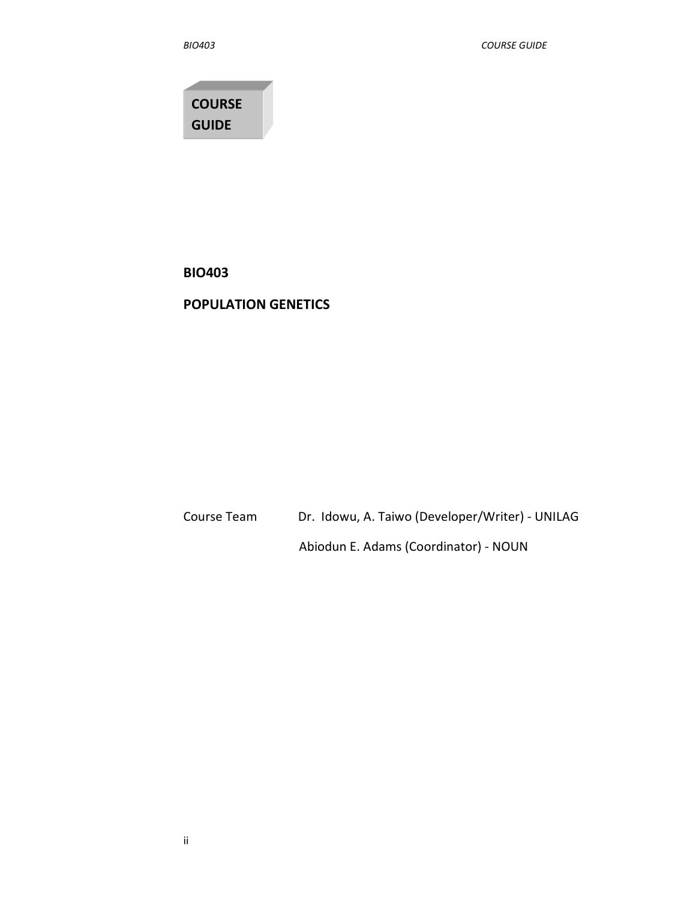*BIO403 COURSE GUIDE*

**COURSE GUIDE** 

**BIO403** 

#### **POPULATION GENETICS**

Course Team Dr. Idowu, A. Taiwo (Developer/Writer) - UNILAG

Abiodun E. Adams (Coordinator) - NOUN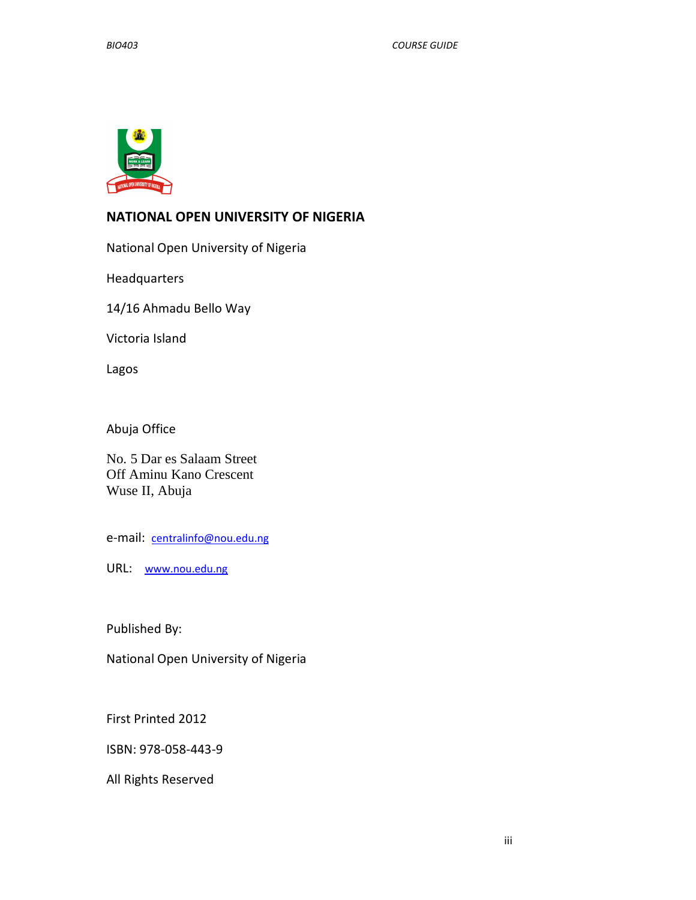

#### **NATIONAL OPEN UNIVERSITY OF NIGERIA**

National Open University of Nigeria

Headquarters

14/16 Ahmadu Bello Way

Victoria Island

Lagos

Abuja Office

No. 5 Dar es Salaam Street Off Aminu Kano Crescent Wuse II, Abuja

e-mail: centralinfo@nou.edu.ng

URL: www.nou.edu.ng

Published By:

National Open University of Nigeria

First Printed 2012

ISBN: 978-058-443-9

All Rights Reserved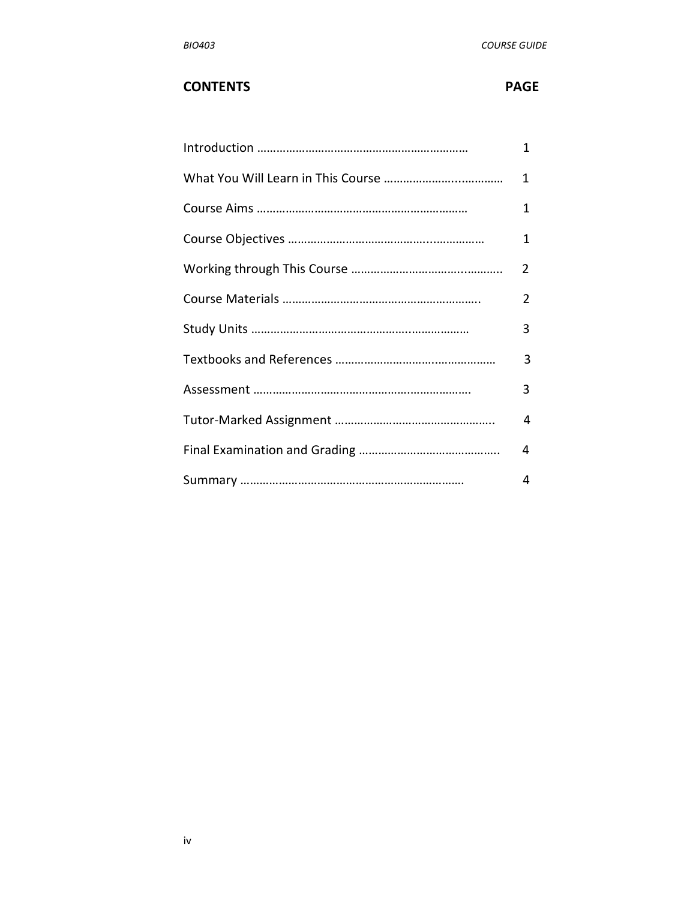#### **CONTENTS PAGE**

| 1            |
|--------------|
| $\mathbf{1}$ |
| 1            |
| 1            |
| 2            |
| 2            |
| 3            |
| 3            |
| 3            |
| 4            |
| 4            |
| 4            |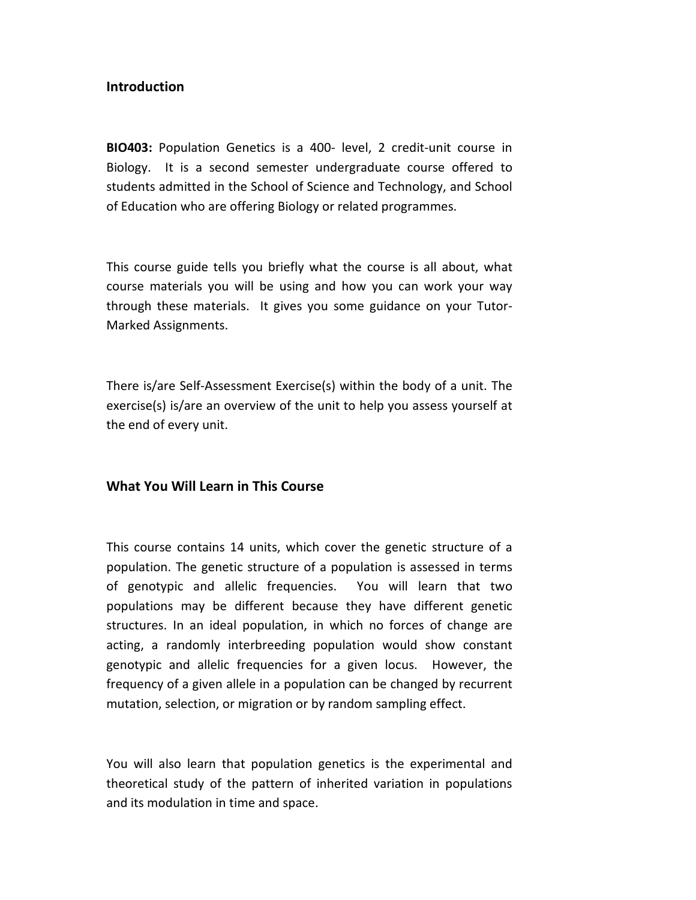#### **Introduction**

**BIO403:** Population Genetics is a 400- level, 2 credit-unit course in Biology. It is a second semester undergraduate course offered to students admitted in the School of Science and Technology, and School of Education who are offering Biology or related programmes.

This course guide tells you briefly what the course is all about, what course materials you will be using and how you can work your way through these materials. It gives you some guidance on your Tutor-Marked Assignments.

There is/are Self-Assessment Exercise(s) within the body of a unit. The exercise(s) is/are an overview of the unit to help you assess yourself at the end of every unit.

#### **What You Will Learn in This Course**

This course contains 14 units, which cover the genetic structure of a population. The genetic structure of a population is assessed in terms of genotypic and allelic frequencies. You will learn that two populations may be different because they have different genetic structures. In an ideal population, in which no forces of change are acting, a randomly interbreeding population would show constant genotypic and allelic frequencies for a given locus. However, the frequency of a given allele in a population can be changed by recurrent mutation, selection, or migration or by random sampling effect.

You will also learn that population genetics is the experimental and theoretical study of the pattern of inherited variation in populations and its modulation in time and space.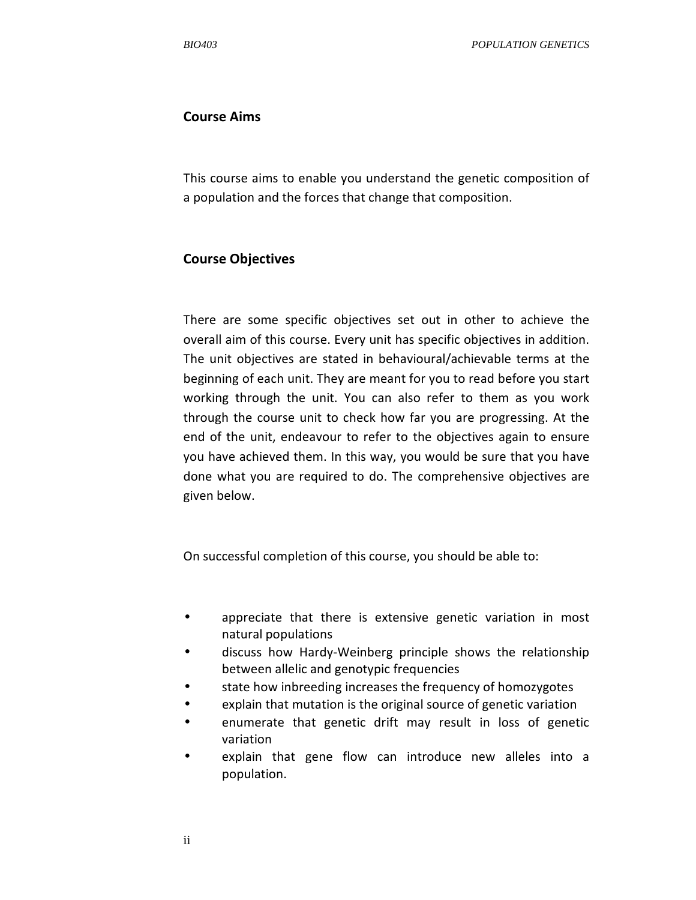#### **Course Aims**

This course aims to enable you understand the genetic composition of a population and the forces that change that composition.

#### **Course Objectives**

There are some specific objectives set out in other to achieve the overall aim of this course. Every unit has specific objectives in addition. The unit objectives are stated in behavioural/achievable terms at the beginning of each unit. They are meant for you to read before you start working through the unit. You can also refer to them as you work through the course unit to check how far you are progressing. At the end of the unit, endeavour to refer to the objectives again to ensure you have achieved them. In this way, you would be sure that you have done what you are required to do. The comprehensive objectives are given below.

On successful completion of this course, you should be able to:

- appreciate that there is extensive genetic variation in most natural populations
- discuss how Hardy-Weinberg principle shows the relationship between allelic and genotypic frequencies
- state how inbreeding increases the frequency of homozygotes
- explain that mutation is the original source of genetic variation
- enumerate that genetic drift may result in loss of genetic variation
- explain that gene flow can introduce new alleles into a population.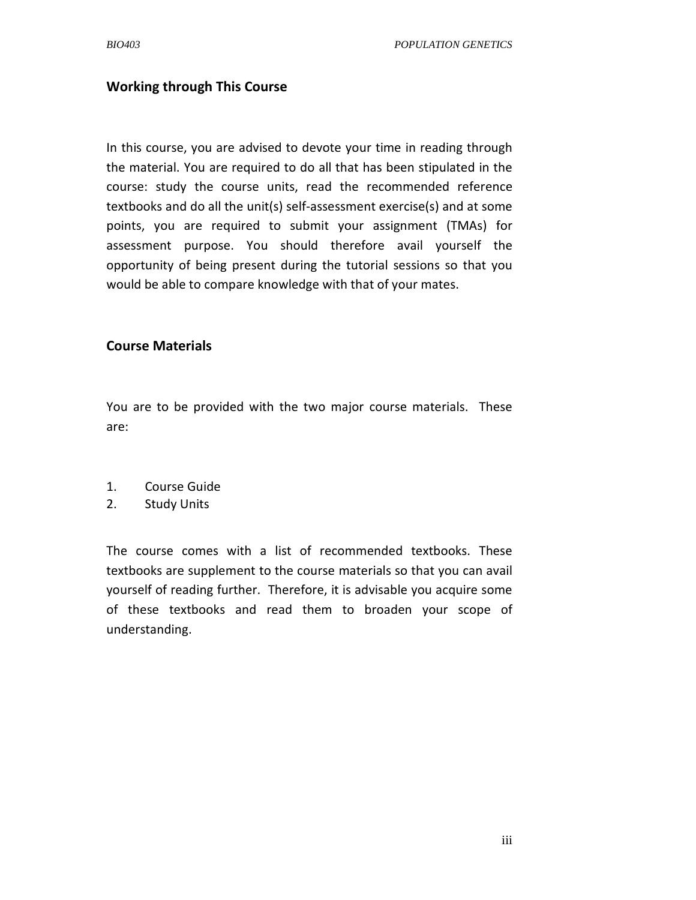#### **Working through This Course**

In this course, you are advised to devote your time in reading through the material. You are required to do all that has been stipulated in the course: study the course units, read the recommended reference textbooks and do all the unit(s) self-assessment exercise(s) and at some points, you are required to submit your assignment (TMAs) for assessment purpose. You should therefore avail yourself the opportunity of being present during the tutorial sessions so that you would be able to compare knowledge with that of your mates.

#### **Course Materials**

You are to be provided with the two major course materials. These are:

- 1. Course Guide
- 2. Study Units

The course comes with a list of recommended textbooks. These textbooks are supplement to the course materials so that you can avail yourself of reading further. Therefore, it is advisable you acquire some of these textbooks and read them to broaden your scope of understanding.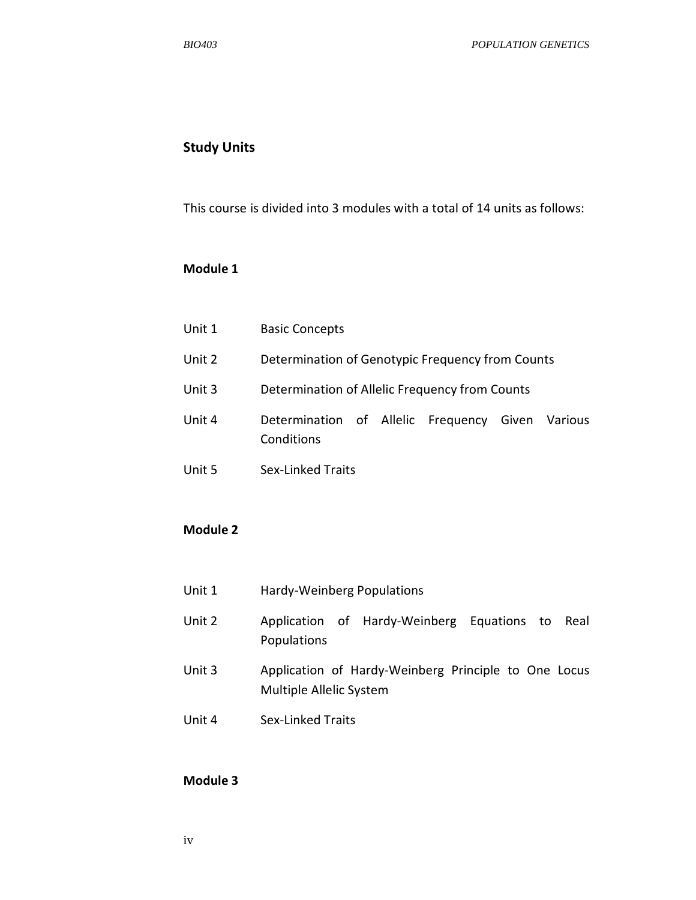#### **Study Units**

This course is divided into 3 modules with a total of 14 units as follows:

#### **Module 1**

| Unit 1 | <b>Basic Concepts</b>                                          |  |  |  |  |  |  |
|--------|----------------------------------------------------------------|--|--|--|--|--|--|
| Unit 2 | Determination of Genotypic Frequency from Counts               |  |  |  |  |  |  |
| Unit 3 | Determination of Allelic Frequency from Counts                 |  |  |  |  |  |  |
| Unit 4 | Determination of Allelic Frequency Given Various<br>Conditions |  |  |  |  |  |  |
| Unit 5 | <b>Sex-Linked Traits</b>                                       |  |  |  |  |  |  |

#### **Module 2**

- Unit 1 Hardy-Weinberg Populations
- Unit 2 Application of Hardy-Weinberg Equations to Real Populations
- Unit 3 Application of Hardy-Weinberg Principle to One Locus Multiple Allelic System
- Unit 4 Sex-Linked Traits

#### **Module 3**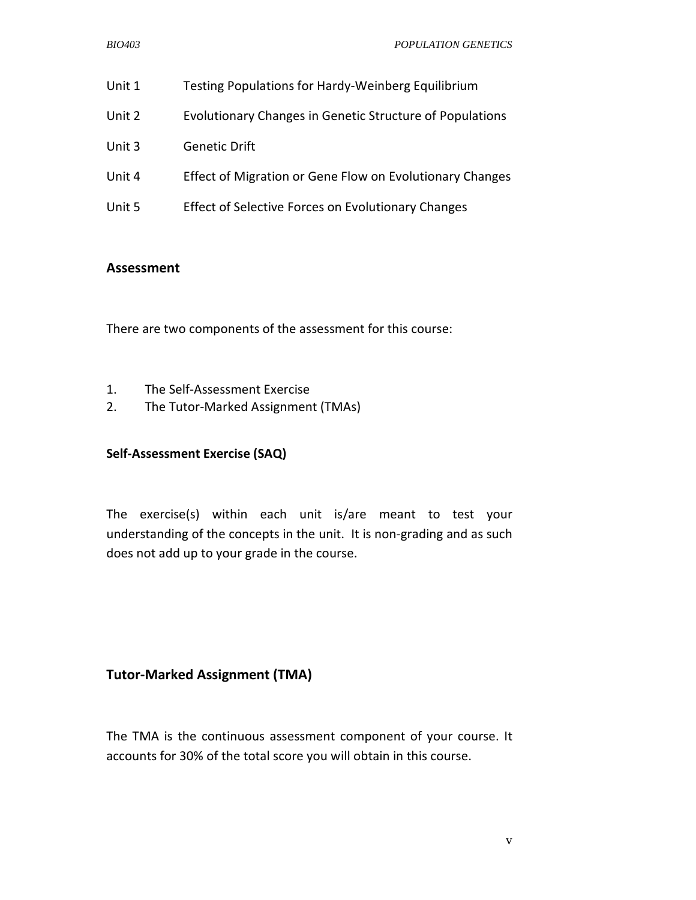- Unit 1 Testing Populations for Hardy-Weinberg Equilibrium
- Unit 2 Evolutionary Changes in Genetic Structure of Populations
- Unit 3 Genetic Drift
- Unit 4 Effect of Migration or Gene Flow on Evolutionary Changes
- Unit 5 Effect of Selective Forces on Evolutionary Changes

#### **Assessment**

There are two components of the assessment for this course:

- 1. The Self-Assessment Exercise
- 2. The Tutor-Marked Assignment (TMAs)

#### **Self-Assessment Exercise (SAQ)**

The exercise(s) within each unit is/are meant to test your understanding of the concepts in the unit. It is non-grading and as such does not add up to your grade in the course.

#### **Tutor-Marked Assignment (TMA)**

The TMA is the continuous assessment component of your course. It accounts for 30% of the total score you will obtain in this course.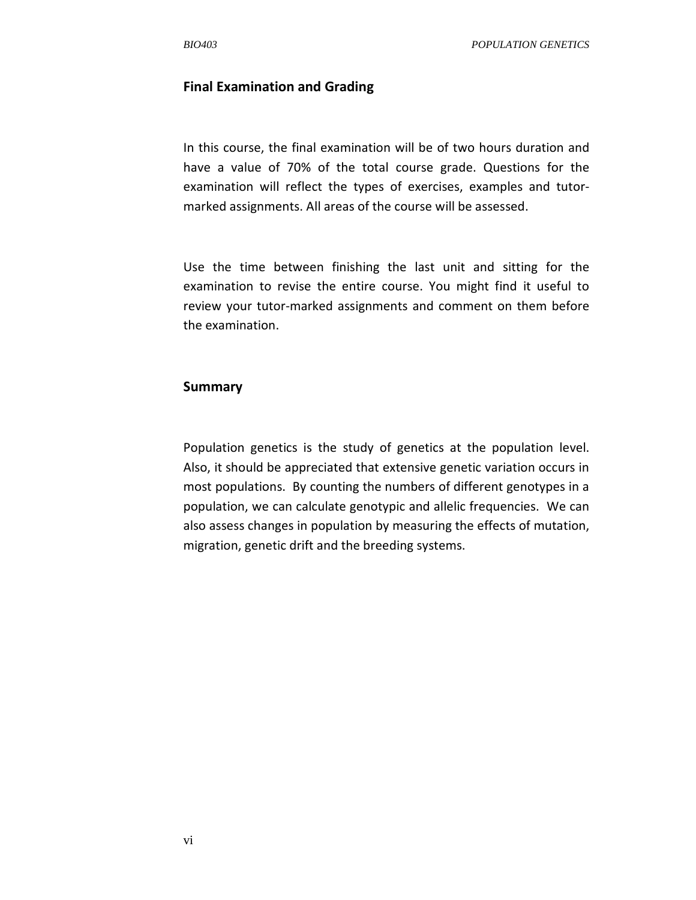#### **Final Examination and Grading**

In this course, the final examination will be of two hours duration and have a value of 70% of the total course grade. Questions for the examination will reflect the types of exercises, examples and tutormarked assignments. All areas of the course will be assessed.

Use the time between finishing the last unit and sitting for the examination to revise the entire course. You might find it useful to review your tutor-marked assignments and comment on them before the examination.

#### **Summary**

Population genetics is the study of genetics at the population level. Also, it should be appreciated that extensive genetic variation occurs in most populations. By counting the numbers of different genotypes in a population, we can calculate genotypic and allelic frequencies. We can also assess changes in population by measuring the effects of mutation, migration, genetic drift and the breeding systems.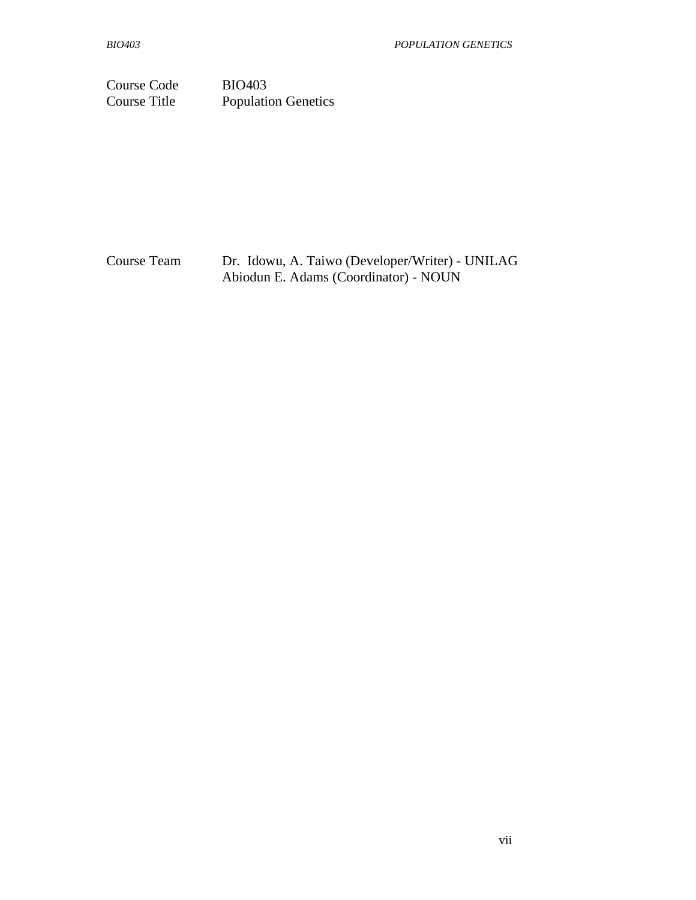Course Code BIO403<br>Course Title Population

Population Genetics

Course Team Dr. Idowu, A. Taiwo (Developer/Writer) - UNILAG Abiodun E. Adams (Coordinator) - NOUN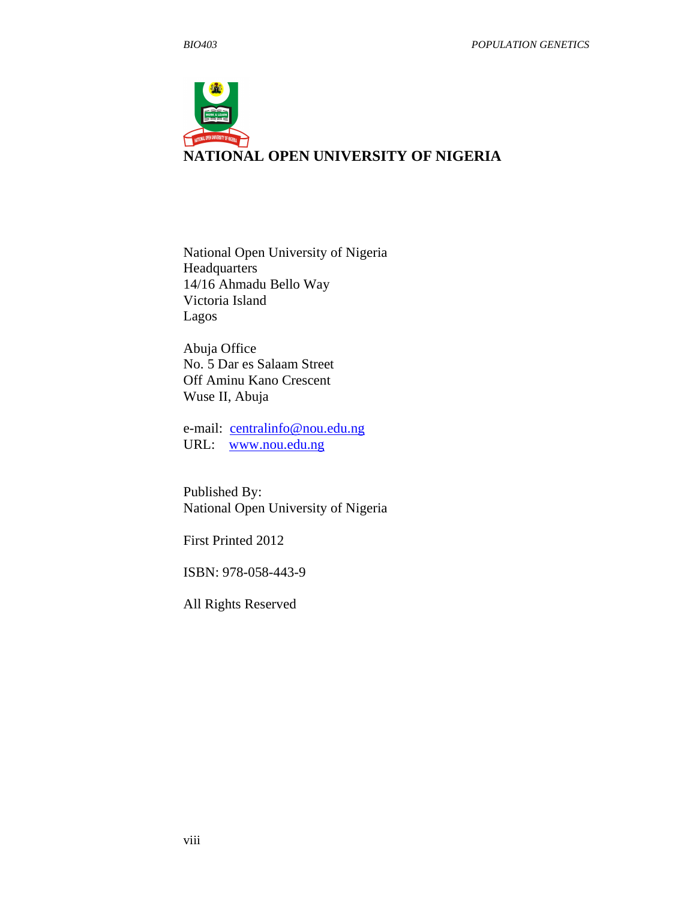

National Open University of Nigeria **Headquarters** 14/16 Ahmadu Bello Way Victoria Island Lagos

Abuja Office No. 5 Dar es Salaam Street Off Aminu Kano Crescent Wuse II, Abuja

e-mail: centralinfo@nou.edu.ng URL: www.nou.edu.ng

Published By: National Open University of Nigeria

First Printed 2012

ISBN: 978-058-443-9

All Rights Reserved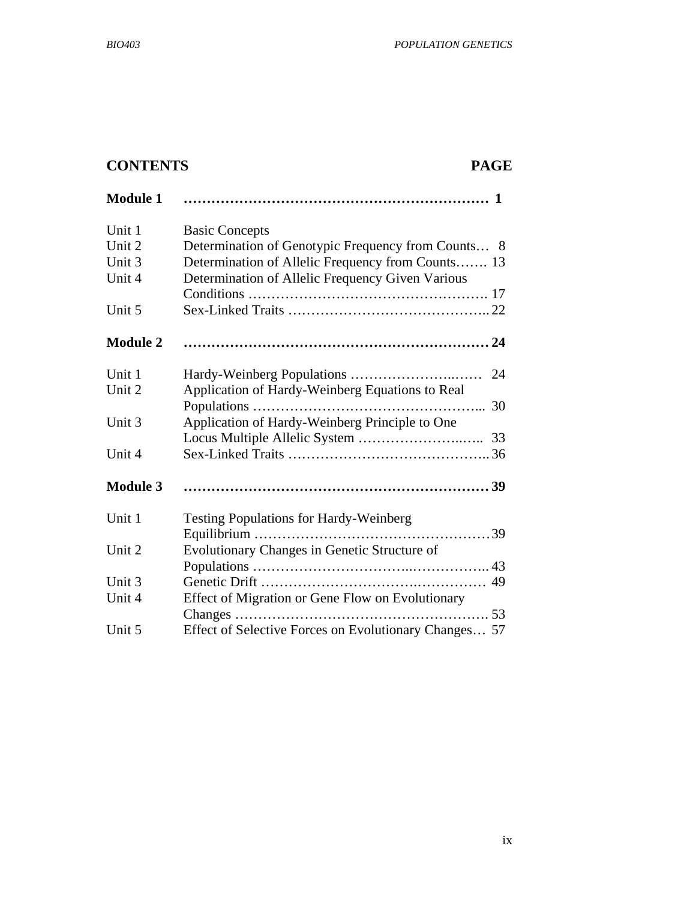# **CONTENTS PAGE**

| <b>Module 1</b> |                                                       |
|-----------------|-------------------------------------------------------|
| Unit 1          | <b>Basic Concepts</b>                                 |
| Unit 2          | Determination of Genotypic Frequency from Counts 8    |
| Unit 3          | Determination of Allelic Frequency from Counts 13     |
| Unit 4          | Determination of Allelic Frequency Given Various      |
|                 |                                                       |
| Unit 5          |                                                       |
|                 |                                                       |
| <b>Module 2</b> |                                                       |
| Unit 1          |                                                       |
| Unit 2          | Application of Hardy-Weinberg Equations to Real       |
|                 | 30                                                    |
| Unit 3          | Application of Hardy-Weinberg Principle to One        |
|                 |                                                       |
| Unit 4          |                                                       |
| <b>Module 3</b> |                                                       |
| Unit 1          | <b>Testing Populations for Hardy-Weinberg</b>         |
|                 |                                                       |
| Unit 2          | Evolutionary Changes in Genetic Structure of          |
|                 |                                                       |
| Unit 3          |                                                       |
| Unit 4          | Effect of Migration or Gene Flow on Evolutionary      |
|                 |                                                       |
| Unit 5          | Effect of Selective Forces on Evolutionary Changes 57 |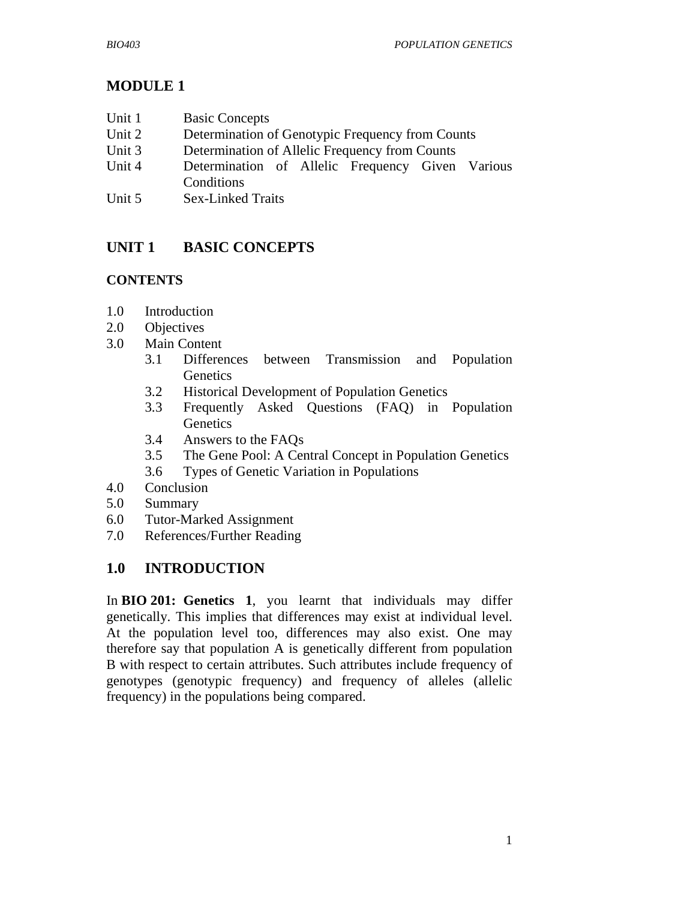# **MODULE 1**

| Unit 1 | <b>Basic Concepts</b>                            |  |  |  |  |  |  |
|--------|--------------------------------------------------|--|--|--|--|--|--|
| Unit 2 | Determination of Genotypic Frequency from Counts |  |  |  |  |  |  |
| Unit 3 | Determination of Allelic Frequency from Counts   |  |  |  |  |  |  |
| Unit 4 | Determination of Allelic Frequency Given Various |  |  |  |  |  |  |
|        | Conditions                                       |  |  |  |  |  |  |
| Unit 5 | <b>Sex-Linked Traits</b>                         |  |  |  |  |  |  |

# **UNIT 1 BASIC CONCEPTS**

# **CONTENTS**

- 1.0 Introduction
- 2.0 Objectives
- 3.0 Main Content
	- 3.1 Differences between Transmission and Population **Genetics**
	- 3.2 Historical Development of Population Genetics
	- 3.3 Frequently Asked Questions (FAQ) in Population **Genetics**
	- 3.4 Answers to the FAQs
	- 3.5 The Gene Pool: A Central Concept in Population Genetics
	- 3.6 Types of Genetic Variation in Populations
- 4.0 Conclusion
- 5.0 Summary
- 6.0 Tutor-Marked Assignment
- 7.0 References/Further Reading

# **1.0 INTRODUCTION**

In **BIO 201: Genetics 1**, you learnt that individuals may differ genetically. This implies that differences may exist at individual level. At the population level too, differences may also exist. One may therefore say that population A is genetically different from population B with respect to certain attributes. Such attributes include frequency of genotypes (genotypic frequency) and frequency of alleles (allelic frequency) in the populations being compared.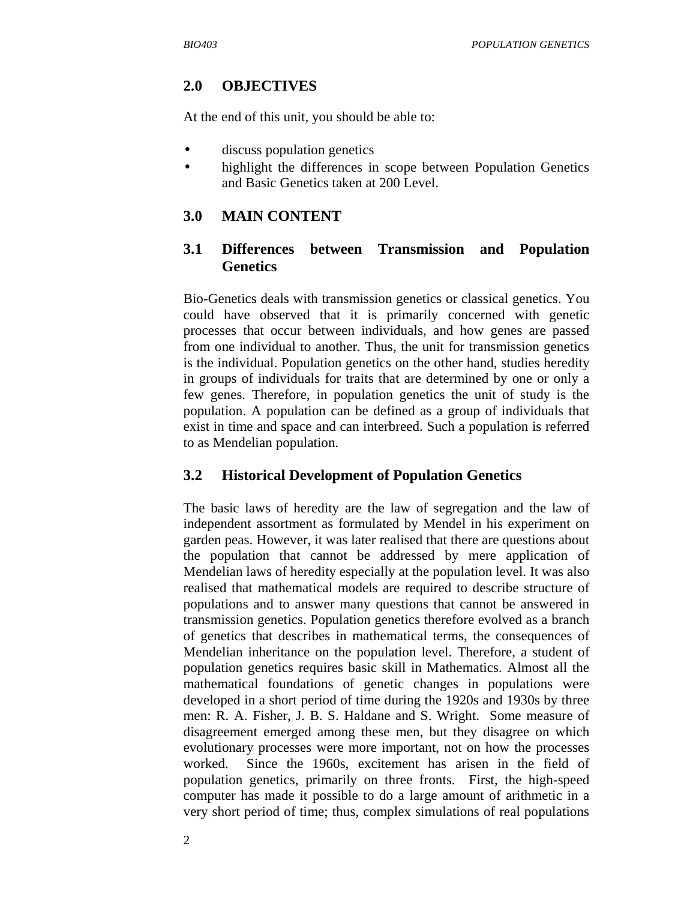## **2.0 OBJECTIVES**

At the end of this unit, you should be able to:

- discuss population genetics
- highlight the differences in scope between Population Genetics and Basic Genetics taken at 200 Level.

## **3.0 MAIN CONTENT**

#### **3.1 Differences between Transmission and Population Genetics**

Bio-Genetics deals with transmission genetics or classical genetics. You could have observed that it is primarily concerned with genetic processes that occur between individuals, and how genes are passed from one individual to another. Thus, the unit for transmission genetics is the individual. Population genetics on the other hand, studies heredity in groups of individuals for traits that are determined by one or only a few genes. Therefore, in population genetics the unit of study is the population. A population can be defined as a group of individuals that exist in time and space and can interbreed. Such a population is referred to as Mendelian population.

## **3.2 Historical Development of Population Genetics**

The basic laws of heredity are the law of segregation and the law of independent assortment as formulated by Mendel in his experiment on garden peas. However, it was later realised that there are questions about the population that cannot be addressed by mere application of Mendelian laws of heredity especially at the population level. It was also realised that mathematical models are required to describe structure of populations and to answer many questions that cannot be answered in transmission genetics. Population genetics therefore evolved as a branch of genetics that describes in mathematical terms, the consequences of Mendelian inheritance on the population level. Therefore, a student of population genetics requires basic skill in Mathematics. Almost all the mathematical foundations of genetic changes in populations were developed in a short period of time during the 1920s and 1930s by three men: R. A. Fisher, J. B. S. Haldane and S. Wright. Some measure of disagreement emerged among these men, but they disagree on which evolutionary processes were more important, not on how the processes worked. Since the 1960s, excitement has arisen in the field of population genetics, primarily on three fronts. First, the high-speed computer has made it possible to do a large amount of arithmetic in a very short period of time; thus, complex simulations of real populations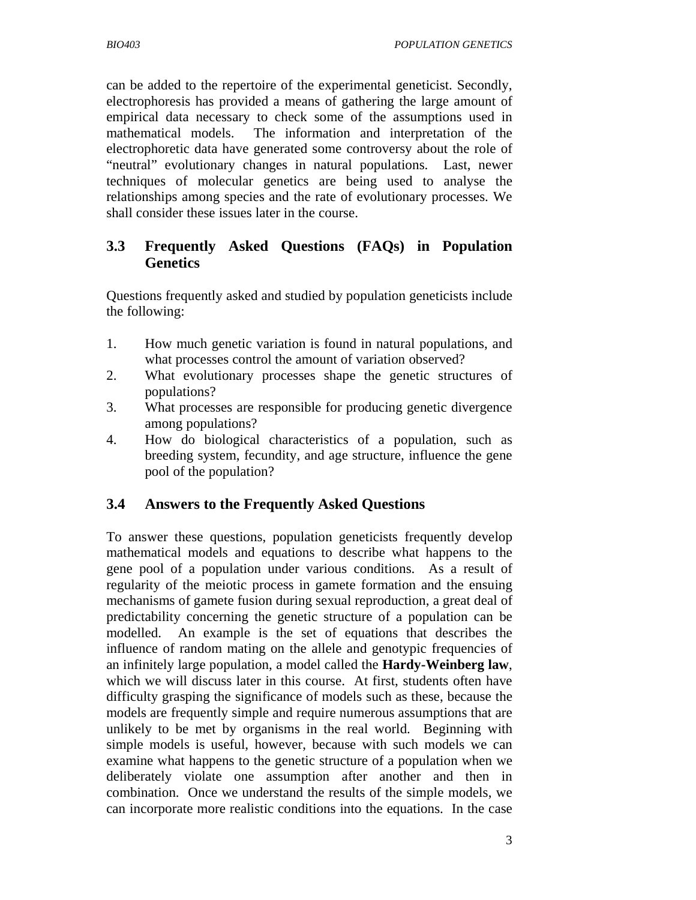can be added to the repertoire of the experimental geneticist. Secondly, electrophoresis has provided a means of gathering the large amount of empirical data necessary to check some of the assumptions used in mathematical models. The information and interpretation of the electrophoretic data have generated some controversy about the role of "neutral" evolutionary changes in natural populations. Last, newer techniques of molecular genetics are being used to analyse the relationships among species and the rate of evolutionary processes. We shall consider these issues later in the course.

# **3.3 Frequently Asked Questions (FAQs) in Population Genetics**

Questions frequently asked and studied by population geneticists include the following:

- 1. How much genetic variation is found in natural populations, and what processes control the amount of variation observed?
- 2. What evolutionary processes shape the genetic structures of populations?
- 3. What processes are responsible for producing genetic divergence among populations?
- 4. How do biological characteristics of a population, such as breeding system, fecundity, and age structure, influence the gene pool of the population?

## **3.4 Answers to the Frequently Asked Questions**

To answer these questions, population geneticists frequently develop mathematical models and equations to describe what happens to the gene pool of a population under various conditions. As a result of regularity of the meiotic process in gamete formation and the ensuing mechanisms of gamete fusion during sexual reproduction, a great deal of predictability concerning the genetic structure of a population can be modelled. An example is the set of equations that describes the influence of random mating on the allele and genotypic frequencies of an infinitely large population, a model called the **Hardy-Weinberg law**, which we will discuss later in this course. At first, students often have difficulty grasping the significance of models such as these, because the models are frequently simple and require numerous assumptions that are unlikely to be met by organisms in the real world. Beginning with simple models is useful, however, because with such models we can examine what happens to the genetic structure of a population when we deliberately violate one assumption after another and then in combination. Once we understand the results of the simple models, we can incorporate more realistic conditions into the equations. In the case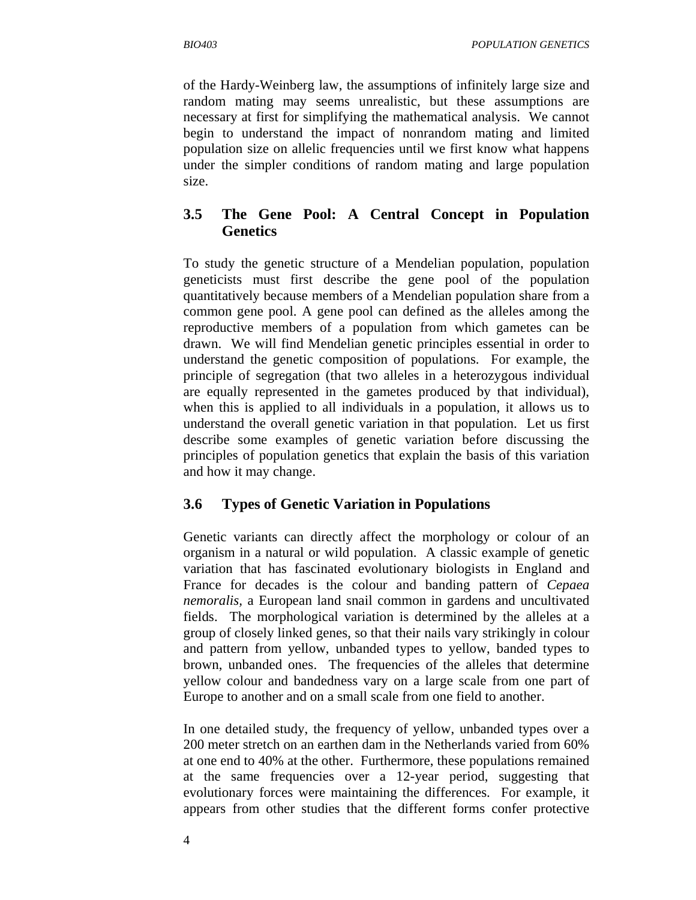of the Hardy-Weinberg law, the assumptions of infinitely large size and random mating may seems unrealistic, but these assumptions are necessary at first for simplifying the mathematical analysis. We cannot begin to understand the impact of nonrandom mating and limited population size on allelic frequencies until we first know what happens under the simpler conditions of random mating and large population size.

# **3.5 The Gene Pool: A Central Concept in Population Genetics**

To study the genetic structure of a Mendelian population, population geneticists must first describe the gene pool of the population quantitatively because members of a Mendelian population share from a common gene pool. A gene pool can defined as the alleles among the reproductive members of a population from which gametes can be drawn. We will find Mendelian genetic principles essential in order to understand the genetic composition of populations. For example, the principle of segregation (that two alleles in a heterozygous individual are equally represented in the gametes produced by that individual), when this is applied to all individuals in a population, it allows us to understand the overall genetic variation in that population. Let us first describe some examples of genetic variation before discussing the principles of population genetics that explain the basis of this variation and how it may change.

# **3.6 Types of Genetic Variation in Populations**

Genetic variants can directly affect the morphology or colour of an organism in a natural or wild population. A classic example of genetic variation that has fascinated evolutionary biologists in England and France for decades is the colour and banding pattern of *Cepaea nemoralis,* a European land snail common in gardens and uncultivated fields. The morphological variation is determined by the alleles at a group of closely linked genes, so that their nails vary strikingly in colour and pattern from yellow, unbanded types to yellow, banded types to brown, unbanded ones. The frequencies of the alleles that determine yellow colour and bandedness vary on a large scale from one part of Europe to another and on a small scale from one field to another.

In one detailed study, the frequency of yellow, unbanded types over a 200 meter stretch on an earthen dam in the Netherlands varied from 60% at one end to 40% at the other. Furthermore, these populations remained at the same frequencies over a 12-year period, suggesting that evolutionary forces were maintaining the differences. For example, it appears from other studies that the different forms confer protective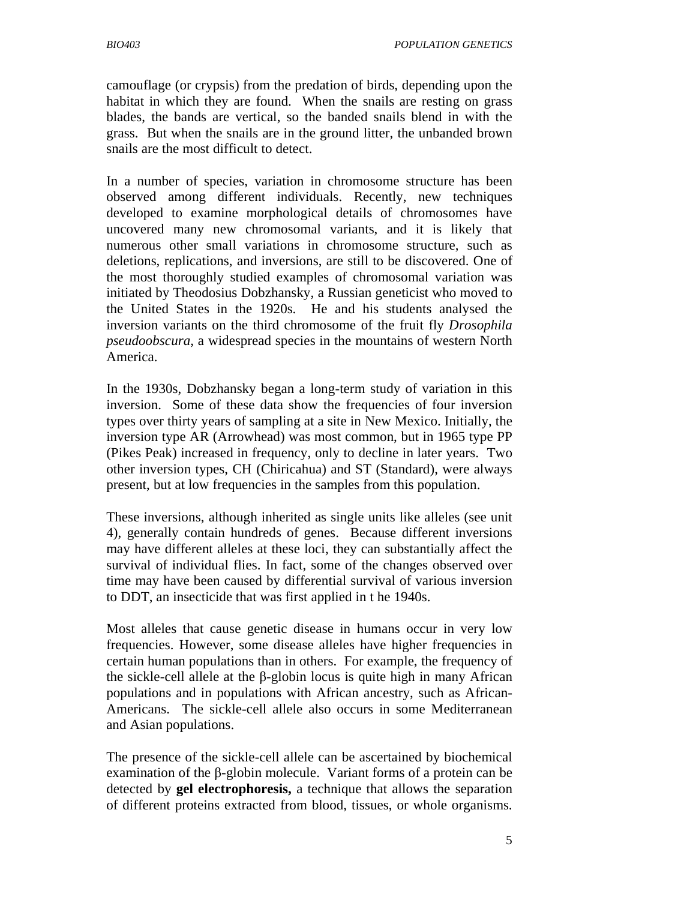camouflage (or crypsis) from the predation of birds, depending upon the habitat in which they are found. When the snails are resting on grass blades, the bands are vertical, so the banded snails blend in with the grass. But when the snails are in the ground litter, the unbanded brown snails are the most difficult to detect.

In a number of species, variation in chromosome structure has been observed among different individuals. Recently, new techniques developed to examine morphological details of chromosomes have uncovered many new chromosomal variants, and it is likely that numerous other small variations in chromosome structure, such as deletions, replications, and inversions, are still to be discovered. One of the most thoroughly studied examples of chromosomal variation was initiated by Theodosius Dobzhansky, a Russian geneticist who moved to the United States in the 1920s. He and his students analysed the inversion variants on the third chromosome of the fruit fly *Drosophila pseudoobscura*, a widespread species in the mountains of western North America.

In the 1930s, Dobzhansky began a long-term study of variation in this inversion. Some of these data show the frequencies of four inversion types over thirty years of sampling at a site in New Mexico. Initially, the inversion type AR (Arrowhead) was most common, but in 1965 type PP (Pikes Peak) increased in frequency, only to decline in later years. Two other inversion types, CH (Chiricahua) and ST (Standard), were always present, but at low frequencies in the samples from this population.

These inversions, although inherited as single units like alleles (see unit 4), generally contain hundreds of genes. Because different inversions may have different alleles at these loci, they can substantially affect the survival of individual flies. In fact, some of the changes observed over time may have been caused by differential survival of various inversion to DDT, an insecticide that was first applied in t he 1940s.

Most alleles that cause genetic disease in humans occur in very low frequencies. However, some disease alleles have higher frequencies in certain human populations than in others. For example, the frequency of the sickle-cell allele at the β-globin locus is quite high in many African populations and in populations with African ancestry, such as African-Americans. The sickle-cell allele also occurs in some Mediterranean and Asian populations.

The presence of the sickle-cell allele can be ascertained by biochemical examination of the β-globin molecule. Variant forms of a protein can be detected by **gel electrophoresis,** a technique that allows the separation of different proteins extracted from blood, tissues, or whole organisms.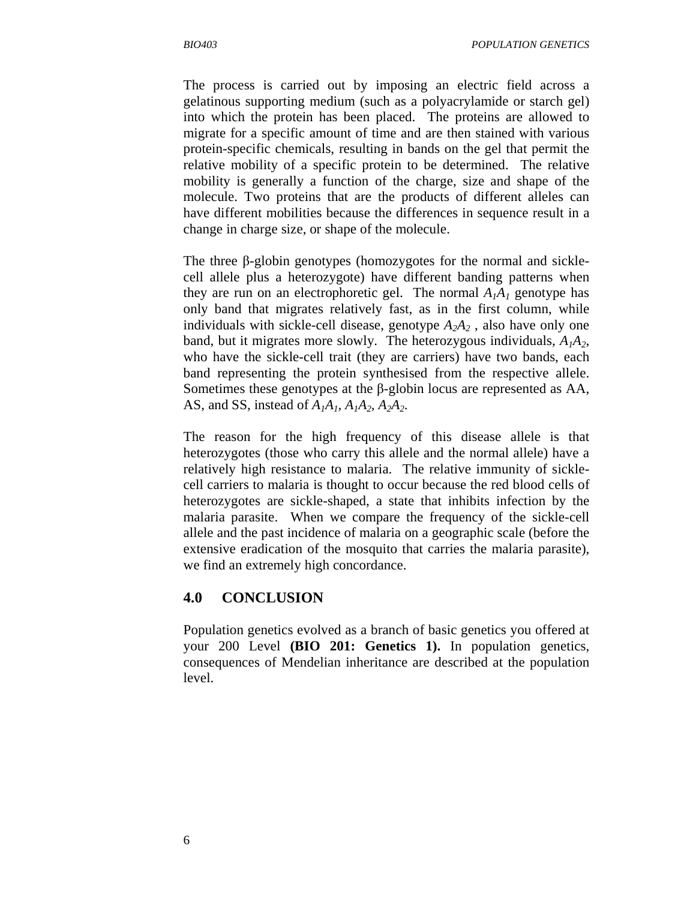The process is carried out by imposing an electric field across a gelatinous supporting medium (such as a polyacrylamide or starch gel) into which the protein has been placed. The proteins are allowed to migrate for a specific amount of time and are then stained with various protein-specific chemicals, resulting in bands on the gel that permit the relative mobility of a specific protein to be determined. The relative mobility is generally a function of the charge, size and shape of the molecule. Two proteins that are the products of different alleles can have different mobilities because the differences in sequence result in a change in charge size, or shape of the molecule.

The three β-globin genotypes (homozygotes for the normal and sicklecell allele plus a heterozygote) have different banding patterns when they are run on an electrophoretic gel. The normal  $A_1A_1$  genotype has only band that migrates relatively fast, as in the first column, while individuals with sickle-cell disease, genotype  $A_2A_2$ , also have only one band, but it migrates more slowly. The heterozygous individuals,  $A_1A_2$ , who have the sickle-cell trait (they are carriers) have two bands, each band representing the protein synthesised from the respective allele. Sometimes these genotypes at the β-globin locus are represented as AA, AS, and SS, instead of  $A_1A_1$ ,  $A_1A_2$ ,  $A_2A_2$ .

The reason for the high frequency of this disease allele is that heterozygotes (those who carry this allele and the normal allele) have a relatively high resistance to malaria. The relative immunity of sicklecell carriers to malaria is thought to occur because the red blood cells of heterozygotes are sickle-shaped, a state that inhibits infection by the malaria parasite. When we compare the frequency of the sickle-cell allele and the past incidence of malaria on a geographic scale (before the extensive eradication of the mosquito that carries the malaria parasite), we find an extremely high concordance.

#### **4.0 CONCLUSION**

Population genetics evolved as a branch of basic genetics you offered at your 200 Level **(BIO 201: Genetics 1).** In population genetics, consequences of Mendelian inheritance are described at the population level.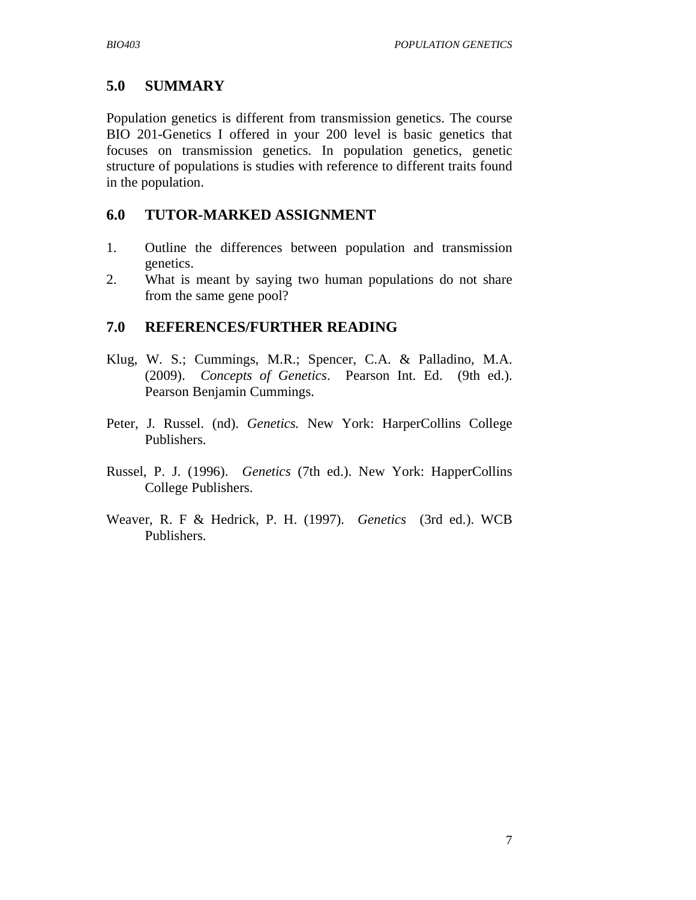# **5.0 SUMMARY**

Population genetics is different from transmission genetics. The course BIO 201-Genetics I offered in your 200 level is basic genetics that focuses on transmission genetics. In population genetics, genetic structure of populations is studies with reference to different traits found in the population.

## **6.0 TUTOR-MARKED ASSIGNMENT**

- 1. Outline the differences between population and transmission genetics.
- 2. What is meant by saying two human populations do not share from the same gene pool?

# **7.0 REFERENCES/FURTHER READING**

- Klug, W. S.; Cummings, M.R.; Spencer, C.A. & Palladino, M.A. (2009). *Concepts of Genetics*. Pearson Int. Ed. (9th ed.). Pearson Benjamin Cummings.
- Peter, J. Russel. (nd). *Genetics.* New York: HarperCollins College Publishers.
- Russel, P. J. (1996). *Genetics* (7th ed.). New York: HapperCollins College Publishers.
- Weaver, R. F & Hedrick, P. H. (1997). *Genetics* (3rd ed.). WCB Publishers.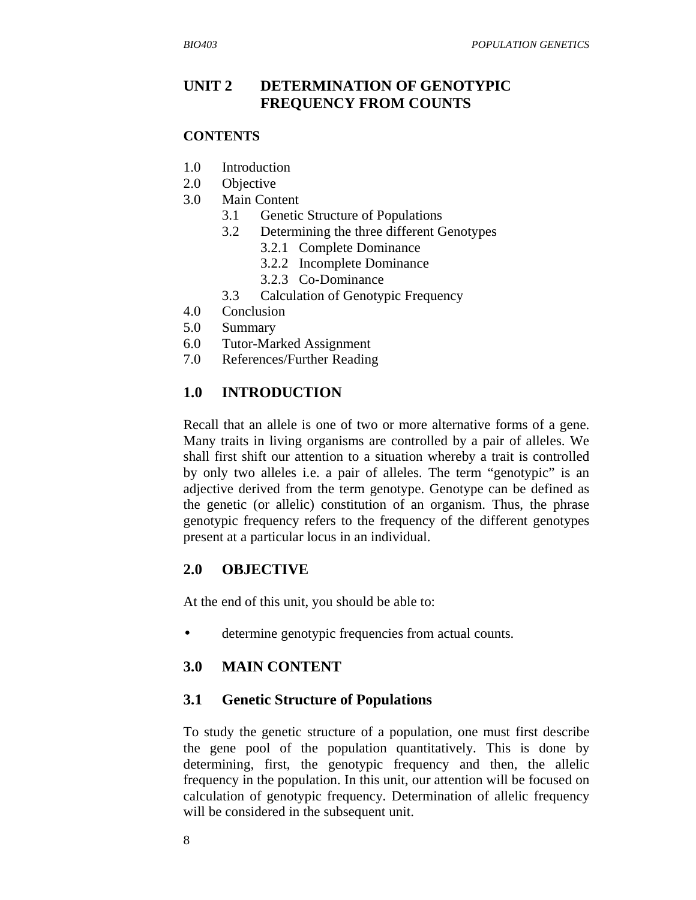# **UNIT 2 DETERMINATION OF GENOTYPIC FREQUENCY FROM COUNTS**

#### **CONTENTS**

- 1.0 Introduction
- 2.0 Objective
- 3.0 Main Content
	- 3.1 Genetic Structure of Populations
	- 3.2 Determining the three different Genotypes
		- 3.2.1 Complete Dominance
		- 3.2.2 Incomplete Dominance
		- 3.2.3 Co-Dominance
	- 3.3 Calculation of Genotypic Frequency
- 4.0 Conclusion
- 5.0 Summary
- 6.0 Tutor-Marked Assignment
- 7.0 References/Further Reading

# **1.0 INTRODUCTION**

Recall that an allele is one of two or more alternative forms of a gene. Many traits in living organisms are controlled by a pair of alleles. We shall first shift our attention to a situation whereby a trait is controlled by only two alleles i.e. a pair of alleles. The term "genotypic" is an adjective derived from the term genotype. Genotype can be defined as the genetic (or allelic) constitution of an organism. Thus, the phrase genotypic frequency refers to the frequency of the different genotypes present at a particular locus in an individual.

#### **2.0 OBJECTIVE**

At the end of this unit, you should be able to:

• determine genotypic frequencies from actual counts.

## **3.0 MAIN CONTENT**

#### **3.1 Genetic Structure of Populations**

To study the genetic structure of a population, one must first describe the gene pool of the population quantitatively. This is done by determining, first, the genotypic frequency and then, the allelic frequency in the population. In this unit, our attention will be focused on calculation of genotypic frequency. Determination of allelic frequency will be considered in the subsequent unit.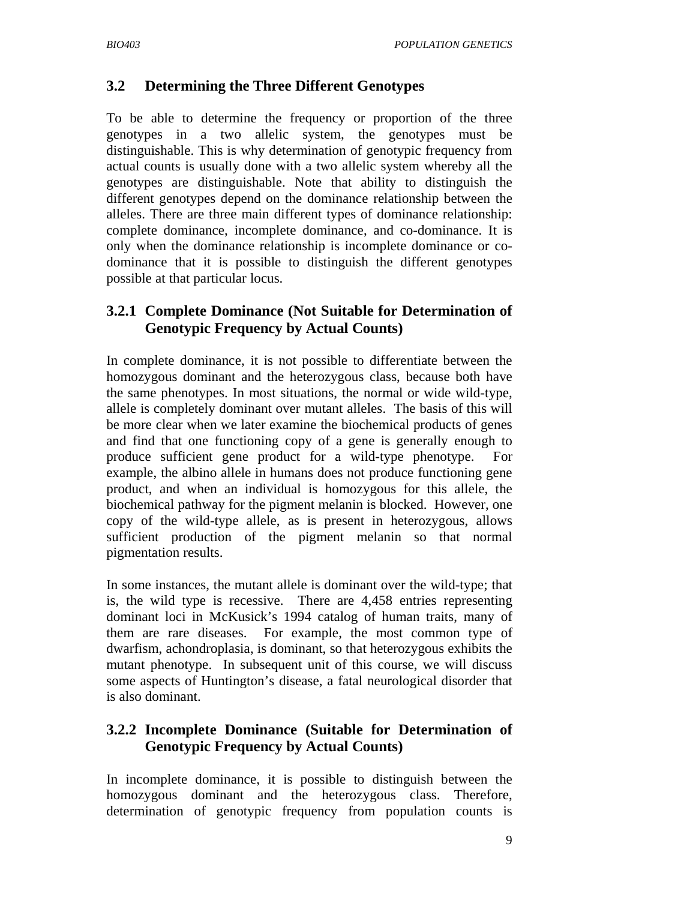# **3.2 Determining the Three Different Genotypes**

To be able to determine the frequency or proportion of the three genotypes in a two allelic system, the genotypes must be distinguishable. This is why determination of genotypic frequency from actual counts is usually done with a two allelic system whereby all the genotypes are distinguishable. Note that ability to distinguish the different genotypes depend on the dominance relationship between the alleles. There are three main different types of dominance relationship: complete dominance, incomplete dominance, and co-dominance. It is only when the dominance relationship is incomplete dominance or codominance that it is possible to distinguish the different genotypes possible at that particular locus.

# **3.2.1 Complete Dominance (Not Suitable for Determination of Genotypic Frequency by Actual Counts)**

In complete dominance, it is not possible to differentiate between the homozygous dominant and the heterozygous class, because both have the same phenotypes. In most situations, the normal or wide wild-type, allele is completely dominant over mutant alleles. The basis of this will be more clear when we later examine the biochemical products of genes and find that one functioning copy of a gene is generally enough to produce sufficient gene product for a wild-type phenotype. For example, the albino allele in humans does not produce functioning gene product, and when an individual is homozygous for this allele, the biochemical pathway for the pigment melanin is blocked. However, one copy of the wild-type allele, as is present in heterozygous, allows sufficient production of the pigment melanin so that normal pigmentation results.

In some instances, the mutant allele is dominant over the wild-type; that is, the wild type is recessive. There are 4,458 entries representing dominant loci in McKusick's 1994 catalog of human traits, many of them are rare diseases. For example, the most common type of dwarfism, achondroplasia, is dominant, so that heterozygous exhibits the mutant phenotype. In subsequent unit of this course, we will discuss some aspects of Huntington's disease, a fatal neurological disorder that is also dominant.

# **3.2.2 Incomplete Dominance (Suitable for Determination of Genotypic Frequency by Actual Counts)**

In incomplete dominance, it is possible to distinguish between the homozygous dominant and the heterozygous class. Therefore, determination of genotypic frequency from population counts is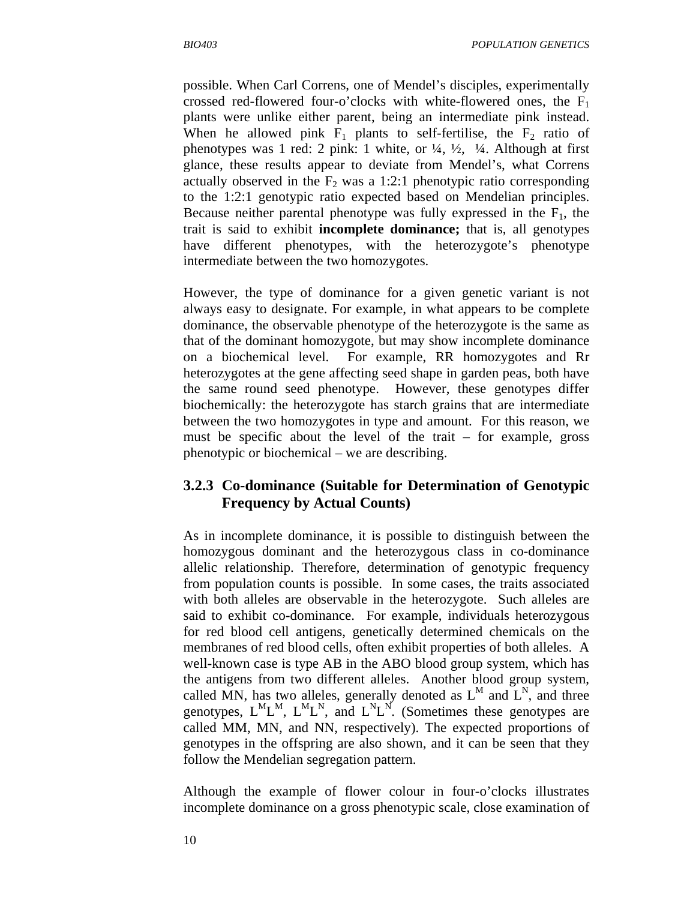possible. When Carl Correns, one of Mendel's disciples, experimentally crossed red-flowered four-o'clocks with white-flowered ones, the  $F_1$ plants were unlike either parent, being an intermediate pink instead. When he allowed pink  $F_1$  plants to self-fertilise, the  $F_2$  ratio of phenotypes was 1 red: 2 pink: 1 white, or  $\frac{1}{4}$ ,  $\frac{1}{2}$ ,  $\frac{1}{4}$ . Although at first glance, these results appear to deviate from Mendel's, what Correns actually observed in the  $F_2$  was a 1:2:1 phenotypic ratio corresponding to the 1:2:1 genotypic ratio expected based on Mendelian principles. Because neither parental phenotype was fully expressed in the  $F_1$ , the trait is said to exhibit **incomplete dominance;** that is, all genotypes have different phenotypes, with the heterozygote's phenotype intermediate between the two homozygotes.

However, the type of dominance for a given genetic variant is not always easy to designate. For example, in what appears to be complete dominance, the observable phenotype of the heterozygote is the same as that of the dominant homozygote, but may show incomplete dominance on a biochemical level. For example, RR homozygotes and Rr heterozygotes at the gene affecting seed shape in garden peas, both have the same round seed phenotype. However, these genotypes differ biochemically: the heterozygote has starch grains that are intermediate between the two homozygotes in type and amount. For this reason, we must be specific about the level of the trait – for example, gross phenotypic or biochemical – we are describing.

## **3.2.3 Co-dominance (Suitable for Determination of Genotypic Frequency by Actual Counts)**

As in incomplete dominance, it is possible to distinguish between the homozygous dominant and the heterozygous class in co-dominance allelic relationship. Therefore, determination of genotypic frequency from population counts is possible. In some cases, the traits associated with both alleles are observable in the heterozygote. Such alleles are said to exhibit co-dominance. For example, individuals heterozygous for red blood cell antigens, genetically determined chemicals on the membranes of red blood cells, often exhibit properties of both alleles. A well-known case is type AB in the ABO blood group system, which has the antigens from two different alleles. Another blood group system, called MN, has two alleles, generally denoted as  $L^M$  and  $L^N$ , and three genotypes,  $L^M L^M$ ,  $L^M L^N$ , and  $L^N L^N$ . (Sometimes these genotypes are called MM, MN, and NN, respectively). The expected proportions of genotypes in the offspring are also shown, and it can be seen that they follow the Mendelian segregation pattern.

Although the example of flower colour in four-o'clocks illustrates incomplete dominance on a gross phenotypic scale, close examination of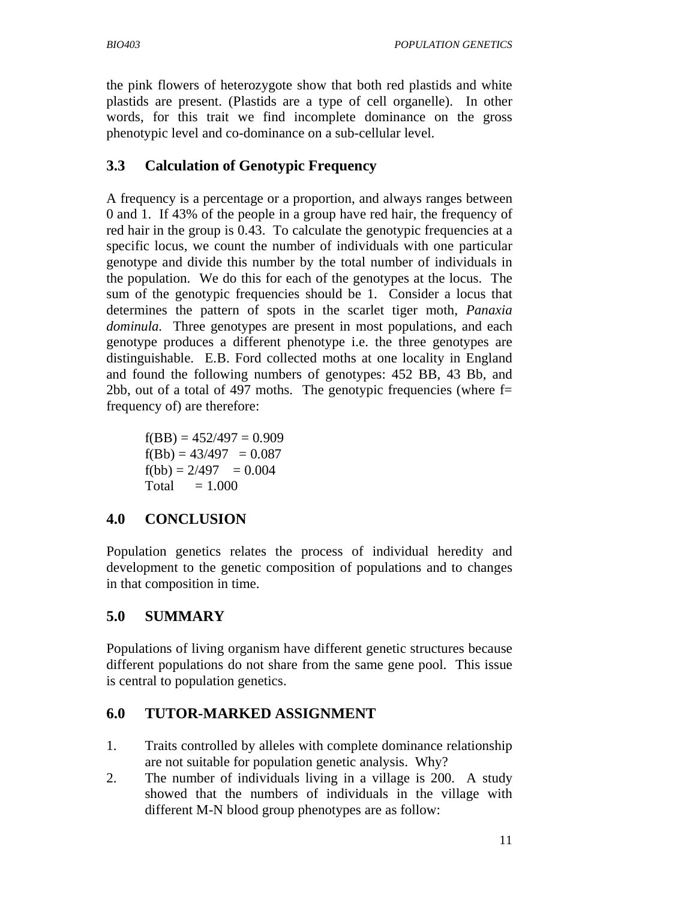the pink flowers of heterozygote show that both red plastids and white plastids are present. (Plastids are a type of cell organelle). In other words, for this trait we find incomplete dominance on the gross phenotypic level and co-dominance on a sub-cellular level.

# **3.3 Calculation of Genotypic Frequency**

A frequency is a percentage or a proportion, and always ranges between 0 and 1. If 43% of the people in a group have red hair, the frequency of red hair in the group is 0.43. To calculate the genotypic frequencies at a specific locus, we count the number of individuals with one particular genotype and divide this number by the total number of individuals in the population. We do this for each of the genotypes at the locus. The sum of the genotypic frequencies should be 1. Consider a locus that determines the pattern of spots in the scarlet tiger moth, *Panaxia dominula.* Three genotypes are present in most populations, and each genotype produces a different phenotype i.e. the three genotypes are distinguishable. E.B. Ford collected moths at one locality in England and found the following numbers of genotypes: 452 BB, 43 Bb, and 2bb, out of a total of 497 moths. The genotypic frequencies (where f= frequency of) are therefore:

 $f(BB) = 452/497 = 0.909$  $f(Bb) = 43/497 = 0.087$  $f(bb) = 2/497 = 0.004$  $Total = 1.000$ 

## **4.0 CONCLUSION**

Population genetics relates the process of individual heredity and development to the genetic composition of populations and to changes in that composition in time.

## **5.0 SUMMARY**

Populations of living organism have different genetic structures because different populations do not share from the same gene pool. This issue is central to population genetics.

# **6.0 TUTOR-MARKED ASSIGNMENT**

- 1. Traits controlled by alleles with complete dominance relationship are not suitable for population genetic analysis. Why?
- 2. The number of individuals living in a village is 200. A study showed that the numbers of individuals in the village with different M-N blood group phenotypes are as follow: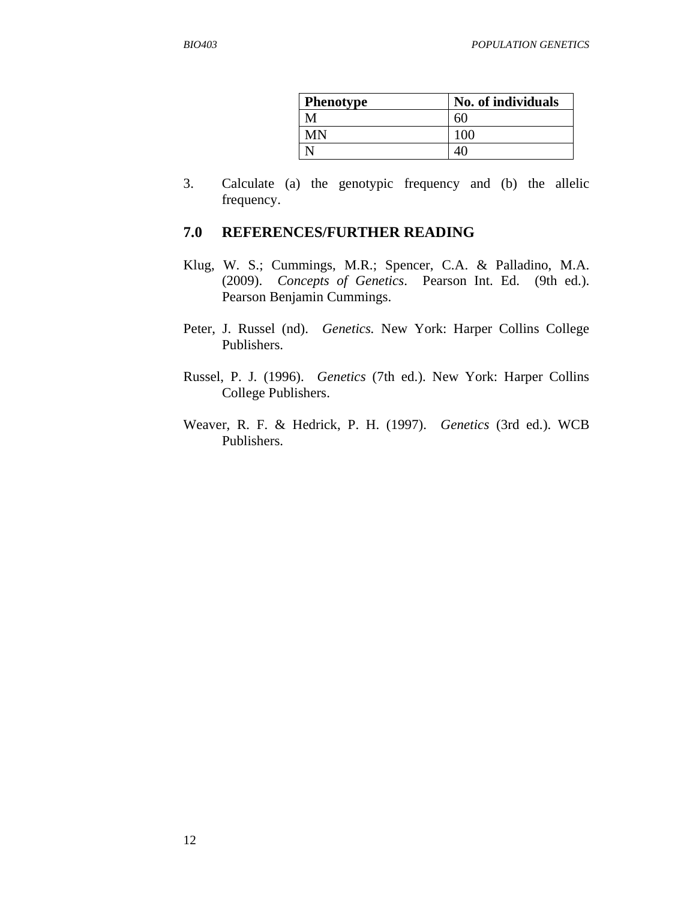| <b>Phenotype</b> | No. of individuals |  |  |  |  |
|------------------|--------------------|--|--|--|--|
| M                | 61                 |  |  |  |  |
| MN               | 100                |  |  |  |  |
|                  |                    |  |  |  |  |

3. Calculate (a) the genotypic frequency and (b) the allelic frequency.

#### **7.0 REFERENCES/FURTHER READING**

- Klug, W. S.; Cummings, M.R.; Spencer, C.A. & Palladino, M.A. (2009). *Concepts of Genetics*. Pearson Int. Ed. (9th ed.). Pearson Benjamin Cummings.
- Peter, J. Russel (nd). *Genetics.* New York: Harper Collins College Publishers.
- Russel, P. J. (1996). *Genetics* (7th ed.). New York: Harper Collins College Publishers.
- Weaver, R. F. & Hedrick, P. H. (1997). *Genetics* (3rd ed.). WCB Publishers.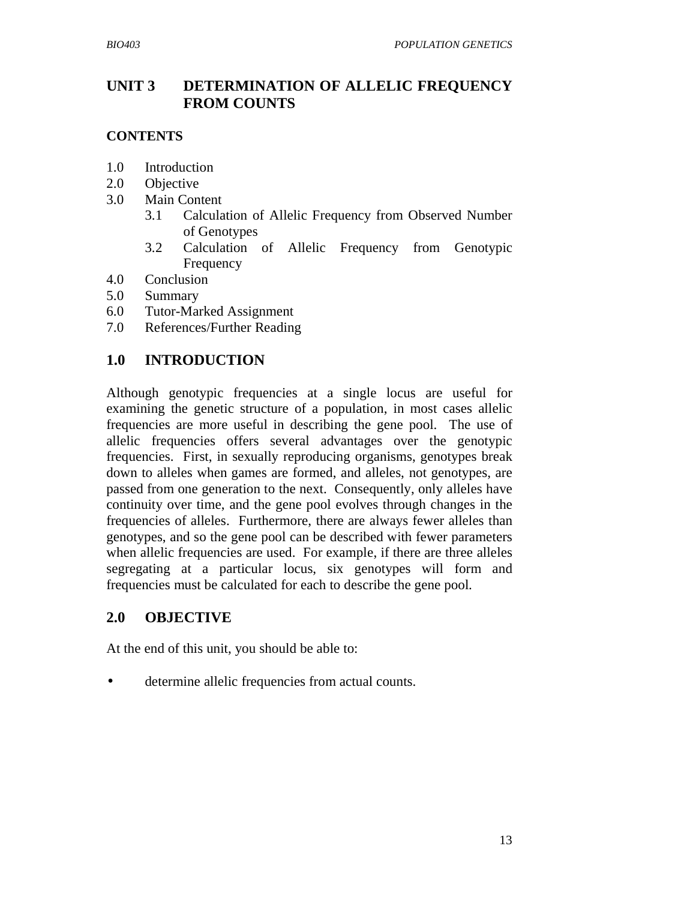# **UNIT 3 DETERMINATION OF ALLELIC FREQUENCY FROM COUNTS**

#### **CONTENTS**

- 1.0 Introduction
- 2.0 Objective
- 3.0 Main Content
	- 3.1 Calculation of Allelic Frequency from Observed Number of Genotypes
	- 3.2 Calculation of Allelic Frequency from Genotypic Frequency
- 4.0 Conclusion
- 5.0 Summary
- 6.0 Tutor-Marked Assignment
- 7.0 References/Further Reading

# **1.0 INTRODUCTION**

Although genotypic frequencies at a single locus are useful for examining the genetic structure of a population, in most cases allelic frequencies are more useful in describing the gene pool. The use of allelic frequencies offers several advantages over the genotypic frequencies. First, in sexually reproducing organisms, genotypes break down to alleles when games are formed, and alleles, not genotypes, are passed from one generation to the next. Consequently, only alleles have continuity over time, and the gene pool evolves through changes in the frequencies of alleles. Furthermore, there are always fewer alleles than genotypes, and so the gene pool can be described with fewer parameters when allelic frequencies are used. For example, if there are three alleles segregating at a particular locus, six genotypes will form and frequencies must be calculated for each to describe the gene pool.

## **2.0 OBJECTIVE**

At the end of this unit, you should be able to:

• determine allelic frequencies from actual counts.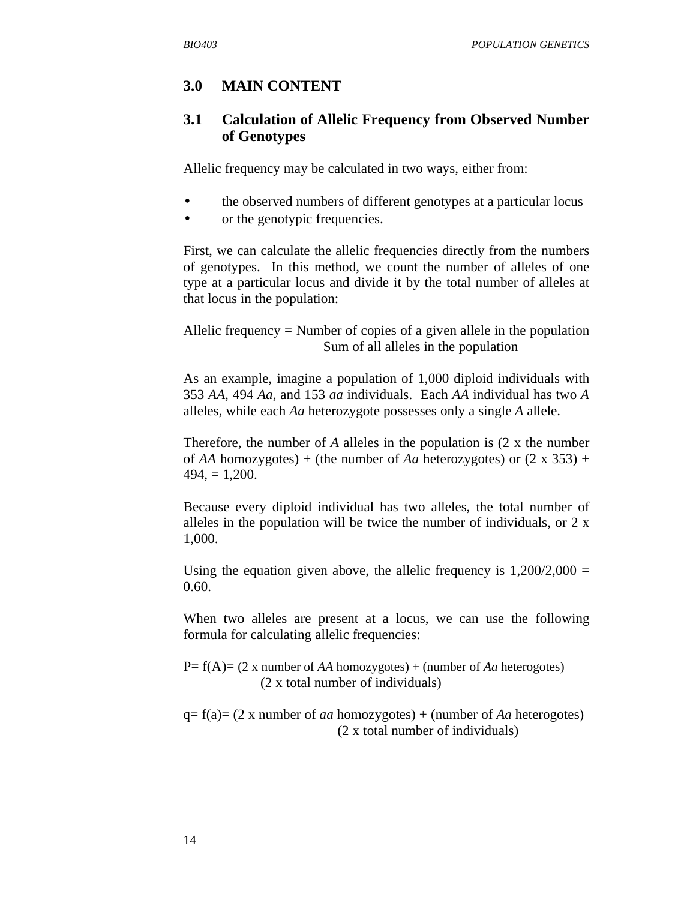# **3.0 MAIN CONTENT**

## **3.1 Calculation of Allelic Frequency from Observed Number of Genotypes**

Allelic frequency may be calculated in two ways, either from:

- the observed numbers of different genotypes at a particular locus
- or the genotypic frequencies.

First, we can calculate the allelic frequencies directly from the numbers of genotypes. In this method, we count the number of alleles of one type at a particular locus and divide it by the total number of alleles at that locus in the population:

Allelic frequency  $=$  Number of copies of a given allele in the population Sum of all alleles in the population

As an example, imagine a population of 1,000 diploid individuals with 353 *AA*, 494 *Aa*, and 153 *aa* individuals. Each *AA* individual has two *A* alleles, while each *Aa* heterozygote possesses only a single *A* allele.

Therefore, the number of *A* alleles in the population is (2 x the number of *AA* homozygotes) + (the number of *Aa* heterozygotes) or  $(2 \times 353)$  +  $494, = 1,200.$ 

Because every diploid individual has two alleles, the total number of alleles in the population will be twice the number of individuals, or 2 x 1,000.

Using the equation given above, the allelic frequency is  $1,200/2,000 =$ 0.60.

When two alleles are present at a locus, we can use the following formula for calculating allelic frequencies:

 $P=f(A)=(2 \times n$  umber of *AA* homozygotes) + (number of *Aa* heterogotes) (2 x total number of individuals)

q= f(a)= (2 x number of *aa* homozygotes) + (number of *Aa* heterogotes) (2 x total number of individuals)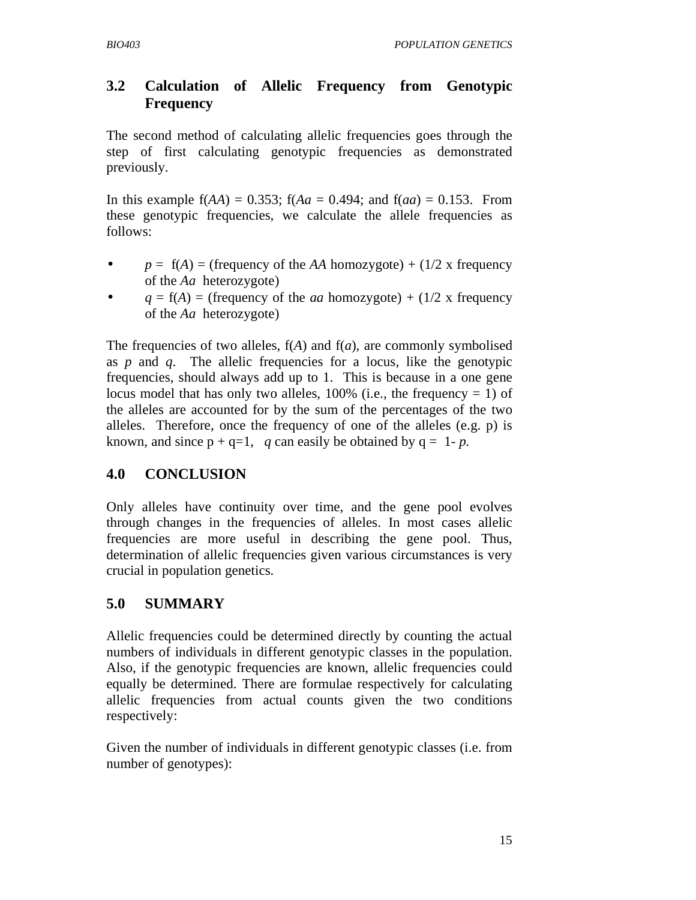# **3.2 Calculation of Allelic Frequency from Genotypic Frequency**

The second method of calculating allelic frequencies goes through the step of first calculating genotypic frequencies as demonstrated previously.

In this example  $f(AA) = 0.353$ ;  $f(Aa = 0.494$ ; and  $f(aa) = 0.153$ . From these genotypic frequencies, we calculate the allele frequencies as follows:

- $p = f(A) =$  (frequency of the *AA* homozygote) + (1/2 x frequency of the *Aa* heterozygote)
- $q = f(A) =$  (frequency of the *aa* homozygote) + (1/2 x frequency of the *Aa* heterozygote)

The frequencies of two alleles, f(*A*) and f(*a*), are commonly symbolised as *p* and *q*. The allelic frequencies for a locus, like the genotypic frequencies, should always add up to 1. This is because in a one gene locus model that has only two alleles,  $100\%$  (i.e., the frequency = 1) of the alleles are accounted for by the sum of the percentages of the two alleles. Therefore, once the frequency of one of the alleles (e.g. p) is known, and since  $p + q = 1$ , *q* can easily be obtained by  $q = 1 - p$ .

# **4.0 CONCLUSION**

Only alleles have continuity over time, and the gene pool evolves through changes in the frequencies of alleles. In most cases allelic frequencies are more useful in describing the gene pool. Thus, determination of allelic frequencies given various circumstances is very crucial in population genetics.

## **5.0 SUMMARY**

Allelic frequencies could be determined directly by counting the actual numbers of individuals in different genotypic classes in the population. Also, if the genotypic frequencies are known, allelic frequencies could equally be determined. There are formulae respectively for calculating allelic frequencies from actual counts given the two conditions respectively:

Given the number of individuals in different genotypic classes (i.e. from number of genotypes):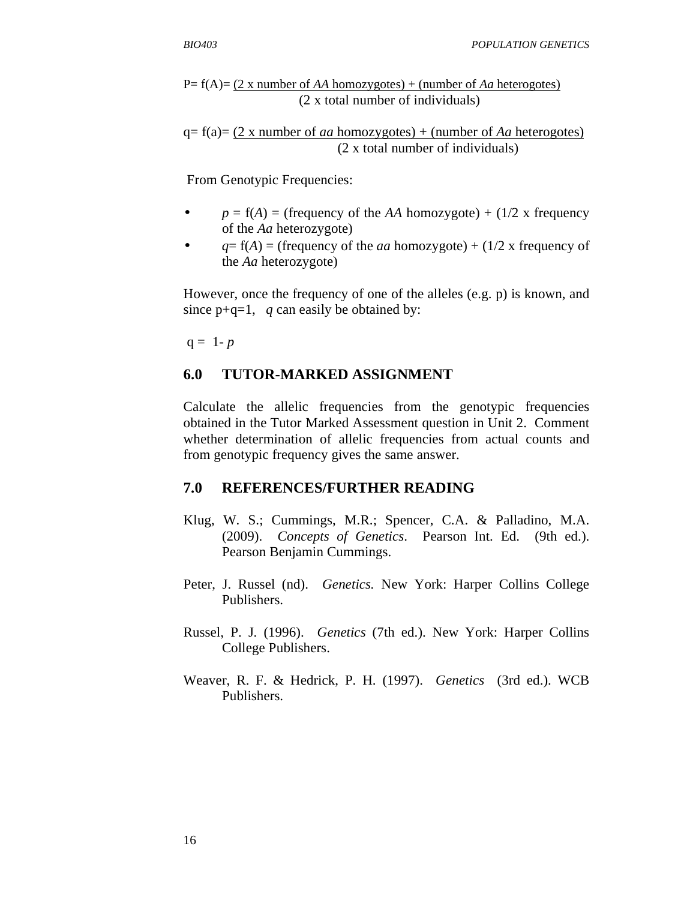P= f(A)= (2 x number of *AA* homozygotes) + (number of *Aa* heterogotes) (2 x total number of individuals)

q= f(a)= (2 x number of *aa* homozygotes) + (number of *Aa* heterogotes) (2 x total number of individuals)

From Genotypic Frequencies:

- $p = f(A) =$  (frequency of the *AA* homozygote) + (1/2 x frequency of the *Aa* heterozygote)
- $q = f(A) =$  (frequency of the *aa* homozygote) + (1/2 x frequency of the *Aa* heterozygote)

However, once the frequency of one of the alleles (e.g. p) is known, and since  $p+q=1$ , *q* can easily be obtained by:

 $q = 1-p$ 

#### **6.0 TUTOR-MARKED ASSIGNMENT**

Calculate the allelic frequencies from the genotypic frequencies obtained in the Tutor Marked Assessment question in Unit 2. Comment whether determination of allelic frequencies from actual counts and from genotypic frequency gives the same answer.

#### **7.0 REFERENCES/FURTHER READING**

- Klug, W. S.; Cummings, M.R.; Spencer, C.A. & Palladino, M.A. (2009). *Concepts of Genetics*. Pearson Int. Ed. (9th ed.). Pearson Benjamin Cummings.
- Peter, J. Russel (nd). *Genetics.* New York: Harper Collins College Publishers.
- Russel, P. J. (1996). *Genetics* (7th ed.). New York: Harper Collins College Publishers.
- Weaver, R. F. & Hedrick, P. H. (1997). *Genetics* (3rd ed.). WCB Publishers.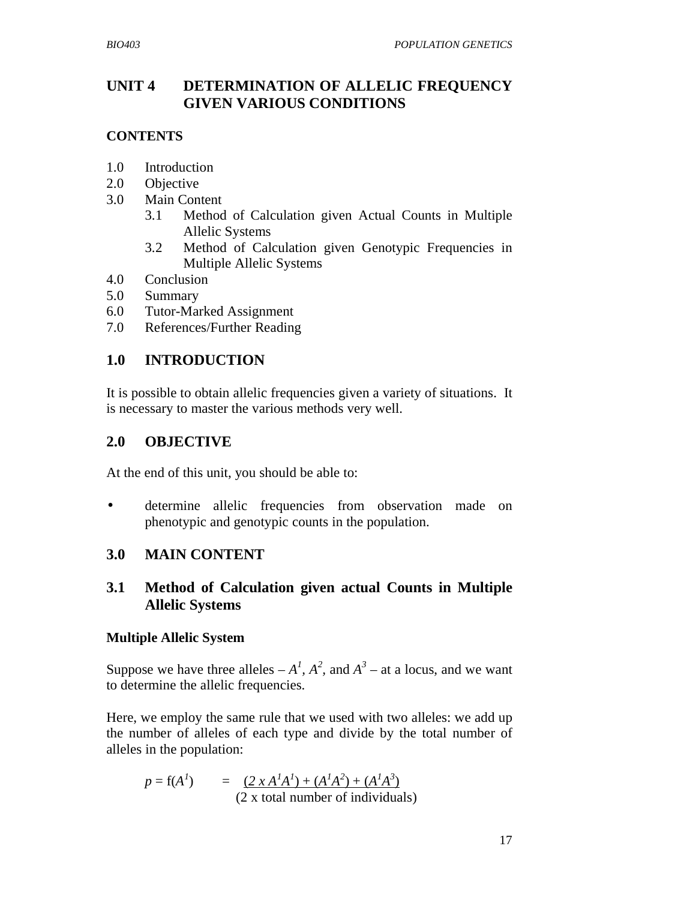# **UNIT 4 DETERMINATION OF ALLELIC FREQUENCY GIVEN VARIOUS CONDITIONS**

#### **CONTENTS**

- 1.0 Introduction
- 2.0 Objective
- 3.0 Main Content
	- 3.1 Method of Calculation given Actual Counts in Multiple Allelic Systems
	- 3.2 Method of Calculation given Genotypic Frequencies in Multiple Allelic Systems
- 4.0 Conclusion
- 5.0 Summary
- 6.0 Tutor-Marked Assignment
- 7.0 References/Further Reading

# **1.0 INTRODUCTION**

It is possible to obtain allelic frequencies given a variety of situations. It is necessary to master the various methods very well.

## **2.0 OBJECTIVE**

At the end of this unit, you should be able to:

• determine allelic frequencies from observation made on phenotypic and genotypic counts in the population.

# **3.0 MAIN CONTENT**

## **3.1 Method of Calculation given actual Counts in Multiple Allelic Systems**

#### **Multiple Allelic System**

Suppose we have three alleles  $-A<sup>1</sup>$ ,  $A<sup>2</sup>$ , and  $A<sup>3</sup>$  – at a locus, and we want to determine the allelic frequencies.

Here, we employ the same rule that we used with two alleles: we add up the number of alleles of each type and divide by the total number of alleles in the population:

$$
p = f(A1) = \frac{(2 \times A1 A1) + (A1 A2) + (A1 A3)}{(2 \times \text{ total number of individuals})}
$$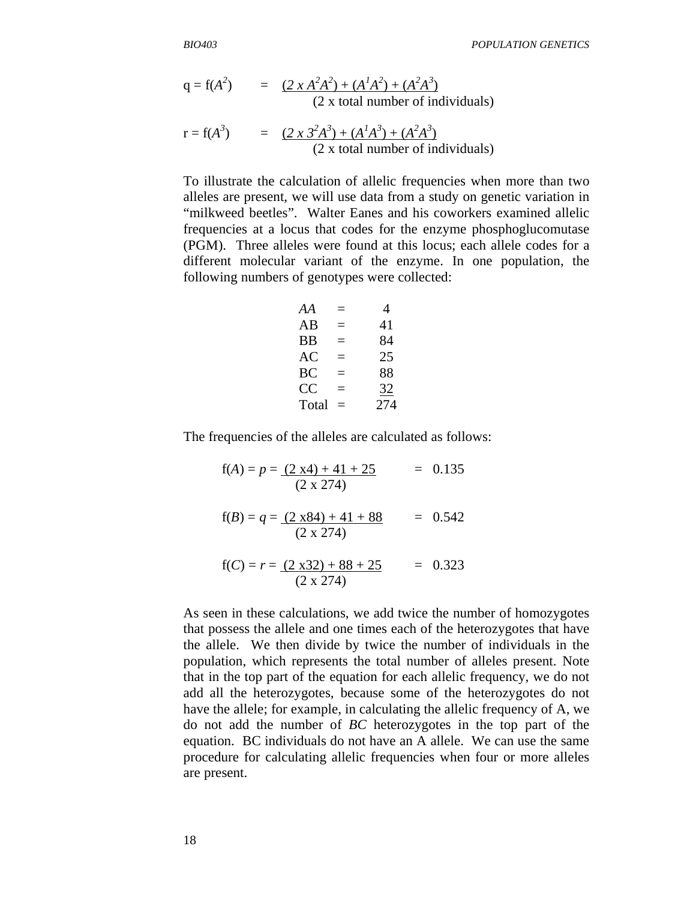q = f(
$$
A^2
$$
) = 
$$
\frac{(2 \times A^2 A^2) + (A^1 A^2) + (A^2 A^3)}{(2 \times \text{total number of individuals})}
$$

$$
r = f(A3) = \frac{(2 \times 3^{2}A^{3}) + (A^{1}A^{3}) + (A^{2}A^{3})}{(2 \times \text{ total number of individuals})}
$$

To illustrate the calculation of allelic frequencies when more than two alleles are present, we will use data from a study on genetic variation in "milkweed beetles". Walter Eanes and his coworkers examined allelic frequencies at a locus that codes for the enzyme phosphoglucomutase (PGM). Three alleles were found at this locus; each allele codes for a different molecular variant of the enzyme. In one population, the following numbers of genotypes were collected:

| $AA$  | = | 4   |
|-------|---|-----|
| $AB$  | = | 41  |
| $BB$  | = | 84  |
| $AC$  | = | 25  |
| $BC$  | = | 88  |
| $CC$  | = | 32  |
| Total | = | 274 |

The frequencies of the alleles are calculated as follows:

$$
f(A) = p = \frac{(2 \times 4) + 41 + 25}{(2 \times 274)} = 0.135
$$
  
\n
$$
f(B) = q = \frac{(2 \times 84) + 41 + 88}{(2 \times 274)} = 0.542
$$
  
\n
$$
f(C) = r = \frac{(2 \times 32) + 88 + 25}{(2 \times 274)} = 0.323
$$

As seen in these calculations, we add twice the number of homozygotes that possess the allele and one times each of the heterozygotes that have the allele. We then divide by twice the number of individuals in the population, which represents the total number of alleles present. Note that in the top part of the equation for each allelic frequency, we do not add all the heterozygotes, because some of the heterozygotes do not have the allele; for example, in calculating the allelic frequency of A, we do not add the number of *BC* heterozygotes in the top part of the equation. BC individuals do not have an A allele. We can use the same procedure for calculating allelic frequencies when four or more alleles are present.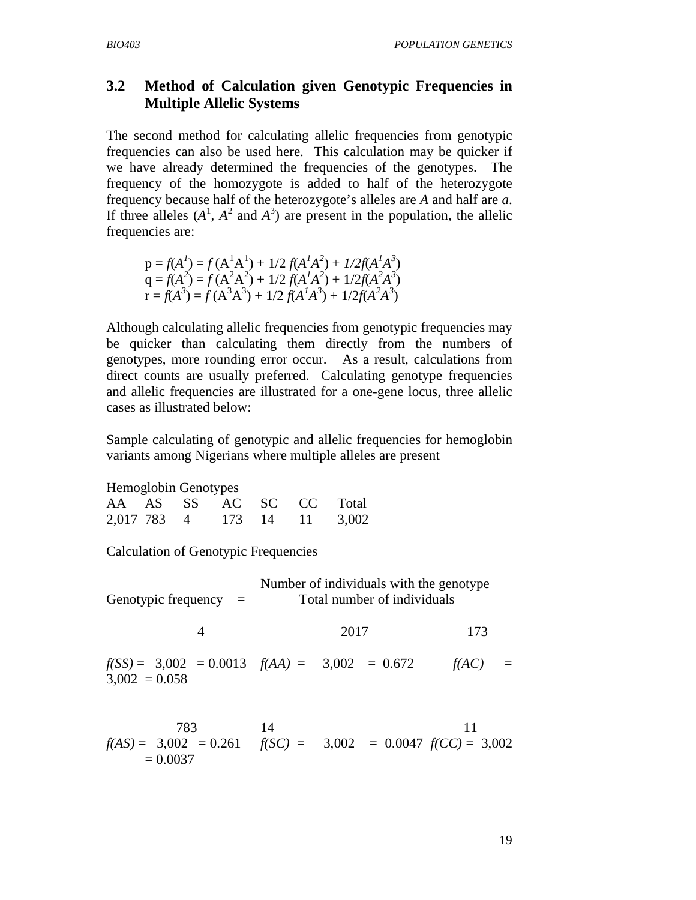# **3.2 Method of Calculation given Genotypic Frequencies in Multiple Allelic Systems**

The second method for calculating allelic frequencies from genotypic frequencies can also be used here. This calculation may be quicker if we have already determined the frequencies of the genotypes. The frequency of the homozygote is added to half of the heterozygote frequency because half of the heterozygote's alleles are *A* and half are *a*. If three alleles  $(A^1, A^2$  and  $A^3)$  are present in the population, the allelic frequencies are:

$$
p = f(A^1) = f(A^1A^1) + 1/2 f(A^1A^2) + 1/2f(A^1A^3)
$$
  
\n
$$
q = f(A^2) = f(A^2A^2) + 1/2 f(A^1A^2) + 1/2f(A^2A^3)
$$
  
\n
$$
r = f(A^3) = f(A^3A^3) + 1/2 f(A^1A^3) + 1/2f(A^2A^3)
$$

Although calculating allelic frequencies from genotypic frequencies may be quicker than calculating them directly from the numbers of genotypes, more rounding error occur. As a result, calculations from direct counts are usually preferred. Calculating genotype frequencies and allelic frequencies are illustrated for a one-gene locus, three allelic cases as illustrated below:

Sample calculating of genotypic and allelic frequencies for hemoglobin variants among Nigerians where multiple alleles are present

Hemoglobin Genotypes

|  |  |  | AA AS SS AC SC CC Total     |
|--|--|--|-----------------------------|
|  |  |  | 2,017 783 4 173 14 11 3,002 |

Calculation of Genotypic Frequencies

 Number of individuals with the genotype Genotypic frequency = Total number of individuals

4 2017 173

 $f(SS) = 3,002 = 0.0013$   $f(AA) = 3,002 = 0.672$   $f(AC) =$  $3,002 = 0.058$ 

$$
f(AS) = \begin{array}{rcl} & \frac{783}{14} \\ 3,002 & = 0.261 \end{array} \quad \frac{14}{f(SC)} = \begin{array}{rcl} & 3,002 \\ -3,002 & = 0.0047 \end{array} \quad f(CC) = \begin{array}{rcl} & \frac{11}{14} \\ 3,002 & = 0.0047 \end{array}
$$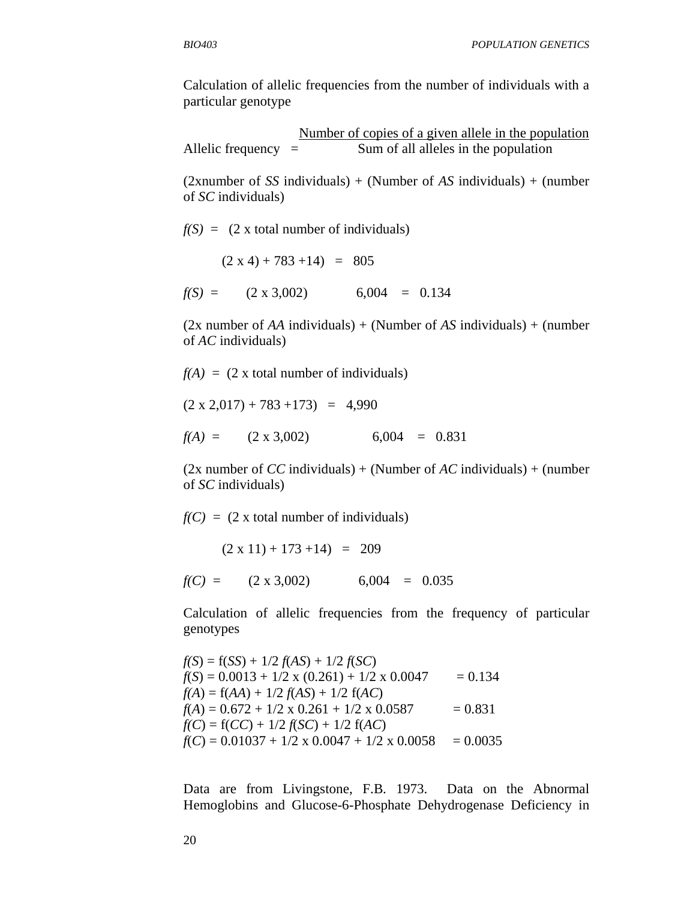Calculation of allelic frequencies from the number of individuals with a particular genotype

|                       |                                      |  |  | Number of copies of a given allele in the population |
|-----------------------|--------------------------------------|--|--|------------------------------------------------------|
| Allelic frequency $=$ | Sum of all alleles in the population |  |  |                                                      |

(2xnumber of *SS* individuals) + (Number of *AS* individuals) + (number of *SC* individuals)

 $f(S) = (2 \times \text{total number of individuals})$ 

 $(2 \times 4) + 783 +14$  = 805

 $f(S) = (2 \times 3,002)$  6,004 = 0.134

(2x number of *AA* individuals) + (Number of *AS* individuals) + (number of *AC* individuals)

 $f(A) = (2 \times \text{total number of individuals})$ 

 $(2 \times 2,017) + 783 + 173$  = 4,990

 $f(A) = (2 \times 3,002)$  6,004 = 0.831

(2x number of *CC* individuals) + (Number of *AC* individuals) + (number of *SC* individuals)

 $f(C) = (2 \times \text{total number of individuals})$ 

 $(2 \times 11) + 173 +14$  = 209

 $f(C) = (2 \times 3,002)$  6,004 = 0.035

Calculation of allelic frequencies from the frequency of particular genotypes

$$
f(S) = f(SS) + \frac{1}{2} f(AS) + \frac{1}{2} f(SC)
$$
  
\n
$$
f(S) = 0.0013 + \frac{1}{2} x (0.261) + \frac{1}{2} x 0.0047 = 0.134
$$
  
\n
$$
f(A) = f(AA) + \frac{1}{2} f(AS) + \frac{1}{2} f(AC)
$$
  
\n
$$
f(A) = 0.672 + \frac{1}{2} x 0.261 + \frac{1}{2} x 0.0587 = 0.831
$$
  
\n
$$
f(C) = f(CC) + \frac{1}{2} f(SC) + \frac{1}{2} f(AC)
$$
  
\n
$$
f(C) = 0.01037 + \frac{1}{2} x 0.0047 + \frac{1}{2} x 0.0058 = 0.0035
$$

Data are from Livingstone, F.B. 1973. Data on the Abnormal Hemoglobins and Glucose-6-Phosphate Dehydrogenase Deficiency in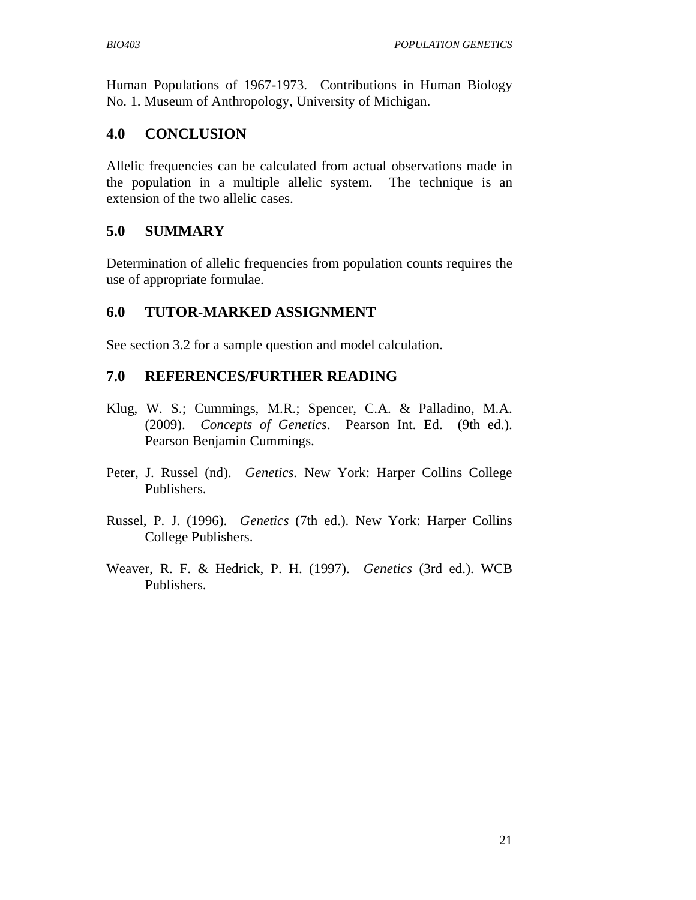Human Populations of 1967-1973. Contributions in Human Biology No. 1. Museum of Anthropology, University of Michigan.

# **4.0 CONCLUSION**

Allelic frequencies can be calculated from actual observations made in the population in a multiple allelic system. The technique is an extension of the two allelic cases.

# **5.0 SUMMARY**

Determination of allelic frequencies from population counts requires the use of appropriate formulae.

# **6.0 TUTOR-MARKED ASSIGNMENT**

See section 3.2 for a sample question and model calculation.

# **7.0 REFERENCES/FURTHER READING**

- Klug, W. S.; Cummings, M.R.; Spencer, C.A. & Palladino, M.A. (2009). *Concepts of Genetics*. Pearson Int. Ed. (9th ed.). Pearson Benjamin Cummings.
- Peter, J. Russel (nd). *Genetics.* New York: Harper Collins College Publishers.
- Russel, P. J. (1996). *Genetics* (7th ed.). New York: Harper Collins College Publishers.
- Weaver, R. F. & Hedrick, P. H. (1997). *Genetics* (3rd ed.). WCB Publishers.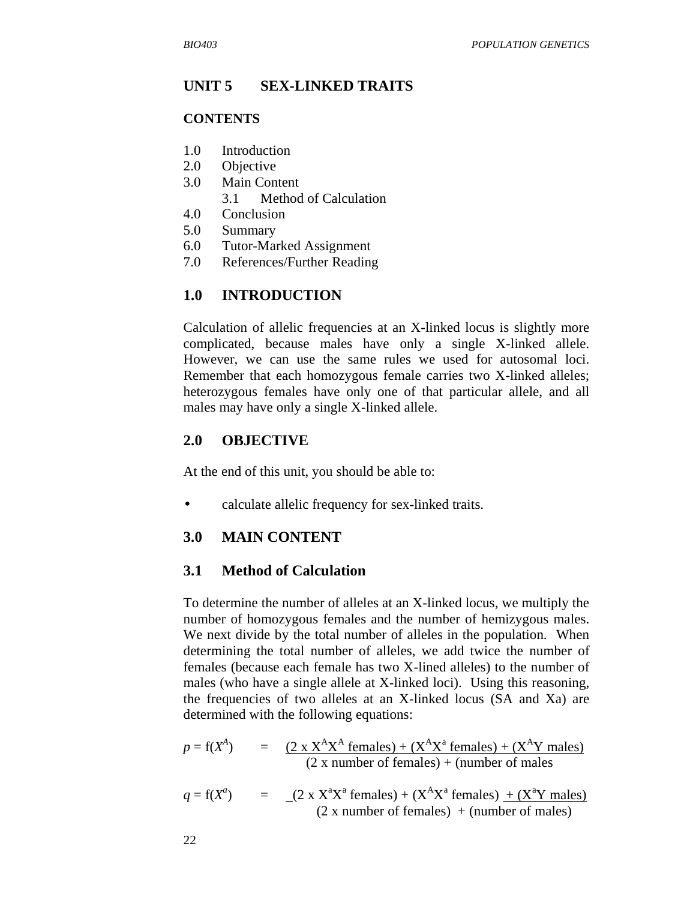#### **UNIT 5 SEX-LINKED TRAITS**

#### **CONTENTS**

- 1.0 Introduction
- 2.0 Objective
- 3.0 Main Content
	- 3.1 Method of Calculation
- 4.0 Conclusion
- 5.0 Summary
- 6.0 Tutor-Marked Assignment
- 7.0 References/Further Reading

#### **1.0 INTRODUCTION**

Calculation of allelic frequencies at an X-linked locus is slightly more complicated, because males have only a single X-linked allele. However, we can use the same rules we used for autosomal loci. Remember that each homozygous female carries two X-linked alleles; heterozygous females have only one of that particular allele, and all males may have only a single X-linked allele.

#### **2.0 OBJECTIVE**

At the end of this unit, you should be able to:

• calculate allelic frequency for sex-linked traits.

#### **3.0 MAIN CONTENT**

#### **3.1 Method of Calculation**

To determine the number of alleles at an X-linked locus, we multiply the number of homozygous females and the number of hemizygous males. We next divide by the total number of alleles in the population. When determining the total number of alleles, we add twice the number of females (because each female has two X-lined alleles) to the number of males (who have a single allele at X-linked loci). Using this reasoning, the frequencies of two alleles at an X-linked locus (SA and Xa) are determined with the following equations:

$$
p = f(XA) = \frac{(2 \times XA XA females) + (XA Xa females) + (XA Y males)}{(2 x number of females) + (number of males)}
$$

$$
q = f(X^{a}) = -(2 \times X^{a}X^{a} \text{ females}) + (X^{A}X^{a} \text{ females}) + (X^{a}Y \text{ males})
$$
  
(2 x number of females) + (number of males)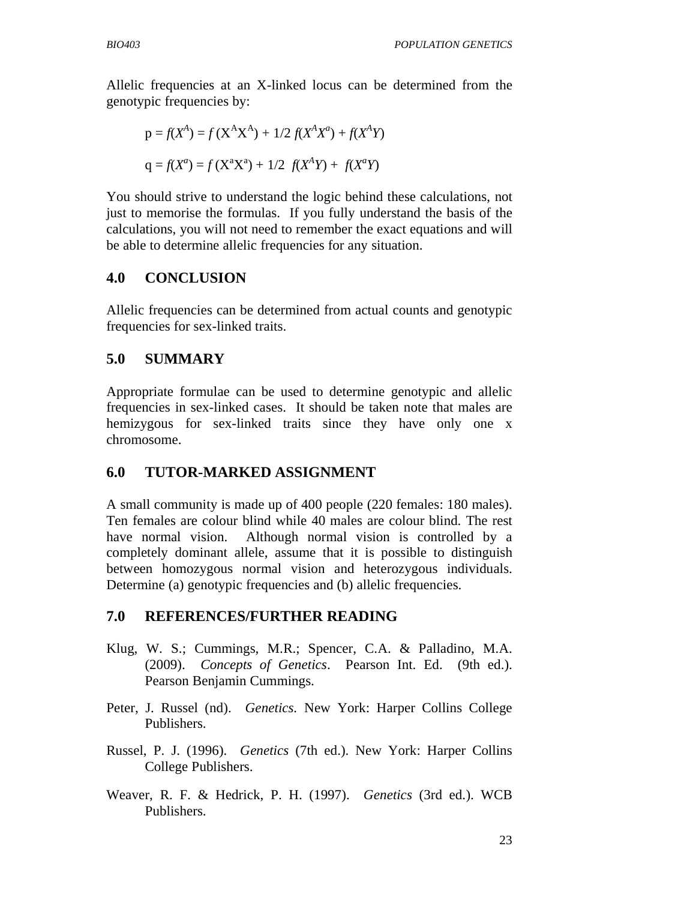Allelic frequencies at an X-linked locus can be determined from the genotypic frequencies by:

$$
p = f(X^{A}) = f(X^{A}X^{A}) + 1/2 f(X^{A}X^{a}) + f(X^{A}Y)
$$
  
q = f(X^{a}) = f(X^{a}X^{a}) + 1/2 f(X^{A}Y) + f(X^{a}Y)

You should strive to understand the logic behind these calculations, not just to memorise the formulas. If you fully understand the basis of the calculations, you will not need to remember the exact equations and will be able to determine allelic frequencies for any situation.

## **4.0 CONCLUSION**

Allelic frequencies can be determined from actual counts and genotypic frequencies for sex-linked traits.

## **5.0 SUMMARY**

Appropriate formulae can be used to determine genotypic and allelic frequencies in sex-linked cases. It should be taken note that males are hemizygous for sex-linked traits since they have only one x chromosome.

# **6.0 TUTOR-MARKED ASSIGNMENT**

A small community is made up of 400 people (220 females: 180 males). Ten females are colour blind while 40 males are colour blind. The rest have normal vision. Although normal vision is controlled by a completely dominant allele, assume that it is possible to distinguish between homozygous normal vision and heterozygous individuals. Determine (a) genotypic frequencies and (b) allelic frequencies.

- Klug, W. S.; Cummings, M.R.; Spencer, C.A. & Palladino, M.A. (2009). *Concepts of Genetics*. Pearson Int. Ed. (9th ed.). Pearson Benjamin Cummings.
- Peter, J. Russel (nd). *Genetics.* New York: Harper Collins College Publishers.
- Russel, P. J. (1996). *Genetics* (7th ed.). New York: Harper Collins College Publishers.
- Weaver, R. F. & Hedrick, P. H. (1997). *Genetics* (3rd ed.). WCB Publishers.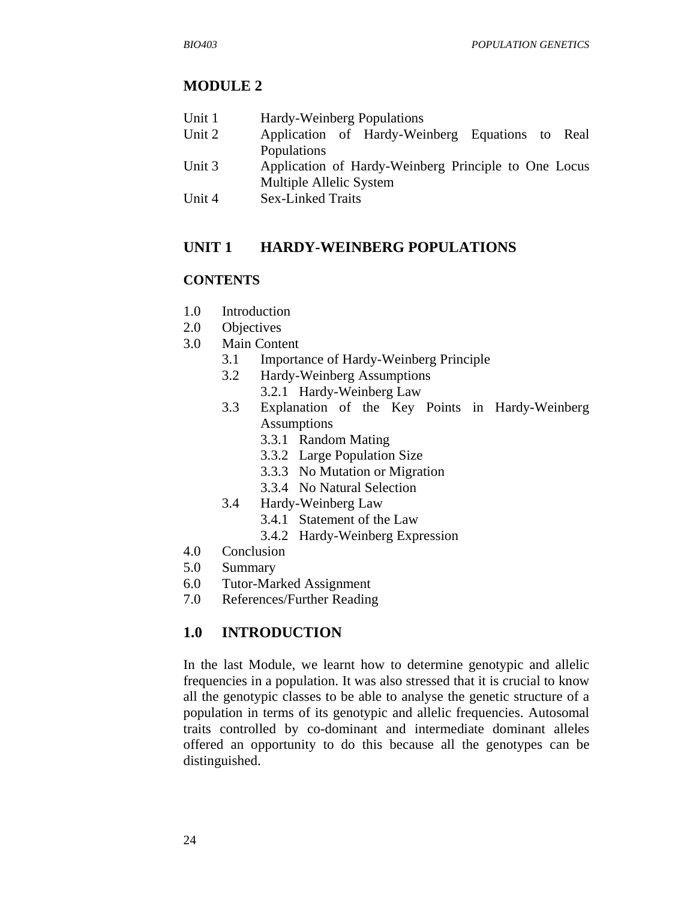## **MODULE 2**

| Unit 1 | <b>Hardy-Weinberg Populations</b>                    |
|--------|------------------------------------------------------|
| Unit 2 | Application of Hardy-Weinberg Equations to Real      |
|        | Populations                                          |
| Unit 3 | Application of Hardy-Weinberg Principle to One Locus |
|        | Multiple Allelic System                              |
| Unit 4 | <b>Sex-Linked Traits</b>                             |
|        |                                                      |

## **UNIT 1 HARDY-WEINBERG POPULATIONS**

## **CONTENTS**

- 1.0 Introduction
- 2.0 Objectives
- 3.0 Main Content
	- 3.1 Importance of Hardy-Weinberg Principle
	- 3.2 Hardy-Weinberg Assumptions 3.2.1 Hardy-Weinberg Law
	- 3.3 Explanation of the Key Points in Hardy-Weinberg Assumptions
		- 3.3.1 Random Mating
		- 3.3.2 Large Population Size
		- 3.3.3 No Mutation or Migration
		- 3.3.4 No Natural Selection
	- 3.4 Hardy-Weinberg Law
		- 3.4.1 Statement of the Law
		- 3.4.2 Hardy-Weinberg Expression
- 4.0 Conclusion
- 5.0 Summary
- 6.0 Tutor-Marked Assignment
- 7.0 References/Further Reading

# **1.0 INTRODUCTION**

In the last Module, we learnt how to determine genotypic and allelic frequencies in a population. It was also stressed that it is crucial to know all the genotypic classes to be able to analyse the genetic structure of a population in terms of its genotypic and allelic frequencies. Autosomal traits controlled by co-dominant and intermediate dominant alleles offered an opportunity to do this because all the genotypes can be distinguished.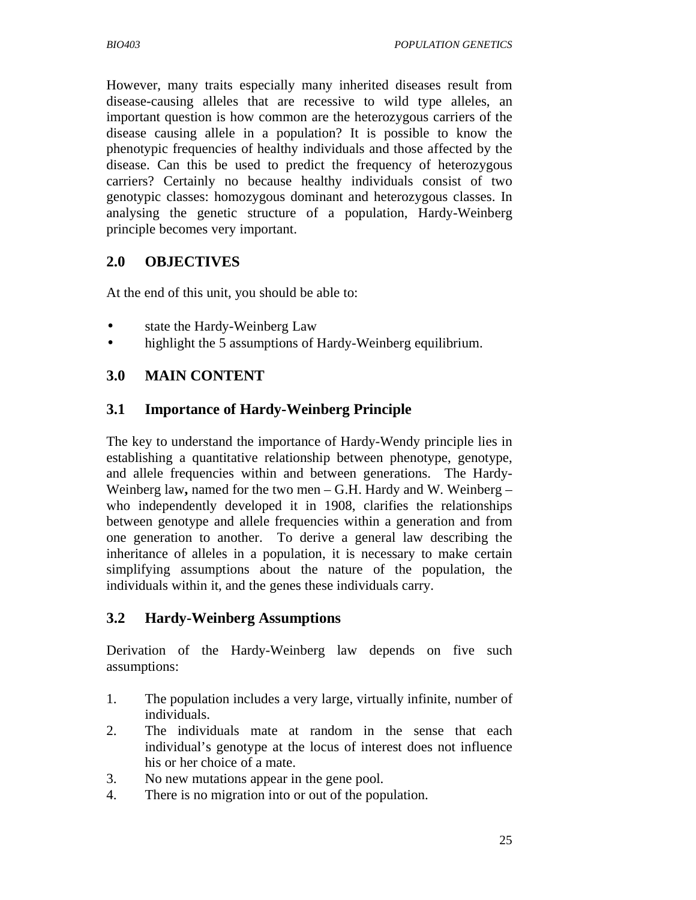However, many traits especially many inherited diseases result from disease-causing alleles that are recessive to wild type alleles, an important question is how common are the heterozygous carriers of the disease causing allele in a population? It is possible to know the phenotypic frequencies of healthy individuals and those affected by the disease. Can this be used to predict the frequency of heterozygous carriers? Certainly no because healthy individuals consist of two genotypic classes: homozygous dominant and heterozygous classes. In analysing the genetic structure of a population, Hardy-Weinberg principle becomes very important.

### **2.0 OBJECTIVES**

At the end of this unit, you should be able to:

- state the Hardy-Weinberg Law
- highlight the 5 assumptions of Hardy-Weinberg equilibrium.

### **3.0 MAIN CONTENT**

#### **3.1 Importance of Hardy-Weinberg Principle**

The key to understand the importance of Hardy-Wendy principle lies in establishing a quantitative relationship between phenotype, genotype, and allele frequencies within and between generations. The Hardy-Weinberg law**,** named for the two men – G.H. Hardy and W. Weinberg – who independently developed it in 1908, clarifies the relationships between genotype and allele frequencies within a generation and from one generation to another. To derive a general law describing the inheritance of alleles in a population, it is necessary to make certain simplifying assumptions about the nature of the population, the individuals within it, and the genes these individuals carry.

#### **3.2 Hardy-Weinberg Assumptions**

Derivation of the Hardy-Weinberg law depends on five such assumptions:

- 1. The population includes a very large, virtually infinite, number of individuals.
- 2. The individuals mate at random in the sense that each individual's genotype at the locus of interest does not influence his or her choice of a mate.
- 3. No new mutations appear in the gene pool.
- 4. There is no migration into or out of the population.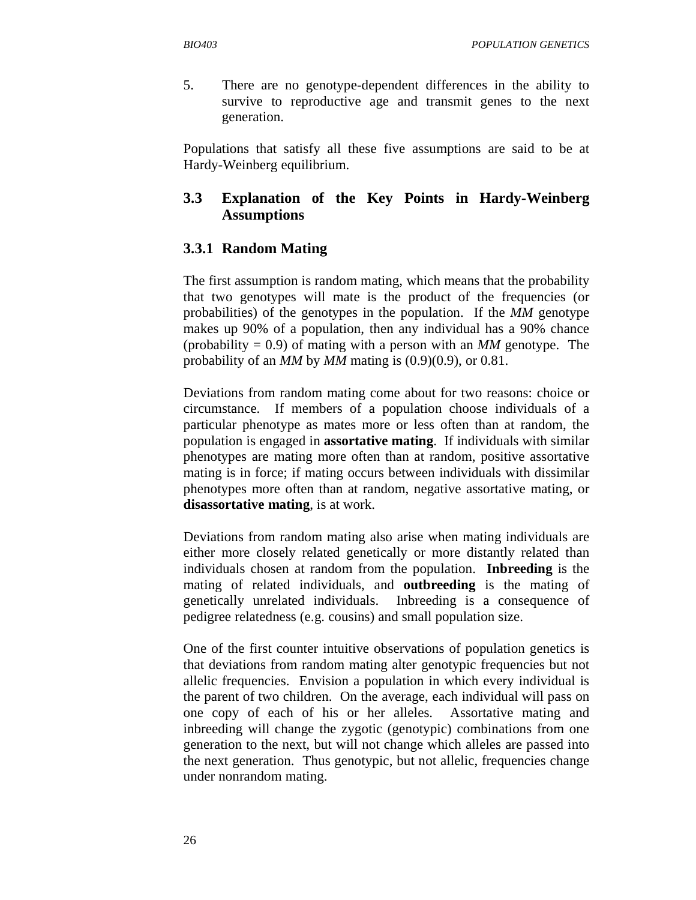5. There are no genotype-dependent differences in the ability to survive to reproductive age and transmit genes to the next generation.

Populations that satisfy all these five assumptions are said to be at Hardy-Weinberg equilibrium.

## **3.3 Explanation of the Key Points in Hardy-Weinberg Assumptions**

## **3.3.1 Random Mating**

The first assumption is random mating, which means that the probability that two genotypes will mate is the product of the frequencies (or probabilities) of the genotypes in the population. If the *MM* genotype makes up 90% of a population, then any individual has a 90% chance (probability  $= 0.9$ ) of mating with a person with an *MM* genotype. The probability of an *MM* by *MM* mating is (0.9)(0.9), or 0.81.

Deviations from random mating come about for two reasons: choice or circumstance. If members of a population choose individuals of a particular phenotype as mates more or less often than at random, the population is engaged in **assortative mating**. If individuals with similar phenotypes are mating more often than at random, positive assortative mating is in force; if mating occurs between individuals with dissimilar phenotypes more often than at random, negative assortative mating, or **disassortative mating**, is at work.

Deviations from random mating also arise when mating individuals are either more closely related genetically or more distantly related than individuals chosen at random from the population. **Inbreeding** is the mating of related individuals, and **outbreeding** is the mating of genetically unrelated individuals. Inbreeding is a consequence of pedigree relatedness (e.g. cousins) and small population size.

One of the first counter intuitive observations of population genetics is that deviations from random mating alter genotypic frequencies but not allelic frequencies. Envision a population in which every individual is the parent of two children. On the average, each individual will pass on one copy of each of his or her alleles. Assortative mating and inbreeding will change the zygotic (genotypic) combinations from one generation to the next, but will not change which alleles are passed into the next generation. Thus genotypic, but not allelic, frequencies change under nonrandom mating.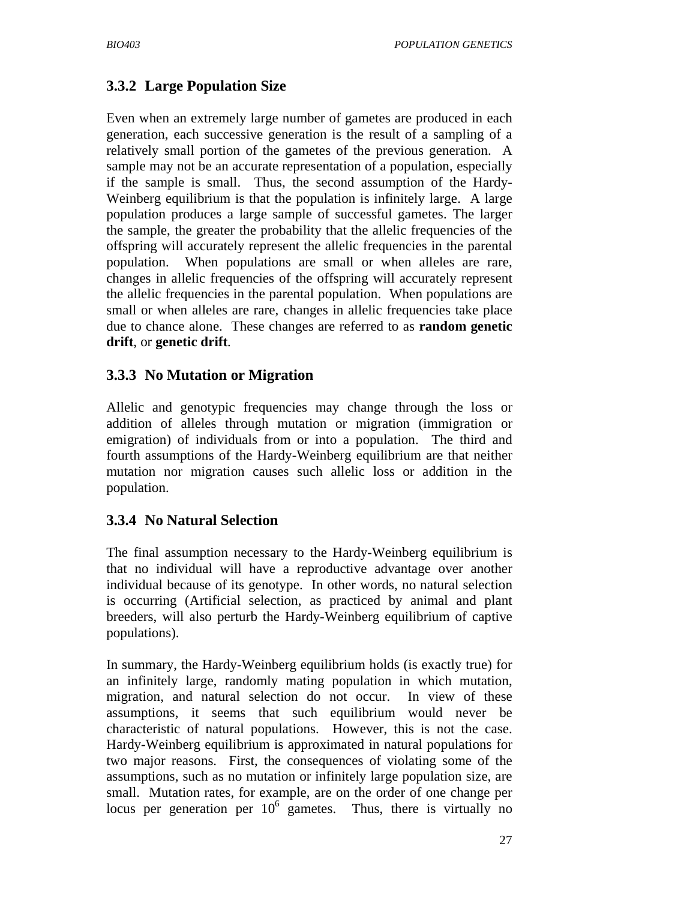# **3.3.2 Large Population Size**

Even when an extremely large number of gametes are produced in each generation, each successive generation is the result of a sampling of a relatively small portion of the gametes of the previous generation. A sample may not be an accurate representation of a population, especially if the sample is small. Thus, the second assumption of the Hardy-Weinberg equilibrium is that the population is infinitely large. A large population produces a large sample of successful gametes. The larger the sample, the greater the probability that the allelic frequencies of the offspring will accurately represent the allelic frequencies in the parental population. When populations are small or when alleles are rare, changes in allelic frequencies of the offspring will accurately represent the allelic frequencies in the parental population. When populations are small or when alleles are rare, changes in allelic frequencies take place due to chance alone. These changes are referred to as **random genetic drift**, or **genetic drift***.*

# **3.3.3 No Mutation or Migration**

Allelic and genotypic frequencies may change through the loss or addition of alleles through mutation or migration (immigration or emigration) of individuals from or into a population. The third and fourth assumptions of the Hardy-Weinberg equilibrium are that neither mutation nor migration causes such allelic loss or addition in the population.

# **3.3.4 No Natural Selection**

The final assumption necessary to the Hardy-Weinberg equilibrium is that no individual will have a reproductive advantage over another individual because of its genotype. In other words, no natural selection is occurring (Artificial selection, as practiced by animal and plant breeders, will also perturb the Hardy-Weinberg equilibrium of captive populations).

In summary, the Hardy-Weinberg equilibrium holds (is exactly true) for an infinitely large, randomly mating population in which mutation, migration, and natural selection do not occur. In view of these assumptions, it seems that such equilibrium would never be characteristic of natural populations. However, this is not the case. Hardy-Weinberg equilibrium is approximated in natural populations for two major reasons. First, the consequences of violating some of the assumptions, such as no mutation or infinitely large population size, are small. Mutation rates, for example, are on the order of one change per locus per generation per  $10^6$  gametes. Thus, there is virtually no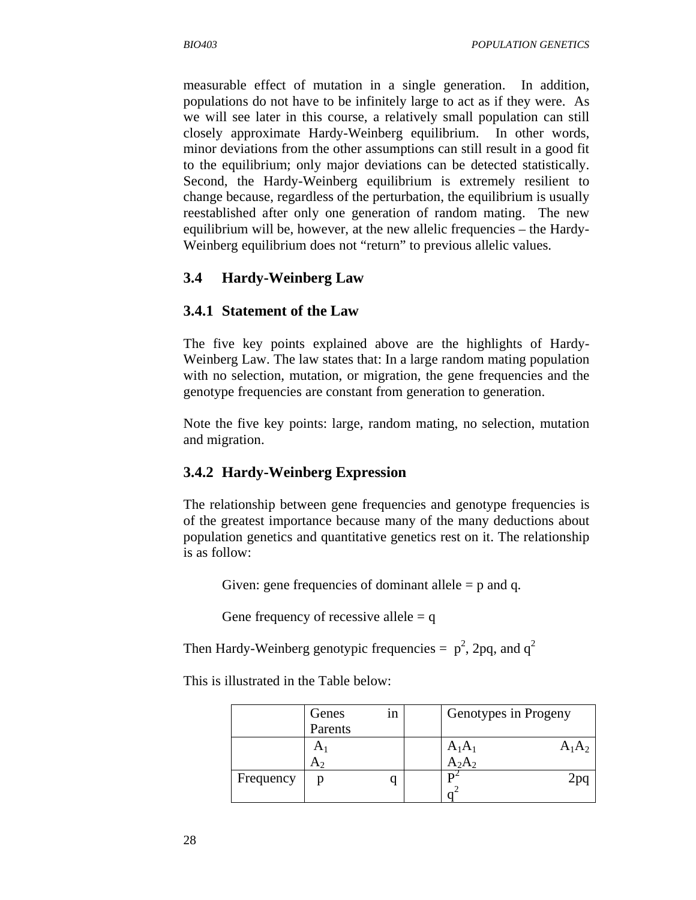measurable effect of mutation in a single generation. In addition, populations do not have to be infinitely large to act as if they were. As we will see later in this course, a relatively small population can still closely approximate Hardy-Weinberg equilibrium. In other words, minor deviations from the other assumptions can still result in a good fit to the equilibrium; only major deviations can be detected statistically. Second, the Hardy-Weinberg equilibrium is extremely resilient to change because, regardless of the perturbation, the equilibrium is usually reestablished after only one generation of random mating. The new equilibrium will be, however, at the new allelic frequencies – the Hardy-Weinberg equilibrium does not "return" to previous allelic values.

## **3.4 Hardy-Weinberg Law**

### **3.4.1 Statement of the Law**

The five key points explained above are the highlights of Hardy-Weinberg Law. The law states that: In a large random mating population with no selection, mutation, or migration, the gene frequencies and the genotype frequencies are constant from generation to generation.

Note the five key points: large, random mating, no selection, mutation and migration.

#### **3.4.2 Hardy-Weinberg Expression**

The relationship between gene frequencies and genotype frequencies is of the greatest importance because many of the many deductions about population genetics and quantitative genetics rest on it. The relationship is as follow:

Given: gene frequencies of dominant allele  $= p$  and q.

Gene frequency of recessive allele  $= q$ 

Then Hardy-Weinberg genotypic frequencies  $= p^2$ , 2pq, and  $q^2$ 

This is illustrated in the Table below:

|           | Genes   | 1n | Genotypes in Progeny |          |
|-----------|---------|----|----------------------|----------|
|           | Parents |    |                      |          |
|           | H.      |    | $A_1A_1$             | $A_1A_2$ |
|           | r۱      |    | $A_2A_2$             |          |
| Frequency |         |    | D۴                   |          |
|           |         |    |                      |          |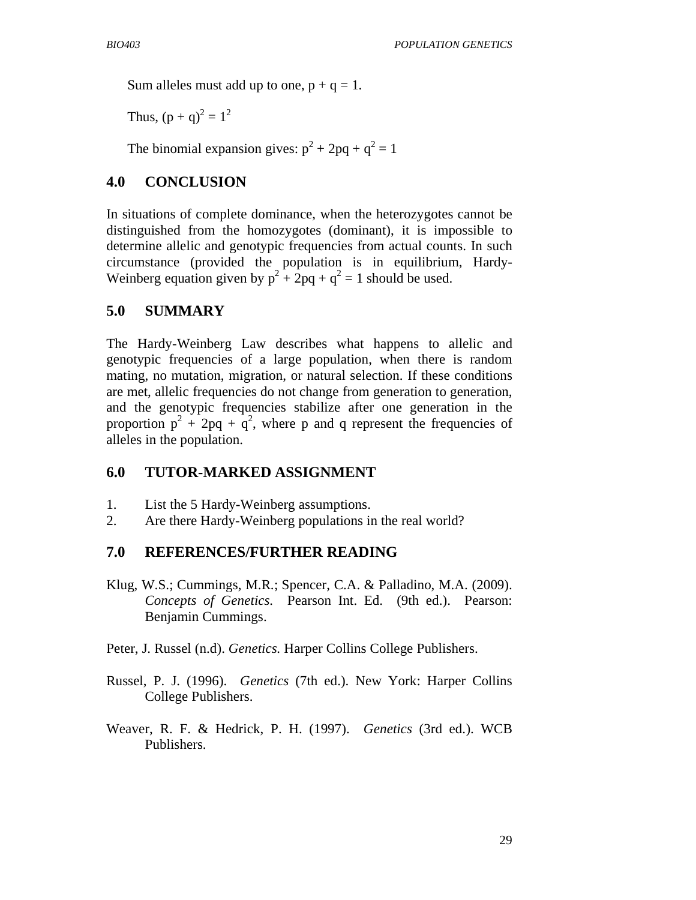Sum alleles must add up to one,  $p + q = 1$ .

Thus,  $(p+q)^2 = 1^2$ 

The binomial expansion gives:  $p^2 + 2pq + q^2 = 1$ 

### **4.0 CONCLUSION**

In situations of complete dominance, when the heterozygotes cannot be distinguished from the homozygotes (dominant), it is impossible to determine allelic and genotypic frequencies from actual counts. In such circumstance (provided the population is in equilibrium, Hardy-Weinberg equation given by  $p^2 + 2pq + q^2 = 1$  should be used.

## **5.0 SUMMARY**

The Hardy-Weinberg Law describes what happens to allelic and genotypic frequencies of a large population, when there is random mating, no mutation, migration, or natural selection. If these conditions are met, allelic frequencies do not change from generation to generation, and the genotypic frequencies stabilize after one generation in the proportion  $p^2 + 2pq + q^2$ , where p and q represent the frequencies of alleles in the population.

#### **6.0 TUTOR-MARKED ASSIGNMENT**

- 1. List the 5 Hardy-Weinberg assumptions.
- 2. Are there Hardy-Weinberg populations in the real world?

- Klug, W.S.; Cummings, M.R.; Spencer, C.A. & Palladino, M.A. (2009). *Concepts of Genetics.* Pearson Int. Ed. (9th ed.). Pearson: Benjamin Cummings.
- Peter, J. Russel (n.d). *Genetics.* Harper Collins College Publishers.
- Russel, P. J. (1996). *Genetics* (7th ed.). New York: Harper Collins College Publishers.
- Weaver, R. F. & Hedrick, P. H. (1997). *Genetics* (3rd ed.). WCB Publishers.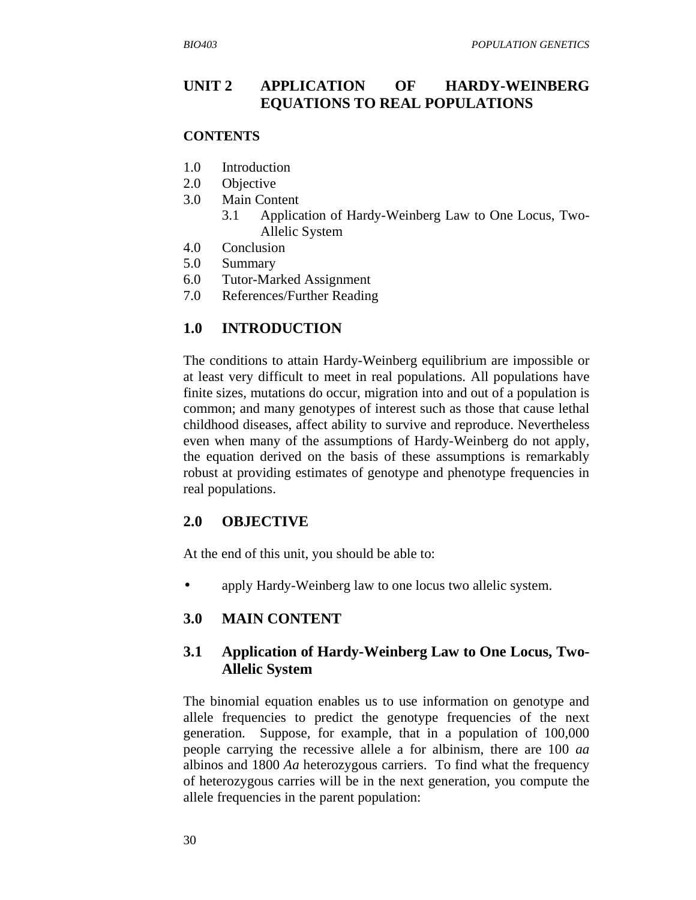## **UNIT 2 APPLICATION OF HARDY-WEINBERG EQUATIONS TO REAL POPULATIONS**

#### **CONTENTS**

- 1.0 Introduction
- 2.0 Objective
- 3.0 Main Content
	- 3.1 Application of Hardy-Weinberg Law to One Locus, Two-Allelic System
- 4.0 Conclusion
- 5.0 Summary
- 6.0 Tutor-Marked Assignment
- 7.0 References/Further Reading

## **1.0 INTRODUCTION**

The conditions to attain Hardy-Weinberg equilibrium are impossible or at least very difficult to meet in real populations. All populations have finite sizes, mutations do occur, migration into and out of a population is common; and many genotypes of interest such as those that cause lethal childhood diseases, affect ability to survive and reproduce. Nevertheless even when many of the assumptions of Hardy-Weinberg do not apply, the equation derived on the basis of these assumptions is remarkably robust at providing estimates of genotype and phenotype frequencies in real populations.

#### **2.0 OBJECTIVE**

At the end of this unit, you should be able to:

• apply Hardy-Weinberg law to one locus two allelic system.

#### **3.0 MAIN CONTENT**

### **3.1 Application of Hardy-Weinberg Law to One Locus, Two-Allelic System**

The binomial equation enables us to use information on genotype and allele frequencies to predict the genotype frequencies of the next generation. Suppose, for example, that in a population of 100,000 people carrying the recessive allele a for albinism, there are 100 *aa* albinos and 1800 *Aa* heterozygous carriers. To find what the frequency of heterozygous carries will be in the next generation, you compute the allele frequencies in the parent population: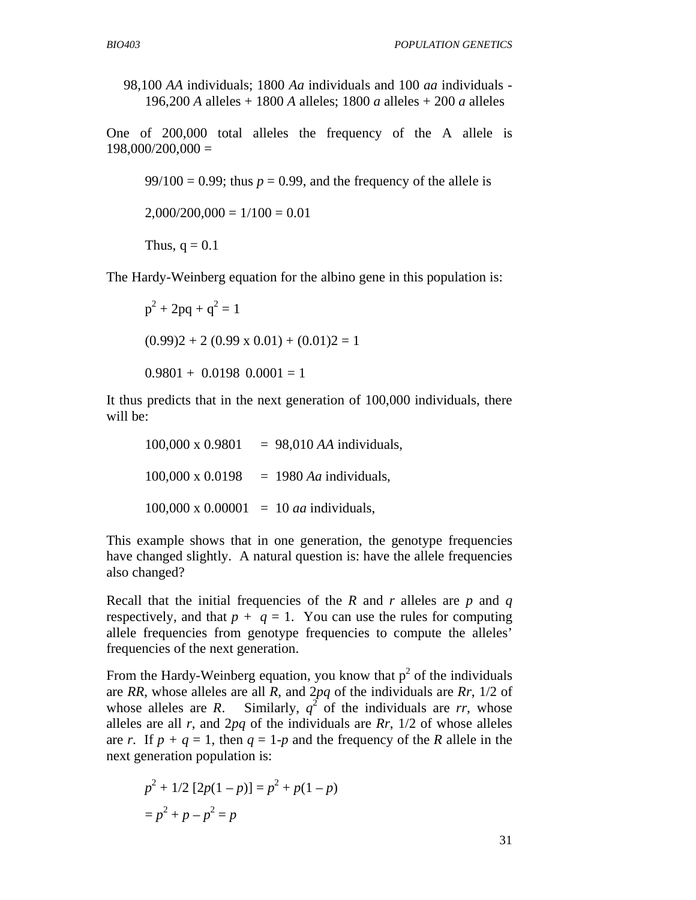98,100 *AA* individuals; 1800 *Aa* individuals and 100 *aa* individuals - 196,200 *A* alleles + 1800 *A* alleles; 1800 *a* alleles + 200 *a* alleles

One of 200,000 total alleles the frequency of the A allele is  $198,000/200,000 =$ 

 $99/100 = 0.99$ ; thus  $p = 0.99$ , and the frequency of the allele is  $2,000/200,000 = 1/100 = 0.01$ Thus,  $q = 0.1$ 

The Hardy-Weinberg equation for the albino gene in this population is:

$$
p^{2} + 2pq + q^{2} = 1
$$
  
(0.99)2 + 2 (0.99 x 0.01) + (0.01)2 = 1  
0.9801 + 0.0198 0.0001 = 1

It thus predicts that in the next generation of 100,000 individuals, there will be:

\n
$$
100,000 \times 0.9801 = 98,010 \, AA \text{ individuals},
$$
\n

\n\n $100,000 \times 0.0198 = 1980 \, A \, a \text{ individuals},$ \n

\n\n $100,000 \times 0.00001 = 10 \, aa \text{ individuals},$ \n

This example shows that in one generation, the genotype frequencies have changed slightly. A natural question is: have the allele frequencies also changed?

Recall that the initial frequencies of the *R* and *r* alleles are *p* and *q* respectively, and that  $p + q = 1$ . You can use the rules for computing allele frequencies from genotype frequencies to compute the alleles' frequencies of the next generation.

From the Hardy-Weinberg equation, you know that  $p^2$  of the individuals are *RR*, whose alleles are all *R*, and 2*pq* of the individuals are *Rr*, 1/2 of whose alleles are *R*. Similarly,  $q^2$  of the individuals are *rr*, whose alleles are all *r*, and 2*pq* of the individuals are *Rr*, 1/2 of whose alleles are *r*. If  $p + q = 1$ , then  $q = 1-p$  and the frequency of the *R* allele in the next generation population is:

$$
p^{2} + 1/2 [2p(1-p)] = p^{2} + p(1-p)
$$
  
= p<sup>2</sup> + p - p<sup>2</sup> = p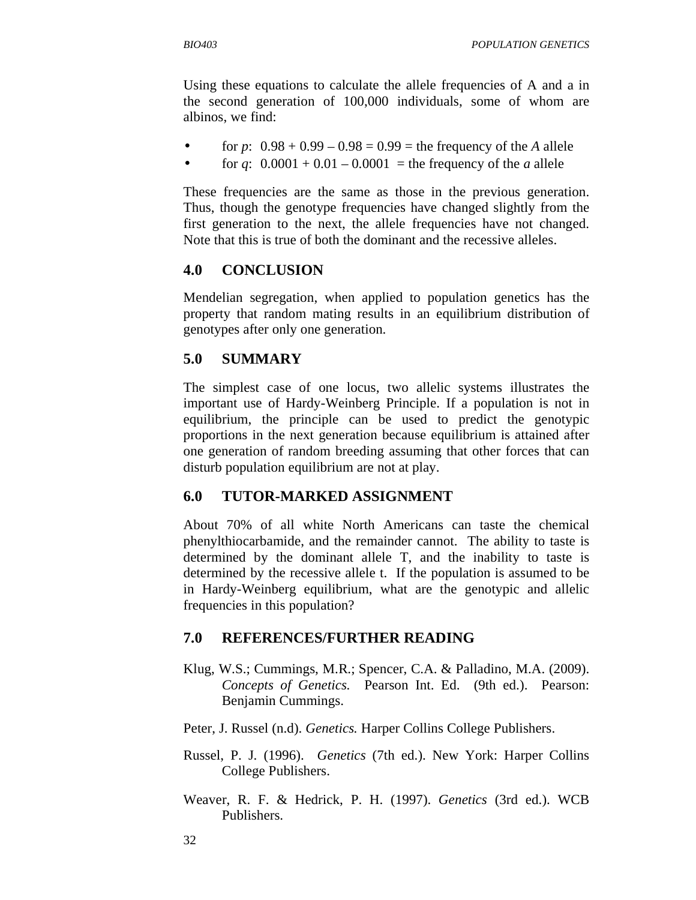Using these equations to calculate the allele frequencies of A and a in the second generation of 100,000 individuals, some of whom are albinos, we find:

- for *p*:  $0.98 + 0.99 0.98 = 0.99$  = the frequency of the *A* allele
- for *q*:  $0.0001 + 0.01 0.0001$  = the frequency of the *a* allele

These frequencies are the same as those in the previous generation. Thus, though the genotype frequencies have changed slightly from the first generation to the next, the allele frequencies have not changed. Note that this is true of both the dominant and the recessive alleles.

## **4.0 CONCLUSION**

Mendelian segregation, when applied to population genetics has the property that random mating results in an equilibrium distribution of genotypes after only one generation.

## **5.0 SUMMARY**

The simplest case of one locus, two allelic systems illustrates the important use of Hardy-Weinberg Principle. If a population is not in equilibrium, the principle can be used to predict the genotypic proportions in the next generation because equilibrium is attained after one generation of random breeding assuming that other forces that can disturb population equilibrium are not at play.

## **6.0 TUTOR-MARKED ASSIGNMENT**

About 70% of all white North Americans can taste the chemical phenylthiocarbamide, and the remainder cannot. The ability to taste is determined by the dominant allele T, and the inability to taste is determined by the recessive allele t. If the population is assumed to be in Hardy-Weinberg equilibrium, what are the genotypic and allelic frequencies in this population?

## **7.0 REFERENCES/FURTHER READING**

Klug, W.S.; Cummings, M.R.; Spencer, C.A. & Palladino, M.A. (2009). *Concepts of Genetics.* Pearson Int. Ed. (9th ed.). Pearson: Benjamin Cummings.

Peter, J. Russel (n.d). *Genetics.* Harper Collins College Publishers.

- Russel, P. J. (1996). *Genetics* (7th ed.). New York: Harper Collins College Publishers.
- Weaver, R. F. & Hedrick, P. H. (1997). *Genetics* (3rd ed.). WCB Publishers.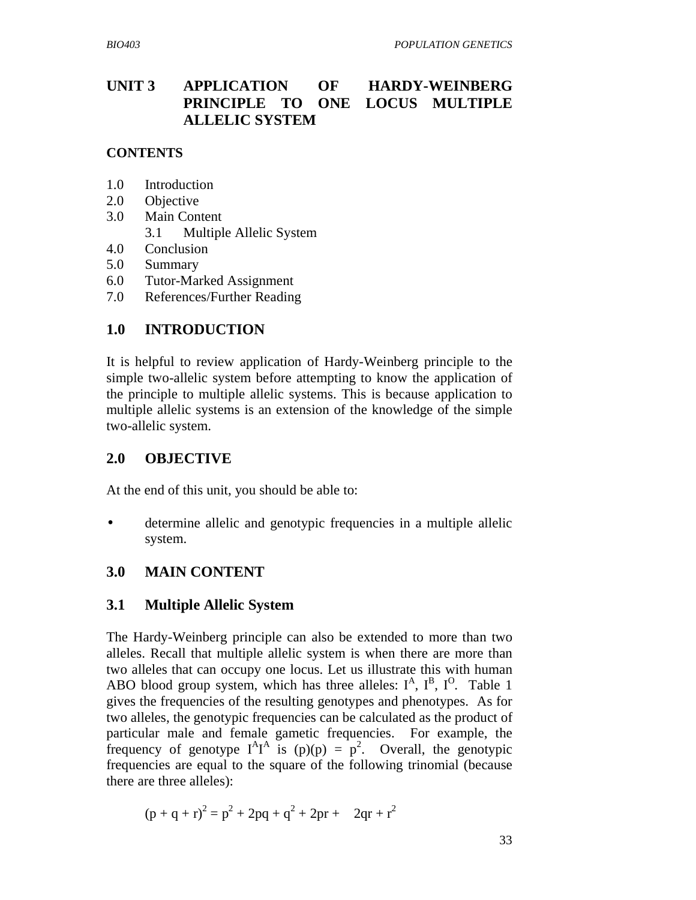## **UNIT 3 APPLICATION OF HARDY-WEINBERG PRINCIPLE TO ONE LOCUS MULTIPLE ALLELIC SYSTEM**

### **CONTENTS**

- 1.0 Introduction
- 2.0 Objective
- 3.0 Main Content
	- 3.1 Multiple Allelic System
- 4.0 Conclusion
- 5.0 Summary
- 6.0 Tutor-Marked Assignment
- 7.0 References/Further Reading

## **1.0 INTRODUCTION**

It is helpful to review application of Hardy-Weinberg principle to the simple two-allelic system before attempting to know the application of the principle to multiple allelic systems. This is because application to multiple allelic systems is an extension of the knowledge of the simple two-allelic system.

## **2.0 OBJECTIVE**

At the end of this unit, you should be able to:

• determine allelic and genotypic frequencies in a multiple allelic system.

# **3.0 MAIN CONTENT**

## **3.1 Multiple Allelic System**

The Hardy-Weinberg principle can also be extended to more than two alleles. Recall that multiple allelic system is when there are more than two alleles that can occupy one locus. Let us illustrate this with human ABO blood group system, which has three alleles:  $I^A$ ,  $I^B$ ,  $I^O$ . Table 1 gives the frequencies of the resulting genotypes and phenotypes. As for two alleles, the genotypic frequencies can be calculated as the product of particular male and female gametic frequencies. For example, the frequency of genotype  $I^A I^A$  is (p)(p) =  $p^2$ . Overall, the genotypic frequencies are equal to the square of the following trinomial (because there are three alleles):

$$
(p + q + r)2 = p2 + 2pq + q2 + 2pr + 2qr + r2
$$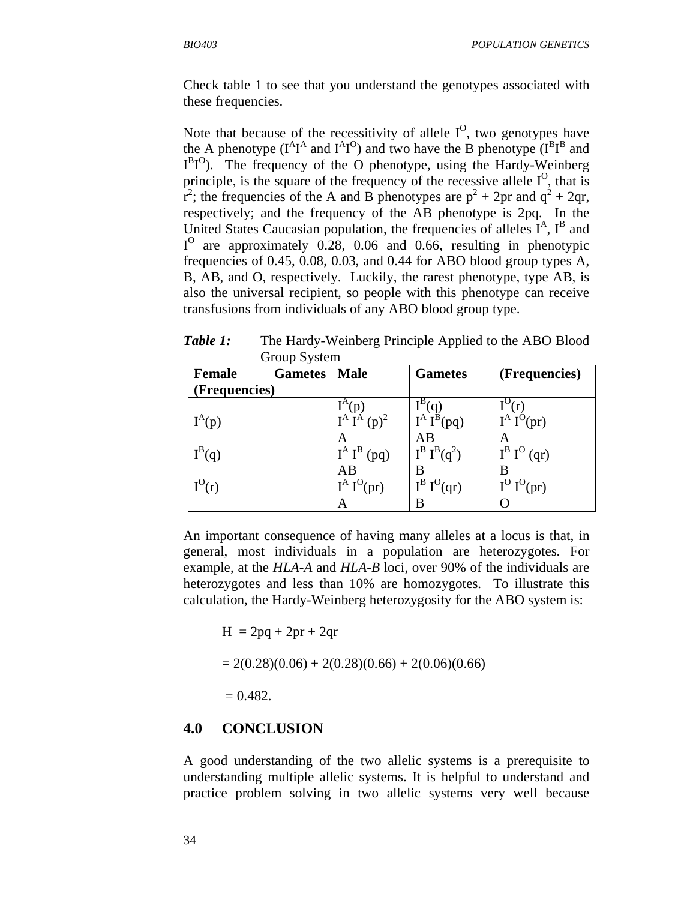Check table 1 to see that you understand the genotypes associated with these frequencies.

Note that because of the recessitivity of allele  $I^O$ , two genotypes have the A phenotype  $(I^A I^A$  and  $I^A I^O$ ) and two have the B phenotype  $(I^B I^B$  and  $I^B I^O$ ). The frequency of the O phenotype, using the Hardy-Weinberg principle, is the square of the frequency of the recessive allele  $I^O$ , that is  $\hat{r}^2$ ; the frequencies of the A and B phenotypes are  $p^2 + 2pr$  and  $q^2 + 2qr$ , respectively; and the frequency of the AB phenotype is 2pq. In the United States Caucasian population, the frequencies of alleles  $I^A$ ,  $I^B$  and  $I^{\circ}$  are approximately 0.28, 0.06 and 0.66, resulting in phenotypic frequencies of 0.45, 0.08, 0.03, and 0.44 for ABO blood group types A, B, AB, and O, respectively. Luckily, the rarest phenotype, type AB, is also the universal recipient, so people with this phenotype can receive transfusions from individuals of any ABO blood group type.

**Table 1:** The Hardy-Weinberg Principle Applied to the ABO Blood Group System

| Female         | <b>Gametes</b> | <b>Male</b>              | <b>Gametes</b>                        | (Frequencies)   |
|----------------|----------------|--------------------------|---------------------------------------|-----------------|
| (Frequencies)  |                |                          |                                       |                 |
|                |                | í n                      |                                       |                 |
| $I^A(p)$       |                | $I^A I^A(p)^2$           | $I^A I^B(pq)$                         | $I^A$ $I^O(pr)$ |
|                |                | Α                        | AB                                    | Α               |
| $\overline{q}$ |                | $I^A I^B$<br>(pq)        | $\overline{I^B I^B}$ ( $\mathsf{q}^2$ | τВ<br>(qr)      |
|                |                | AB                       | В                                     | B               |
| '(r)           |                | $\overline{I}^A I^O(pr)$ | $I^{\overline{B}}I^O(qr)$             | $I^O(pr)$<br>тU |
|                |                | A                        | B                                     |                 |

An important consequence of having many alleles at a locus is that, in general, most individuals in a population are heterozygotes. For example, at the *HLA-A* and *HLA-B* loci, over 90% of the individuals are heterozygotes and less than 10% are homozygotes. To illustrate this calculation, the Hardy-Weinberg heterozygosity for the ABO system is:

 $H = 2pq + 2pr + 2qr$  $= 2(0.28)(0.06) + 2(0.28)(0.66) + 2(0.06)(0.66)$ 

 $= 0.482.$ 

## **4.0 CONCLUSION**

A good understanding of the two allelic systems is a prerequisite to understanding multiple allelic systems. It is helpful to understand and practice problem solving in two allelic systems very well because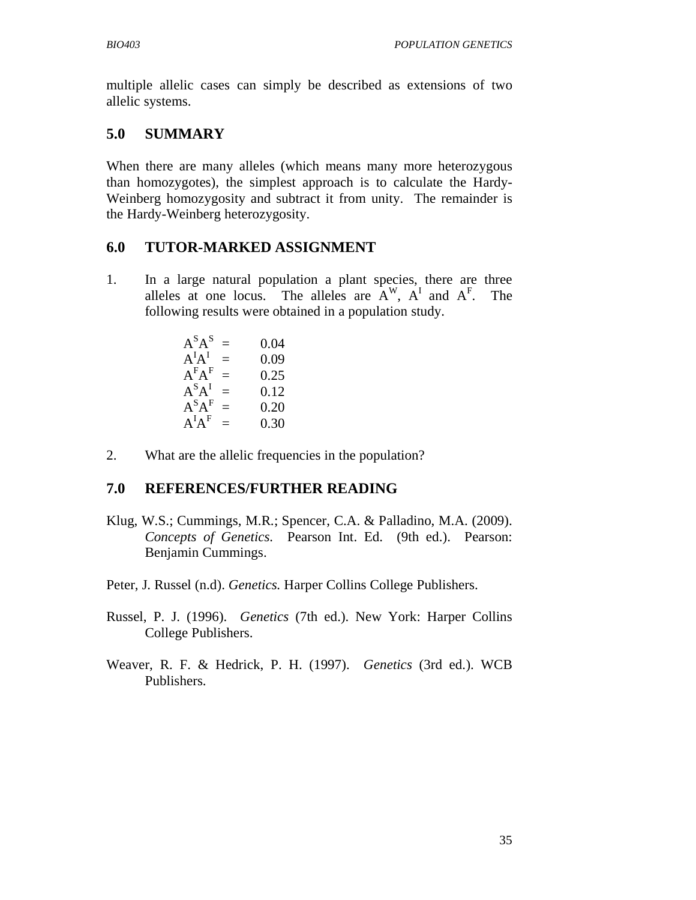multiple allelic cases can simply be described as extensions of two allelic systems.

## **5.0 SUMMARY**

When there are many alleles (which means many more heterozygous than homozygotes), the simplest approach is to calculate the Hardy-Weinberg homozygosity and subtract it from unity. The remainder is the Hardy-Weinberg heterozygosity.

## **6.0 TUTOR-MARKED ASSIGNMENT**

1. In a large natural population a plant species, there are three alleles at one locus. The alleles are  $A^W$ ,  $A^I$  and  $A^F$ . The following results were obtained in a population study.

| $=$ | 0.04 |
|-----|------|
| $=$ | 0.09 |
| $=$ | 0.25 |
|     | 0.12 |
| $=$ | 0.20 |
|     | 0.30 |
|     |      |

2. What are the allelic frequencies in the population?

- Klug, W.S.; Cummings, M.R.; Spencer, C.A. & Palladino, M.A. (2009). *Concepts of Genetics.* Pearson Int. Ed. (9th ed.). Pearson: Benjamin Cummings.
- Peter, J. Russel (n.d). *Genetics.* Harper Collins College Publishers.
- Russel, P. J. (1996). *Genetics* (7th ed.). New York: Harper Collins College Publishers.
- Weaver, R. F. & Hedrick, P. H. (1997). *Genetics* (3rd ed.). WCB Publishers.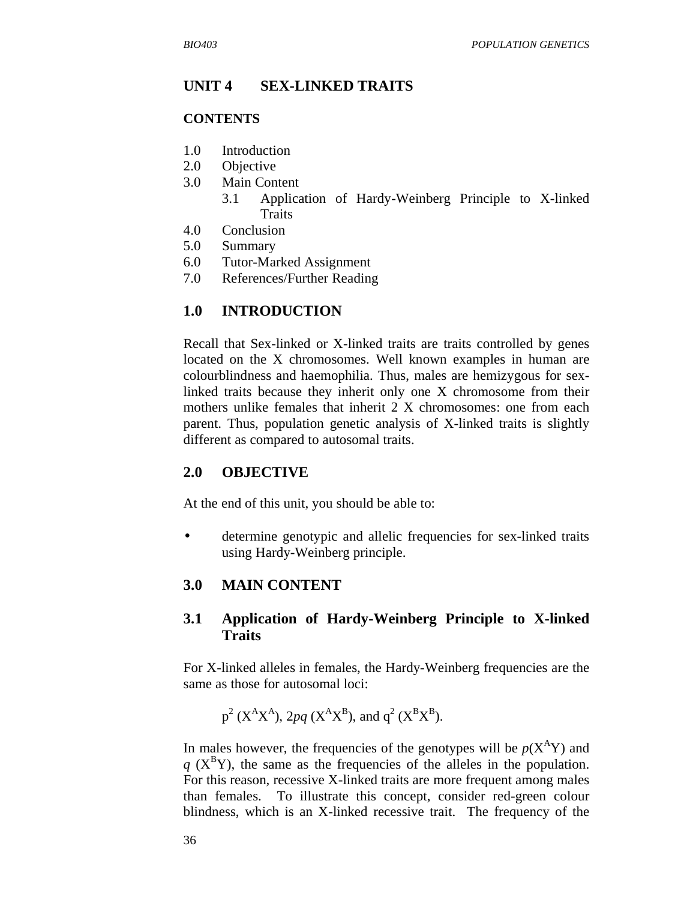#### **UNIT 4 SEX-LINKED TRAITS**

#### **CONTENTS**

- 1.0 Introduction
- 2.0 Objective
- 3.0 Main Content
	- 3.1 Application of Hardy-Weinberg Principle to X-linked **Traits**
- 4.0 Conclusion
- 5.0 Summary
- 6.0 Tutor-Marked Assignment
- 7.0 References/Further Reading

#### **1.0 INTRODUCTION**

Recall that Sex-linked or X-linked traits are traits controlled by genes located on the X chromosomes. Well known examples in human are colourblindness and haemophilia. Thus, males are hemizygous for sexlinked traits because they inherit only one X chromosome from their mothers unlike females that inherit 2 X chromosomes: one from each parent. Thus, population genetic analysis of X-linked traits is slightly different as compared to autosomal traits.

#### **2.0 OBJECTIVE**

At the end of this unit, you should be able to:

• determine genotypic and allelic frequencies for sex-linked traits using Hardy-Weinberg principle.

#### **3.0 MAIN CONTENT**

#### **3.1 Application of Hardy-Weinberg Principle to X-linked Traits**

For X-linked alleles in females, the Hardy-Weinberg frequencies are the same as those for autosomal loci:

$$
p^{2}
$$
 (X<sup>A</sup>X<sup>A</sup>), 2pq (X<sup>A</sup>X<sup>B</sup>), and q<sup>2</sup> (X<sup>B</sup>X<sup>B</sup>).

In males however, the frequencies of the genotypes will be  $p(X^AY)$  and  $q$  ( $X^B$ Y), the same as the frequencies of the alleles in the population. For this reason, recessive X-linked traits are more frequent among males than females. To illustrate this concept, consider red-green colour blindness, which is an X-linked recessive trait. The frequency of the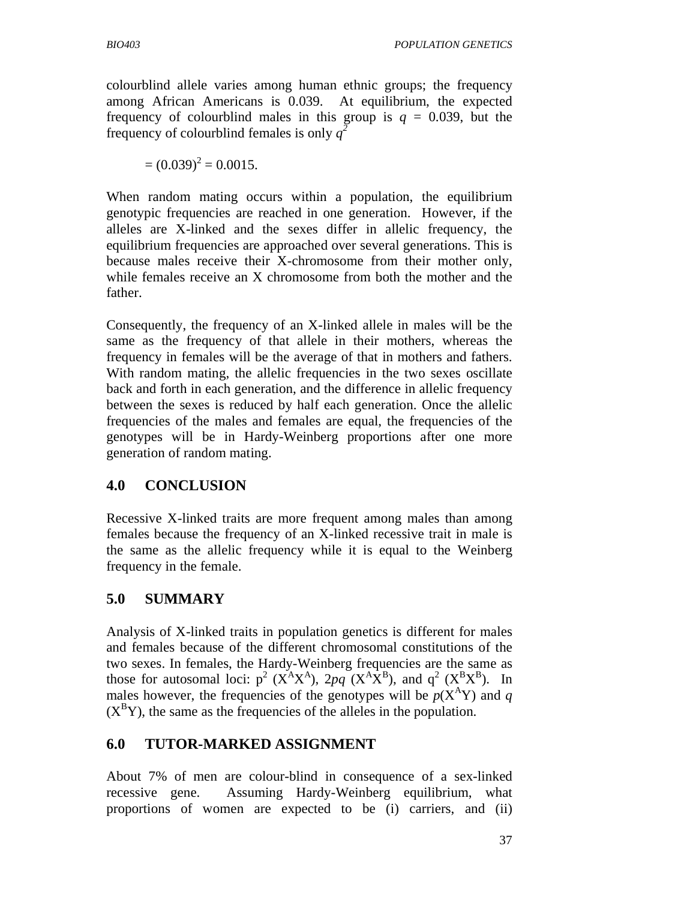colourblind allele varies among human ethnic groups; the frequency among African Americans is 0.039. At equilibrium, the expected frequency of colourblind males in this group is  $q = 0.039$ , but the frequency of colourblind females is only  $q^2$ 

 $=(0.039)^2=0.0015.$ 

When random mating occurs within a population, the equilibrium genotypic frequencies are reached in one generation. However, if the alleles are X-linked and the sexes differ in allelic frequency, the equilibrium frequencies are approached over several generations. This is because males receive their X-chromosome from their mother only, while females receive an X chromosome from both the mother and the father.

Consequently, the frequency of an X-linked allele in males will be the same as the frequency of that allele in their mothers, whereas the frequency in females will be the average of that in mothers and fathers. With random mating, the allelic frequencies in the two sexes oscillate back and forth in each generation, and the difference in allelic frequency between the sexes is reduced by half each generation. Once the allelic frequencies of the males and females are equal, the frequencies of the genotypes will be in Hardy-Weinberg proportions after one more generation of random mating.

# **4.0 CONCLUSION**

Recessive X-linked traits are more frequent among males than among females because the frequency of an X-linked recessive trait in male is the same as the allelic frequency while it is equal to the Weinberg frequency in the female.

# **5.0 SUMMARY**

Analysis of X-linked traits in population genetics is different for males and females because of the different chromosomal constitutions of the two sexes. In females, the Hardy-Weinberg frequencies are the same as those for autosomal loci:  $p^2$  ( $X^AX^A$ ),  $2pq$  ( $X^A\overline{X}^B$ ), and  $q^2$  ( $X^BX^B$ ). In males however, the frequencies of the genotypes will be  $p(X^AY)$  and q  $(X^B Y)$ , the same as the frequencies of the alleles in the population.

# **6.0 TUTOR-MARKED ASSIGNMENT**

About 7% of men are colour-blind in consequence of a sex-linked recessive gene. Assuming Hardy-Weinberg equilibrium, what proportions of women are expected to be (i) carriers, and (ii)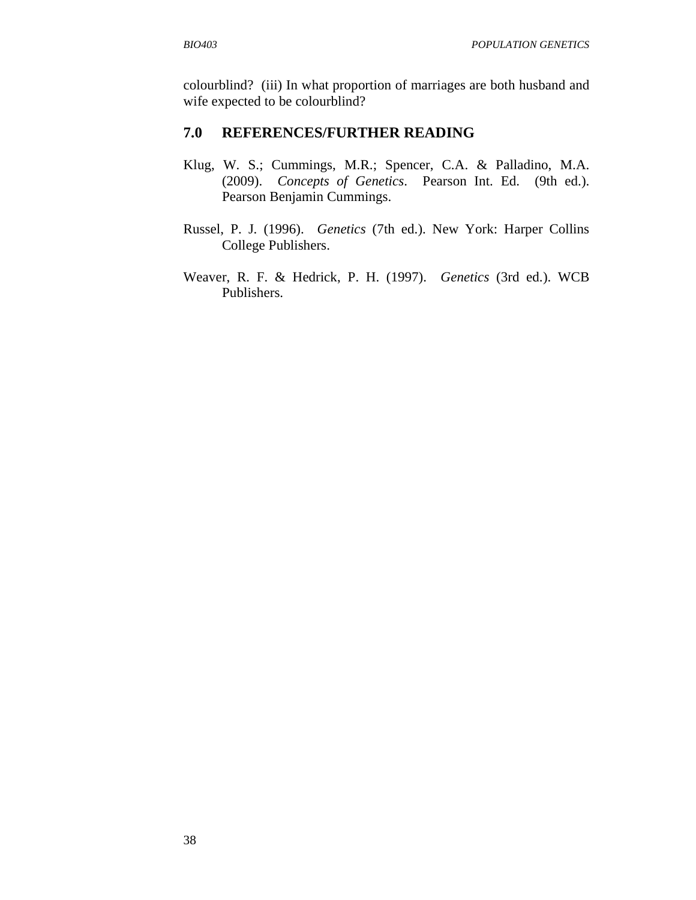colourblind? (iii) In what proportion of marriages are both husband and wife expected to be colourblind?

- Klug, W. S.; Cummings, M.R.; Spencer, C.A. & Palladino, M.A. (2009). *Concepts of Genetics*. Pearson Int. Ed. (9th ed.). Pearson Benjamin Cummings.
- Russel, P. J. (1996). *Genetics* (7th ed.). New York: Harper Collins College Publishers.
- Weaver, R. F. & Hedrick, P. H. (1997). *Genetics* (3rd ed.). WCB Publishers.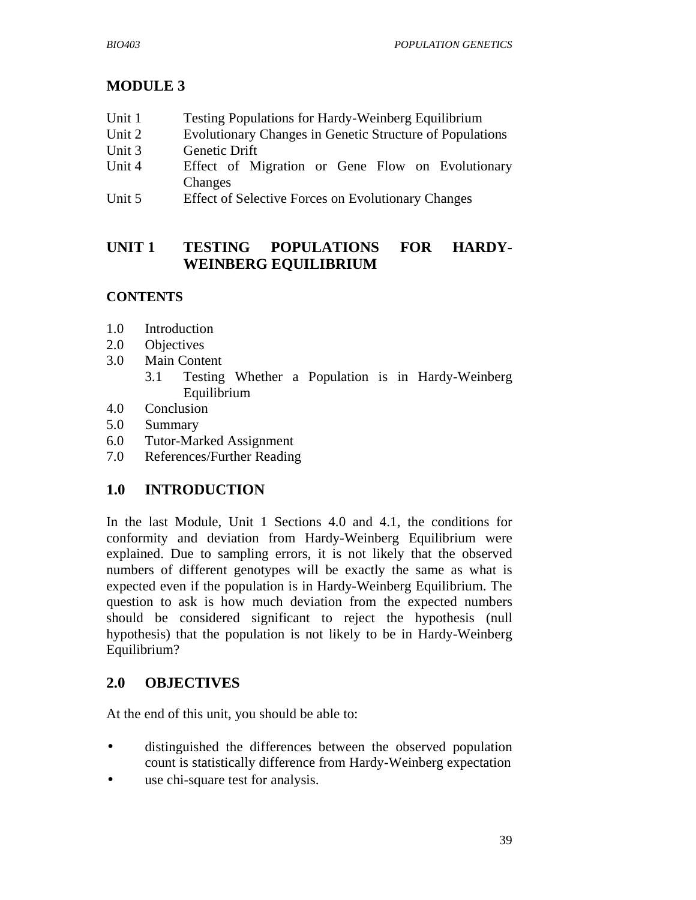# **MODULE 3**

- Unit 1 Testing Populations for Hardy-Weinberg Equilibrium
- Unit 2 Evolutionary Changes in Genetic Structure of Populations
- Unit 3 Genetic Drift
- Unit 4 Effect of Migration or Gene Flow on Evolutionary Changes
- Unit 5 Effect of Selective Forces on Evolutionary Changes

# **UNIT 1 TESTING POPULATIONS FOR HARDY-WEINBERG EQUILIBRIUM**

# **CONTENTS**

- 1.0 Introduction
- 2.0 Objectives
- 3.0 Main Content
	- 3.1 Testing Whether a Population is in Hardy-Weinberg Equilibrium
- 4.0 Conclusion
- 5.0 Summary
- 6.0 Tutor-Marked Assignment
- 7.0 References/Further Reading

# **1.0 INTRODUCTION**

In the last Module, Unit 1 Sections 4.0 and 4.1, the conditions for conformity and deviation from Hardy-Weinberg Equilibrium were explained. Due to sampling errors, it is not likely that the observed numbers of different genotypes will be exactly the same as what is expected even if the population is in Hardy-Weinberg Equilibrium. The question to ask is how much deviation from the expected numbers should be considered significant to reject the hypothesis (null hypothesis) that the population is not likely to be in Hardy-Weinberg Equilibrium?

# **2.0 OBJECTIVES**

At the end of this unit, you should be able to:

- distinguished the differences between the observed population count is statistically difference from Hardy-Weinberg expectation
- use chi-square test for analysis.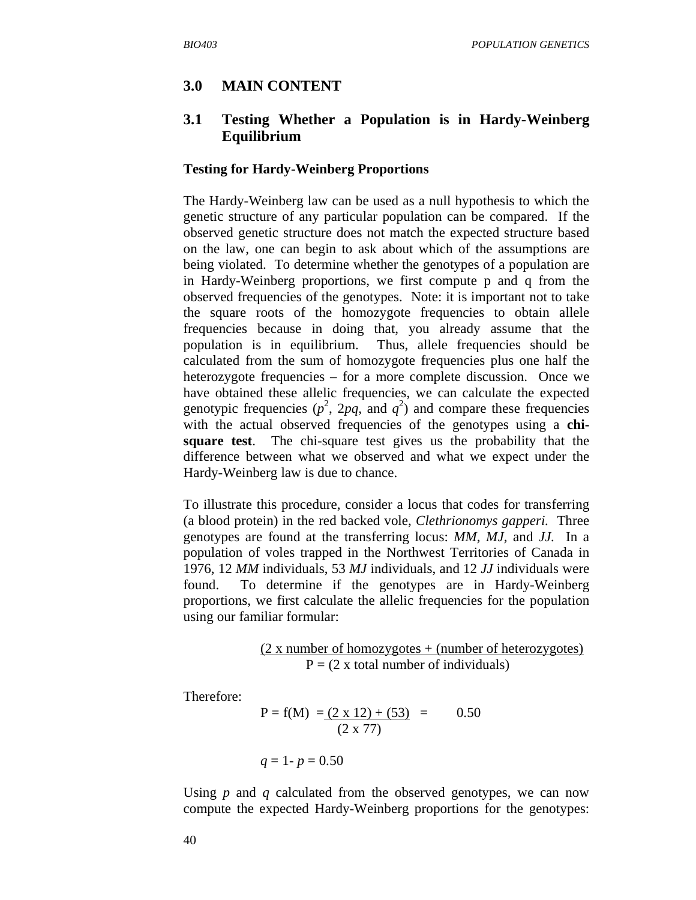## **3.0 MAIN CONTENT**

#### **3.1 Testing Whether a Population is in Hardy-Weinberg Equilibrium**

#### **Testing for Hardy-Weinberg Proportions**

The Hardy-Weinberg law can be used as a null hypothesis to which the genetic structure of any particular population can be compared. If the observed genetic structure does not match the expected structure based on the law, one can begin to ask about which of the assumptions are being violated. To determine whether the genotypes of a population are in Hardy-Weinberg proportions, we first compute p and q from the observed frequencies of the genotypes. Note: it is important not to take the square roots of the homozygote frequencies to obtain allele frequencies because in doing that, you already assume that the population is in equilibrium. Thus, allele frequencies should be calculated from the sum of homozygote frequencies plus one half the heterozygote frequencies – for a more complete discussion. Once we have obtained these allelic frequencies, we can calculate the expected genotypic frequencies  $(p^2, 2pq,$  and  $q^2)$  and compare these frequencies with the actual observed frequencies of the genotypes using a **chisquare test**. The chi-square test gives us the probability that the difference between what we observed and what we expect under the Hardy-Weinberg law is due to chance.

To illustrate this procedure, consider a locus that codes for transferring (a blood protein) in the red backed vole, *Clethrionomys gapperi.* Three genotypes are found at the transferring locus: *MM, MJ,* and *JJ.* In a population of voles trapped in the Northwest Territories of Canada in 1976, 12 *MM* individuals, 53 *MJ* individuals, and 12 *JJ* individuals were found. To determine if the genotypes are in Hardy-Weinberg proportions, we first calculate the allelic frequencies for the population using our familiar formular:

$$
\frac{(2 x number of homozygotes + (number of heterozygotes)}{P = (2 x total number of individuals)}
$$

Therefore:

$$
P = f(M) = \frac{(2 \times 12) + (53)}{(2 \times 77)} = 0.50
$$

$$
q = 1 - p = 0.50
$$

Using *p* and *q* calculated from the observed genotypes, we can now compute the expected Hardy-Weinberg proportions for the genotypes: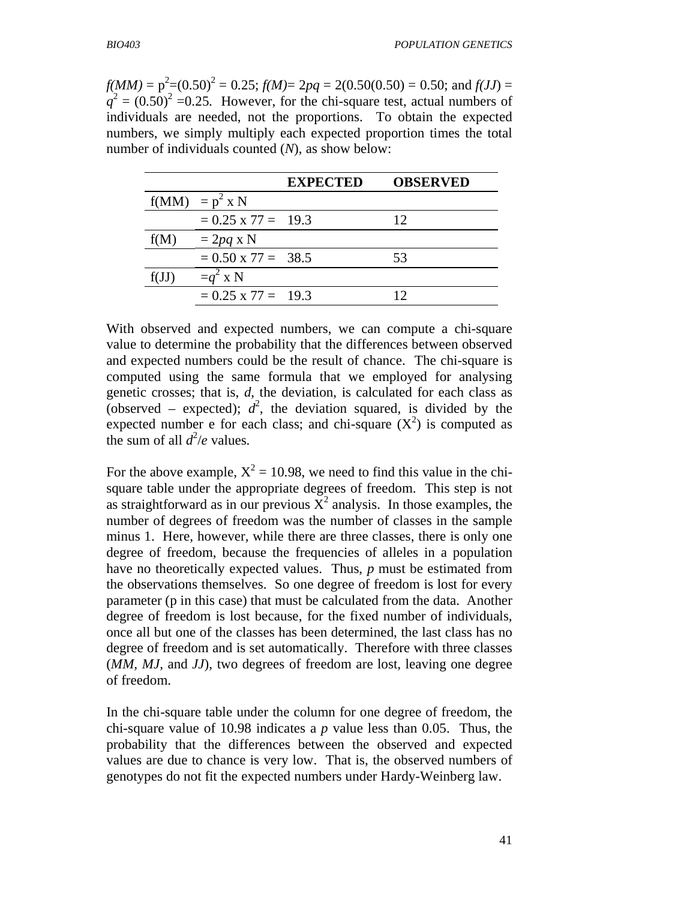$f(MM) = p^2 = (0.50)^2 = 0.25$ ;  $f(M) = 2pq = 2(0.50(0.50) = 0.50$ ; and  $f(JJ) =$  $q^2 = (0.50)^2 = 0.25$ . However, for the chi-square test, actual numbers of individuals are needed, not the proportions. To obtain the expected numbers, we simply multiply each expected proportion times the total number of individuals counted (*N*), as show below:

|       |                           | <b>EXPECTED</b> | <b>OBSERVED</b> |
|-------|---------------------------|-----------------|-----------------|
|       | $f(MM) = p^2 X N$         |                 |                 |
|       | $= 0.25 \times 77 = 19.3$ |                 | 12              |
| f(M)  | $= 2pq \times N$          |                 |                 |
|       | $= 0.50 \times 77 = 38.5$ |                 | 53              |
| f(JJ) | $=q^2$ x N                |                 |                 |
|       | $= 0.25 \times 77 = 19.3$ |                 | 12              |

With observed and expected numbers, we can compute a chi-square value to determine the probability that the differences between observed and expected numbers could be the result of chance. The chi-square is computed using the same formula that we employed for analysing genetic crosses; that is, *d*, the deviation, is calculated for each class as (observed – expected);  $d^2$ , the deviation squared, is divided by the expected number e for each class; and chi-square  $(X^2)$  is computed as the sum of all  $d^2/e$  values.

For the above example,  $X^2 = 10.98$ , we need to find this value in the chisquare table under the appropriate degrees of freedom. This step is not as straightforward as in our previous  $\overline{X}^2$  analysis. In those examples, the number of degrees of freedom was the number of classes in the sample minus 1. Here, however, while there are three classes, there is only one degree of freedom, because the frequencies of alleles in a population have no theoretically expected values. Thus, *p* must be estimated from the observations themselves. So one degree of freedom is lost for every parameter (p in this case) that must be calculated from the data. Another degree of freedom is lost because, for the fixed number of individuals, once all but one of the classes has been determined, the last class has no degree of freedom and is set automatically. Therefore with three classes (*MM, MJ*, and *JJ*), two degrees of freedom are lost, leaving one degree of freedom.

In the chi-square table under the column for one degree of freedom, the chi-square value of 10.98 indicates a *p* value less than 0.05. Thus, the probability that the differences between the observed and expected values are due to chance is very low. That is, the observed numbers of genotypes do not fit the expected numbers under Hardy-Weinberg law.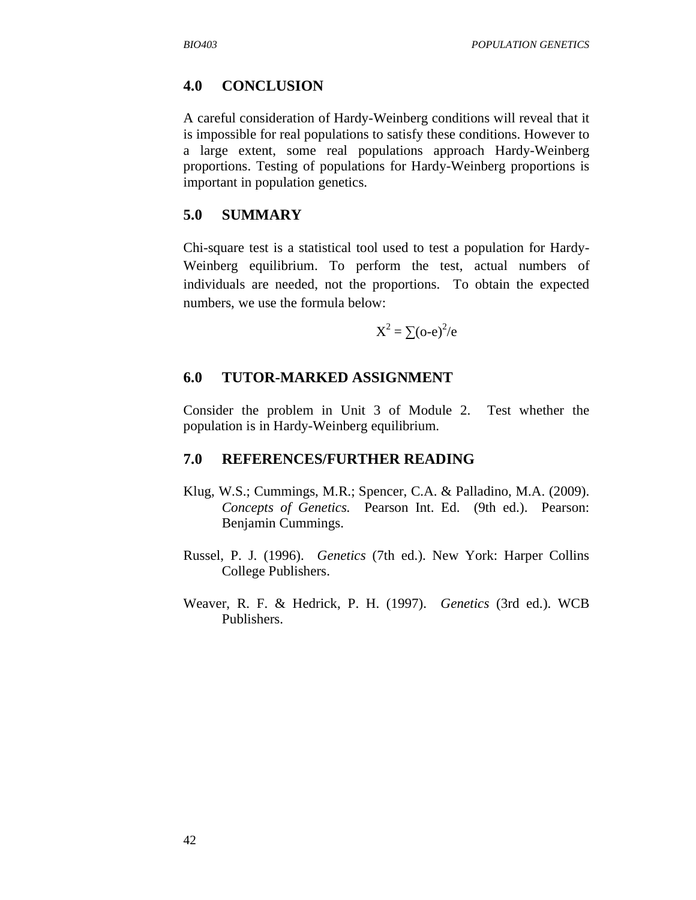## **4.0 CONCLUSION**

A careful consideration of Hardy-Weinberg conditions will reveal that it is impossible for real populations to satisfy these conditions. However to a large extent, some real populations approach Hardy-Weinberg proportions. Testing of populations for Hardy-Weinberg proportions is important in population genetics.

## **5.0 SUMMARY**

Chi-square test is a statistical tool used to test a population for Hardy-Weinberg equilibrium. To perform the test, actual numbers of individuals are needed, not the proportions. To obtain the expected numbers, we use the formula below:

$$
X^2 = \sum (o-e)^2/e
$$

## **6.0 TUTOR-MARKED ASSIGNMENT**

Consider the problem in Unit 3 of Module 2. Test whether the population is in Hardy-Weinberg equilibrium.

- Klug, W.S.; Cummings, M.R.; Spencer, C.A. & Palladino, M.A. (2009). *Concepts of Genetics.* Pearson Int. Ed. (9th ed.). Pearson: Benjamin Cummings.
- Russel, P. J. (1996). *Genetics* (7th ed.). New York: Harper Collins College Publishers.
- Weaver, R. F. & Hedrick, P. H. (1997). *Genetics* (3rd ed.). WCB Publishers.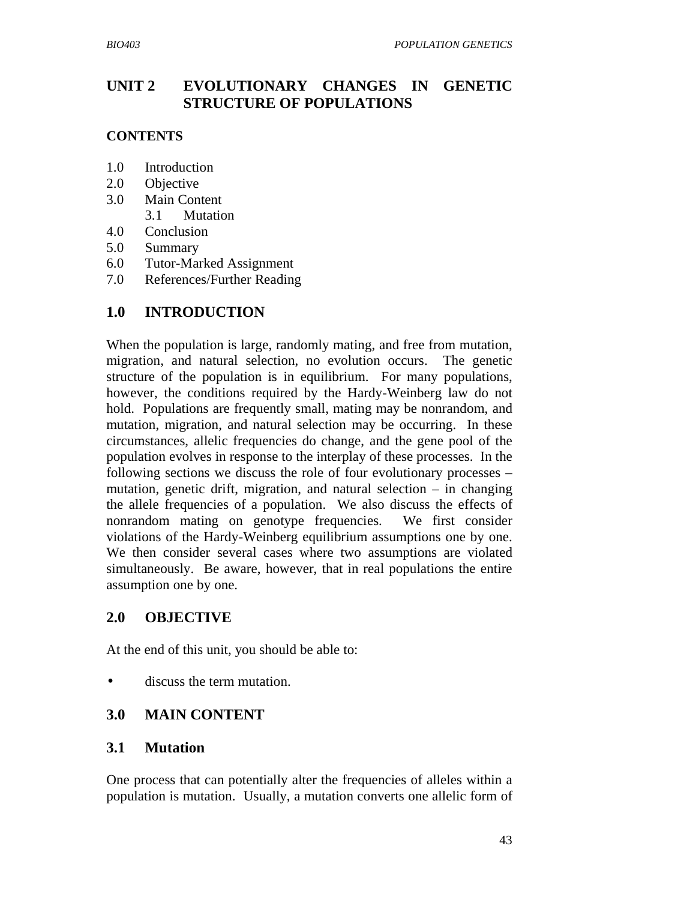## **UNIT 2 EVOLUTIONARY CHANGES IN GENETIC STRUCTURE OF POPULATIONS**

## **CONTENTS**

- 1.0 Introduction
- 2.0 Objective
- 3.0 Main Content
	- 3.1 Mutation
- 4.0 Conclusion
- 5.0 Summary
- 6.0 Tutor-Marked Assignment
- 7.0 References/Further Reading

# **1.0 INTRODUCTION**

When the population is large, randomly mating, and free from mutation, migration, and natural selection, no evolution occurs. The genetic structure of the population is in equilibrium. For many populations, however, the conditions required by the Hardy-Weinberg law do not hold. Populations are frequently small, mating may be nonrandom, and mutation, migration, and natural selection may be occurring. In these circumstances, allelic frequencies do change, and the gene pool of the population evolves in response to the interplay of these processes. In the following sections we discuss the role of four evolutionary processes – mutation, genetic drift, migration, and natural selection – in changing the allele frequencies of a population. We also discuss the effects of nonrandom mating on genotype frequencies. We first consider violations of the Hardy-Weinberg equilibrium assumptions one by one. We then consider several cases where two assumptions are violated simultaneously. Be aware, however, that in real populations the entire assumption one by one.

# **2.0 OBJECTIVE**

At the end of this unit, you should be able to:

• discuss the term mutation.

# **3.0 MAIN CONTENT**

## **3.1 Mutation**

One process that can potentially alter the frequencies of alleles within a population is mutation. Usually, a mutation converts one allelic form of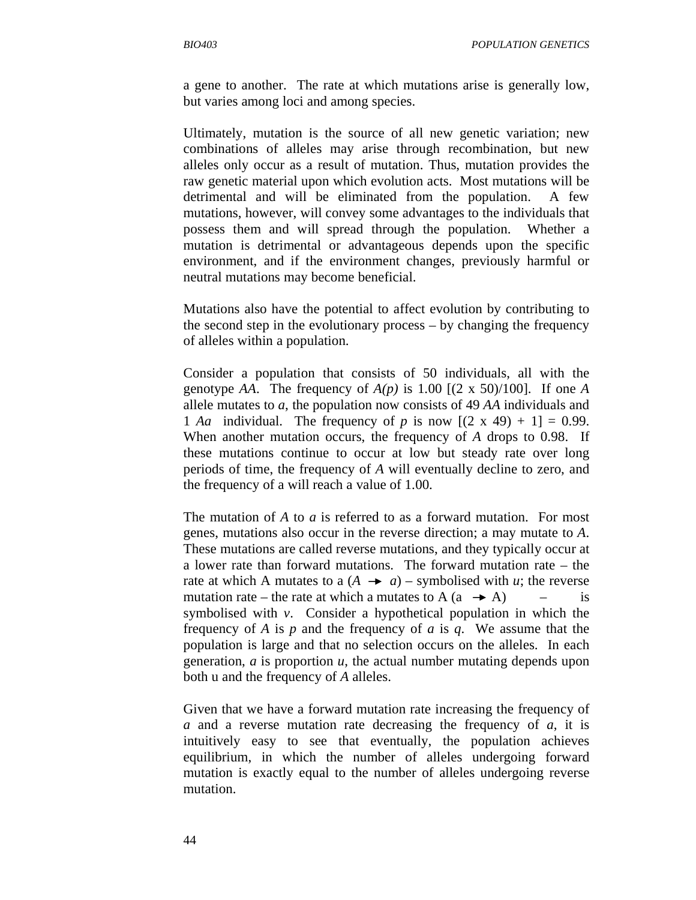a gene to another. The rate at which mutations arise is generally low, but varies among loci and among species.

Ultimately, mutation is the source of all new genetic variation; new combinations of alleles may arise through recombination, but new alleles only occur as a result of mutation. Thus, mutation provides the raw genetic material upon which evolution acts. Most mutations will be detrimental and will be eliminated from the population. A few mutations, however, will convey some advantages to the individuals that possess them and will spread through the population. Whether a mutation is detrimental or advantageous depends upon the specific environment, and if the environment changes, previously harmful or neutral mutations may become beneficial.

Mutations also have the potential to affect evolution by contributing to the second step in the evolutionary process – by changing the frequency of alleles within a population.

Consider a population that consists of 50 individuals, all with the genotype AA. The frequency of  $A(p)$  is 1.00 [(2 x 50)/100]. If one A allele mutates to *a*, the population now consists of 49 *AA* individuals and 1 *Aa* individual. The frequency of *p* is now  $[(2 \times 49) + 1] = 0.99$ . When another mutation occurs, the frequency of *A* drops to 0.98. If these mutations continue to occur at low but steady rate over long periods of time, the frequency of *A* will eventually decline to zero, and the frequency of a will reach a value of 1.00.

The mutation of *A* to *a* is referred to as a forward mutation. For most genes, mutations also occur in the reverse direction; a may mutate to *A*. These mutations are called reverse mutations, and they typically occur at a lower rate than forward mutations. The forward mutation rate – the rate at which A mutates to a  $(A \rightarrow a)$  – symbolised with *u*; the reverse mutation rate – the rate at which a mutates to A  $(a \rightarrow A)$  – is symbolised with *v*. Consider a hypothetical population in which the frequency of *A* is *p* and the frequency of *a* is *q*. We assume that the population is large and that no selection occurs on the alleles. In each generation, *a* is proportion *u*, the actual number mutating depends upon both u and the frequency of *A* alleles.

Given that we have a forward mutation rate increasing the frequency of *a* and a reverse mutation rate decreasing the frequency of *a*, it is intuitively easy to see that eventually, the population achieves equilibrium, in which the number of alleles undergoing forward mutation is exactly equal to the number of alleles undergoing reverse mutation.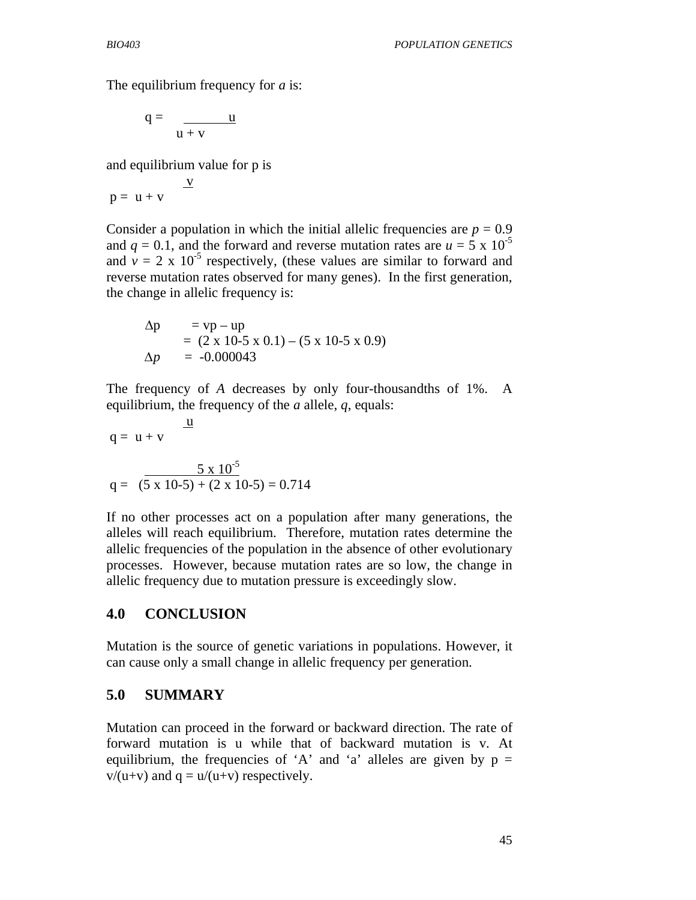The equilibrium frequency for *a* is:

$$
q = \frac{u}{u+v}
$$

and equilibrium value for p is v

$$
p = u + v
$$

Consider a population in which the initial allelic frequencies are  $p = 0.9$ and  $q = 0.1$ , and the forward and reverse mutation rates are  $u = 5 \times 10^{-5}$ and  $v = 2 \times 10^{-5}$  respectively, (these values are similar to forward and reverse mutation rates observed for many genes). In the first generation, the change in allelic frequency is:

$$
\Delta p = vp - up
$$
  
= (2 x 10-5 x 0.1) – (5 x 10-5 x 0.9)  

$$
\Delta p = -0.000043
$$

The frequency of *A* decreases by only four-thousandths of 1%. A equilibrium, the frequency of the *a* allele, *q*, equals:

$$
q = u + v
$$
  
\n
$$
q = \frac{5 \times 10^{-5}}{(5 \times 10^{-5}) + (2 \times 10^{-5})} = 0.714
$$

If no other processes act on a population after many generations, the alleles will reach equilibrium. Therefore, mutation rates determine the allelic frequencies of the population in the absence of other evolutionary processes. However, because mutation rates are so low, the change in allelic frequency due to mutation pressure is exceedingly slow.

#### **4.0 CONCLUSION**

Mutation is the source of genetic variations in populations. However, it can cause only a small change in allelic frequency per generation.

#### **5.0 SUMMARY**

Mutation can proceed in the forward or backward direction. The rate of forward mutation is u while that of backward mutation is v. At equilibrium, the frequencies of 'A' and 'a' alleles are given by  $p =$  $v/(u+v)$  and  $q = u/(u+v)$  respectively.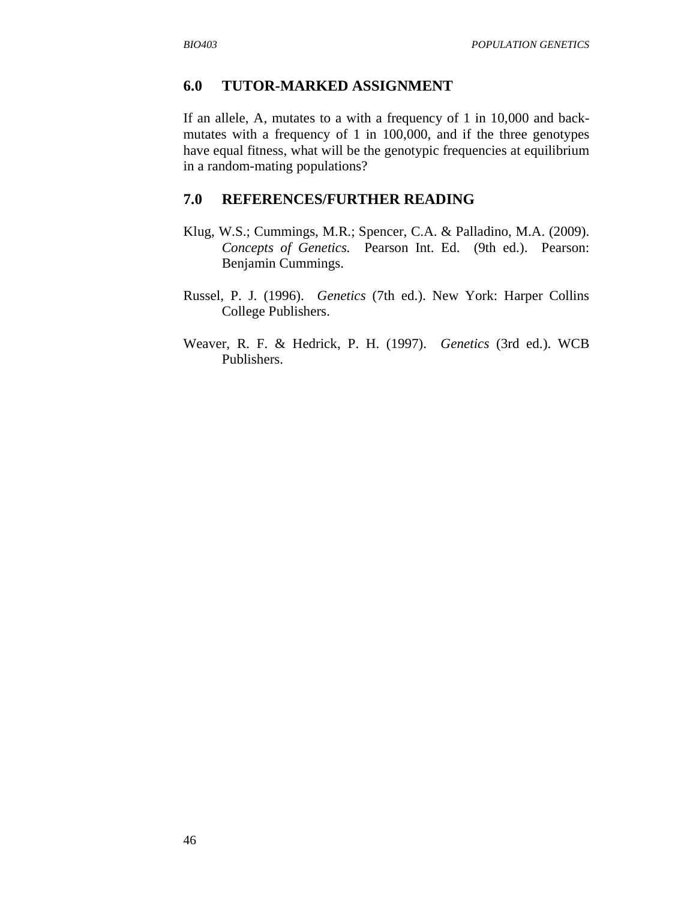## **6.0 TUTOR-MARKED ASSIGNMENT**

If an allele, A, mutates to a with a frequency of 1 in 10,000 and backmutates with a frequency of 1 in 100,000, and if the three genotypes have equal fitness, what will be the genotypic frequencies at equilibrium in a random-mating populations?

- Klug, W.S.; Cummings, M.R.; Spencer, C.A. & Palladino, M.A. (2009). *Concepts of Genetics.* Pearson Int. Ed. (9th ed.). Pearson: Benjamin Cummings.
- Russel, P. J. (1996). *Genetics* (7th ed.). New York: Harper Collins College Publishers.
- Weaver, R. F. & Hedrick, P. H. (1997). *Genetics* (3rd ed.). WCB Publishers.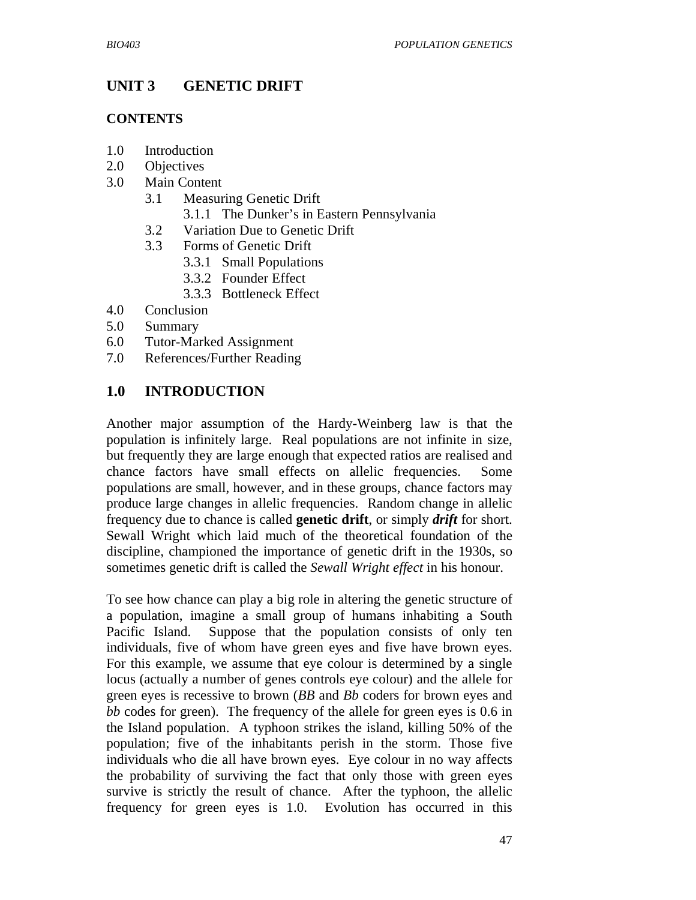# **UNIT 3 GENETIC DRIFT**

### **CONTENTS**

- 1.0 Introduction
- 2.0 Objectives
- 3.0 Main Content
	- 3.1 Measuring Genetic Drift
		- 3.1.1 The Dunker's in Eastern Pennsylvania
	- 3.2 Variation Due to Genetic Drift
	- 3.3 Forms of Genetic Drift
		- 3.3.1 Small Populations
		- 3.3.2 Founder Effect
		- 3.3.3 Bottleneck Effect
- 4.0 Conclusion
- 5.0 Summary
- 6.0 Tutor-Marked Assignment
- 7.0 References/Further Reading

## **1.0 INTRODUCTION**

Another major assumption of the Hardy-Weinberg law is that the population is infinitely large. Real populations are not infinite in size, but frequently they are large enough that expected ratios are realised and chance factors have small effects on allelic frequencies. Some populations are small, however, and in these groups, chance factors may produce large changes in allelic frequencies. Random change in allelic frequency due to chance is called **genetic drift**, or simply *drift* for short. Sewall Wright which laid much of the theoretical foundation of the discipline, championed the importance of genetic drift in the 1930s, so sometimes genetic drift is called the *Sewall Wright effect* in his honour.

To see how chance can play a big role in altering the genetic structure of a population, imagine a small group of humans inhabiting a South Pacific Island. Suppose that the population consists of only ten individuals, five of whom have green eyes and five have brown eyes. For this example, we assume that eye colour is determined by a single locus (actually a number of genes controls eye colour) and the allele for green eyes is recessive to brown (*BB* and *Bb* coders for brown eyes and *bb* codes for green). The frequency of the allele for green eyes is 0.6 in the Island population. A typhoon strikes the island, killing 50% of the population; five of the inhabitants perish in the storm. Those five individuals who die all have brown eyes. Eye colour in no way affects the probability of surviving the fact that only those with green eyes survive is strictly the result of chance. After the typhoon, the allelic frequency for green eyes is 1.0. Evolution has occurred in this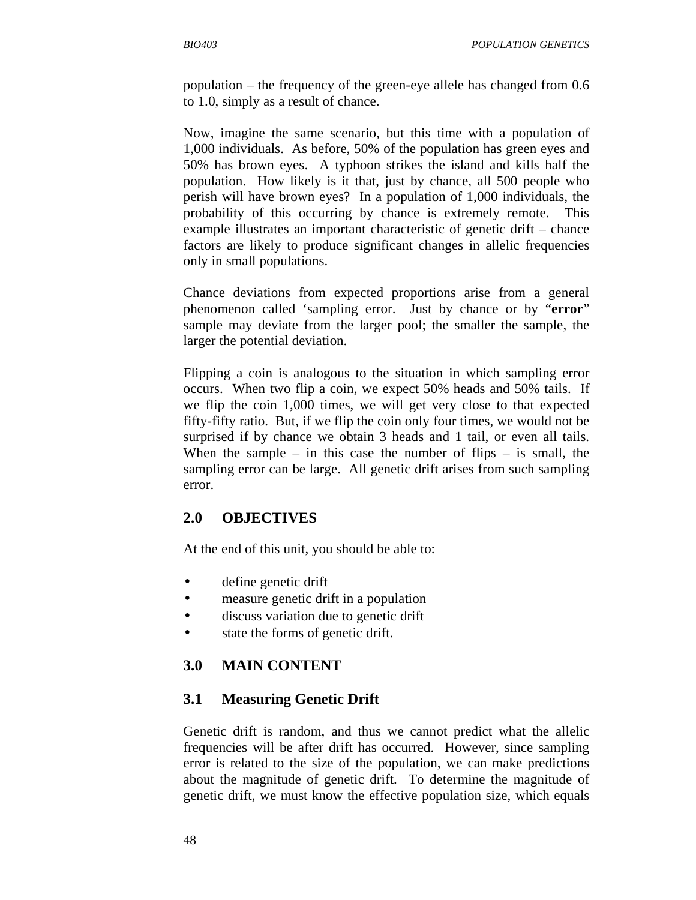population – the frequency of the green-eye allele has changed from 0.6 to 1.0, simply as a result of chance.

Now, imagine the same scenario, but this time with a population of 1,000 individuals. As before, 50% of the population has green eyes and 50% has brown eyes. A typhoon strikes the island and kills half the population. How likely is it that, just by chance, all 500 people who perish will have brown eyes? In a population of 1,000 individuals, the probability of this occurring by chance is extremely remote. This example illustrates an important characteristic of genetic drift – chance factors are likely to produce significant changes in allelic frequencies only in small populations.

Chance deviations from expected proportions arise from a general phenomenon called 'sampling error. Just by chance or by "**error**" sample may deviate from the larger pool; the smaller the sample, the larger the potential deviation.

Flipping a coin is analogous to the situation in which sampling error occurs. When two flip a coin, we expect 50% heads and 50% tails. If we flip the coin 1,000 times, we will get very close to that expected fifty-fifty ratio. But, if we flip the coin only four times, we would not be surprised if by chance we obtain 3 heads and 1 tail, or even all tails. When the sample – in this case the number of flips – is small, the sampling error can be large. All genetic drift arises from such sampling error.

## **2.0 OBJECTIVES**

At the end of this unit, you should be able to:

- define genetic drift
- measure genetic drift in a population
- discuss variation due to genetic drift
- state the forms of genetic drift.

## **3.0 MAIN CONTENT**

#### **3.1 Measuring Genetic Drift**

Genetic drift is random, and thus we cannot predict what the allelic frequencies will be after drift has occurred. However, since sampling error is related to the size of the population, we can make predictions about the magnitude of genetic drift. To determine the magnitude of genetic drift, we must know the effective population size, which equals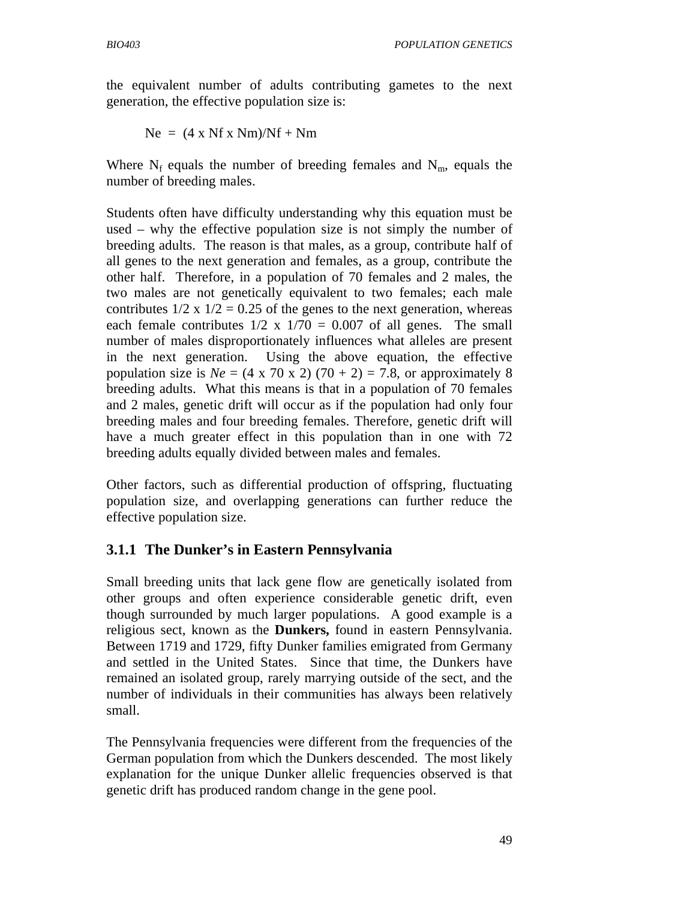the equivalent number of adults contributing gametes to the next generation, the effective population size is:

$$
Ne = (4 \times Nf \times Nm)/Nf + Nm
$$

Where  $N_f$  equals the number of breeding females and  $N_m$ , equals the number of breeding males.

Students often have difficulty understanding why this equation must be used – why the effective population size is not simply the number of breeding adults. The reason is that males, as a group, contribute half of all genes to the next generation and females, as a group, contribute the other half. Therefore, in a population of 70 females and 2 males, the two males are not genetically equivalent to two females; each male contributes  $1/2$  x  $1/2 = 0.25$  of the genes to the next generation, whereas each female contributes  $1/2 \times 1/70 = 0.007$  of all genes. The small number of males disproportionately influences what alleles are present in the next generation. Using the above equation, the effective population size is  $Ne = (4 \times 70 \times 2) (70 + 2) = 7.8$ , or approximately 8 breeding adults. What this means is that in a population of 70 females and 2 males, genetic drift will occur as if the population had only four breeding males and four breeding females. Therefore, genetic drift will have a much greater effect in this population than in one with 72 breeding adults equally divided between males and females.

Other factors, such as differential production of offspring, fluctuating population size, and overlapping generations can further reduce the effective population size.

# **3.1.1 The Dunker's in Eastern Pennsylvania**

Small breeding units that lack gene flow are genetically isolated from other groups and often experience considerable genetic drift, even though surrounded by much larger populations. A good example is a religious sect, known as the **Dunkers,** found in eastern Pennsylvania. Between 1719 and 1729, fifty Dunker families emigrated from Germany and settled in the United States. Since that time, the Dunkers have remained an isolated group, rarely marrying outside of the sect, and the number of individuals in their communities has always been relatively small.

The Pennsylvania frequencies were different from the frequencies of the German population from which the Dunkers descended. The most likely explanation for the unique Dunker allelic frequencies observed is that genetic drift has produced random change in the gene pool.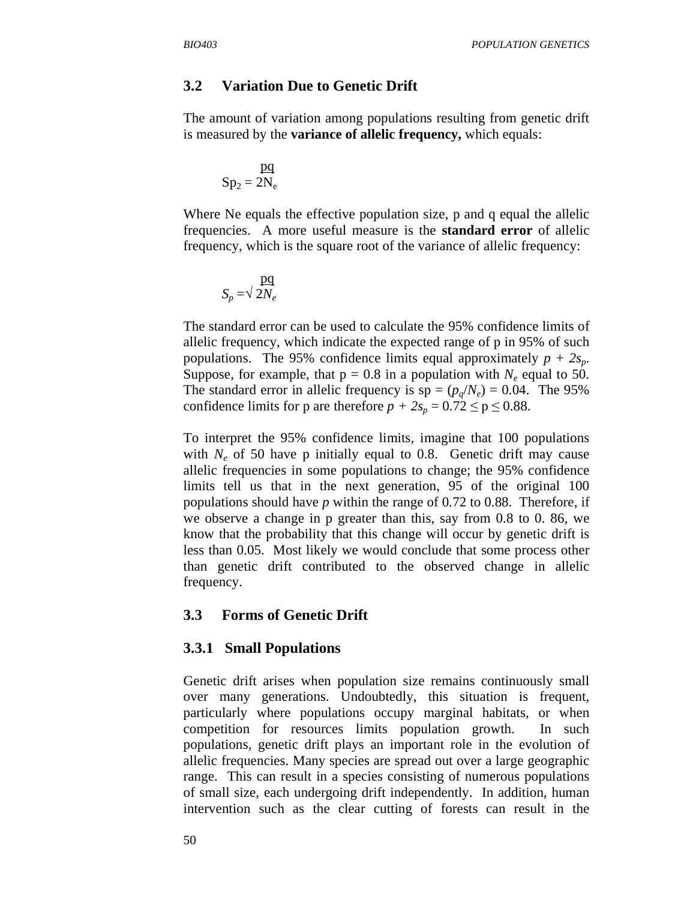#### **3.2 Variation Due to Genetic Drift**

The amount of variation among populations resulting from genetic drift is measured by the **variance of allelic frequency,** which equals:

$$
Sp_2 = \frac{pq}{2N_e}
$$

Where Ne equals the effective population size, p and q equal the allelic frequencies. A more useful measure is the **standard error** of allelic frequency, which is the square root of the variance of allelic frequency:

$$
S_p = \sqrt{\frac{pq}{2N_e}}
$$

The standard error can be used to calculate the 95% confidence limits of allelic frequency, which indicate the expected range of p in 95% of such populations. The 95% confidence limits equal approximately  $p + 2s_p$ . Suppose, for example, that  $p = 0.8$  in a population with  $N_e$  equal to 50. The standard error in allelic frequency is  $sp = (p_a/N_e) = 0.04$ . The 95% confidence limits for p are therefore  $p + 2s_p = 0.72 \le p \le 0.88$ .

To interpret the 95% confidence limits, imagine that 100 populations with  $N_e$  of 50 have p initially equal to 0.8. Genetic drift may cause allelic frequencies in some populations to change; the 95% confidence limits tell us that in the next generation, 95 of the original 100 populations should have *p* within the range of 0.72 to 0.88. Therefore, if we observe a change in p greater than this, say from 0.8 to 0. 86, we know that the probability that this change will occur by genetic drift is less than 0.05. Most likely we would conclude that some process other than genetic drift contributed to the observed change in allelic frequency.

#### **3.3 Forms of Genetic Drift**

#### **3.3.1 Small Populations**

Genetic drift arises when population size remains continuously small over many generations. Undoubtedly, this situation is frequent, particularly where populations occupy marginal habitats, or when competition for resources limits population growth. In such populations, genetic drift plays an important role in the evolution of allelic frequencies. Many species are spread out over a large geographic range. This can result in a species consisting of numerous populations of small size, each undergoing drift independently. In addition, human intervention such as the clear cutting of forests can result in the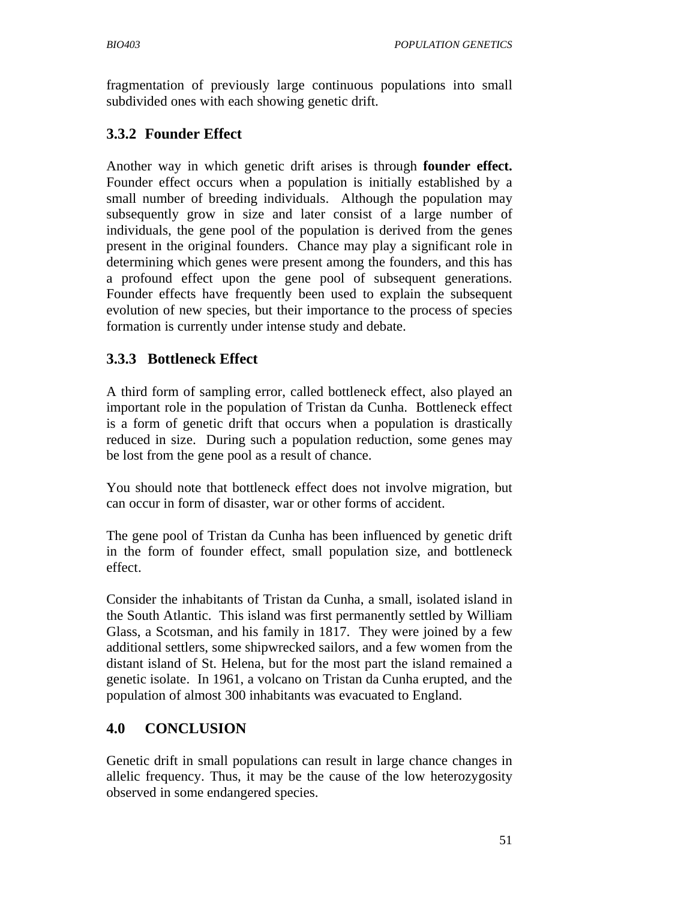fragmentation of previously large continuous populations into small subdivided ones with each showing genetic drift.

## **3.3.2 Founder Effect**

Another way in which genetic drift arises is through **founder effect.**  Founder effect occurs when a population is initially established by a small number of breeding individuals. Although the population may subsequently grow in size and later consist of a large number of individuals, the gene pool of the population is derived from the genes present in the original founders. Chance may play a significant role in determining which genes were present among the founders, and this has a profound effect upon the gene pool of subsequent generations. Founder effects have frequently been used to explain the subsequent evolution of new species, but their importance to the process of species formation is currently under intense study and debate.

## **3.3.3 Bottleneck Effect**

A third form of sampling error, called bottleneck effect, also played an important role in the population of Tristan da Cunha. Bottleneck effect is a form of genetic drift that occurs when a population is drastically reduced in size. During such a population reduction, some genes may be lost from the gene pool as a result of chance.

You should note that bottleneck effect does not involve migration, but can occur in form of disaster, war or other forms of accident.

The gene pool of Tristan da Cunha has been influenced by genetic drift in the form of founder effect, small population size, and bottleneck effect.

Consider the inhabitants of Tristan da Cunha, a small, isolated island in the South Atlantic. This island was first permanently settled by William Glass, a Scotsman, and his family in 1817. They were joined by a few additional settlers, some shipwrecked sailors, and a few women from the distant island of St. Helena, but for the most part the island remained a genetic isolate. In 1961, a volcano on Tristan da Cunha erupted, and the population of almost 300 inhabitants was evacuated to England.

# **4.0 CONCLUSION**

Genetic drift in small populations can result in large chance changes in allelic frequency. Thus, it may be the cause of the low heterozygosity observed in some endangered species.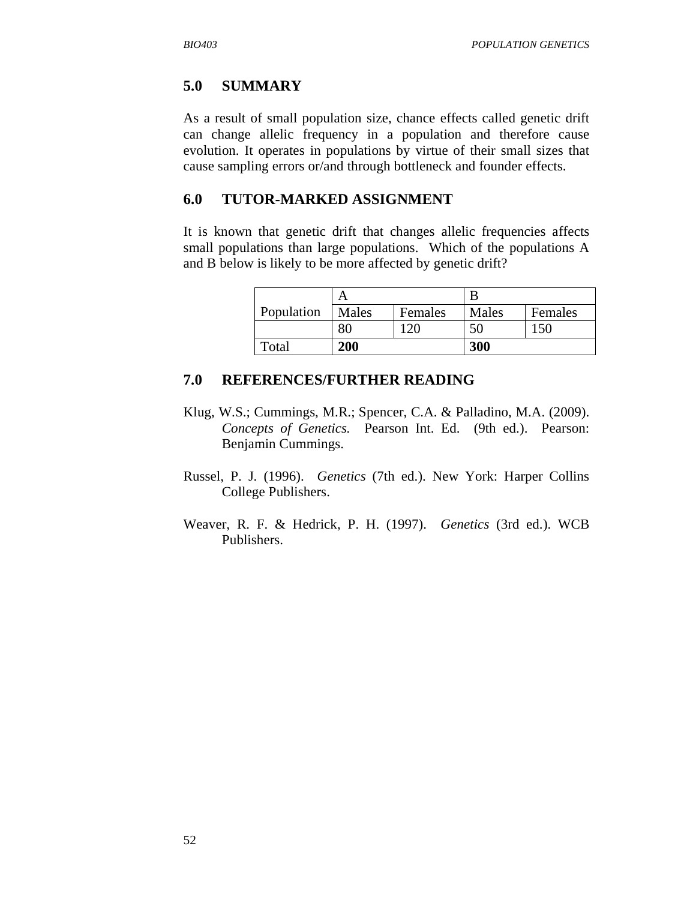## **5.0 SUMMARY**

As a result of small population size, chance effects called genetic drift can change allelic frequency in a population and therefore cause evolution. It operates in populations by virtue of their small sizes that cause sampling errors or/and through bottleneck and founder effects.

## **6.0 TUTOR-MARKED ASSIGNMENT**

It is known that genetic drift that changes allelic frequencies affects small populations than large populations. Which of the populations A and B below is likely to be more affected by genetic drift?

|            |       |          | B     |         |
|------------|-------|----------|-------|---------|
| Population | Males | Females  | Males | Females |
|            | 80    | $\gamma$ |       | 150     |
| Total      | 200   |          | 300   |         |

- Klug, W.S.; Cummings, M.R.; Spencer, C.A. & Palladino, M.A. (2009). *Concepts of Genetics.* Pearson Int. Ed. (9th ed.). Pearson: Benjamin Cummings.
- Russel, P. J. (1996). *Genetics* (7th ed.). New York: Harper Collins College Publishers.
- Weaver, R. F. & Hedrick, P. H. (1997). *Genetics* (3rd ed.). WCB Publishers.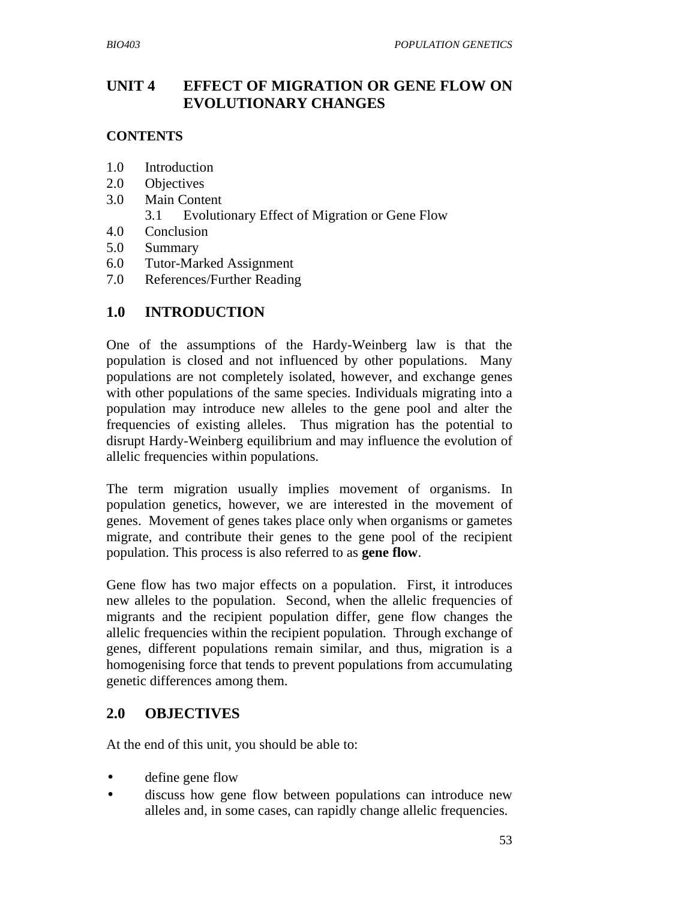## **UNIT 4 EFFECT OF MIGRATION OR GENE FLOW ON EVOLUTIONARY CHANGES**

### **CONTENTS**

- 1.0 Introduction
- 2.0 Objectives
- 3.0 Main Content
	- 3.1 Evolutionary Effect of Migration or Gene Flow
- 4.0 Conclusion
- 5.0 Summary
- 6.0 Tutor-Marked Assignment
- 7.0 References/Further Reading

# **1.0 INTRODUCTION**

One of the assumptions of the Hardy-Weinberg law is that the population is closed and not influenced by other populations. Many populations are not completely isolated, however, and exchange genes with other populations of the same species. Individuals migrating into a population may introduce new alleles to the gene pool and alter the frequencies of existing alleles. Thus migration has the potential to disrupt Hardy-Weinberg equilibrium and may influence the evolution of allelic frequencies within populations.

The term migration usually implies movement of organisms. In population genetics, however, we are interested in the movement of genes. Movement of genes takes place only when organisms or gametes migrate, and contribute their genes to the gene pool of the recipient population. This process is also referred to as **gene flow**.

Gene flow has two major effects on a population. First, it introduces new alleles to the population. Second, when the allelic frequencies of migrants and the recipient population differ, gene flow changes the allelic frequencies within the recipient population. Through exchange of genes, different populations remain similar, and thus, migration is a homogenising force that tends to prevent populations from accumulating genetic differences among them.

## **2.0 OBJECTIVES**

At the end of this unit, you should be able to:

- define gene flow
- discuss how gene flow between populations can introduce new alleles and, in some cases, can rapidly change allelic frequencies.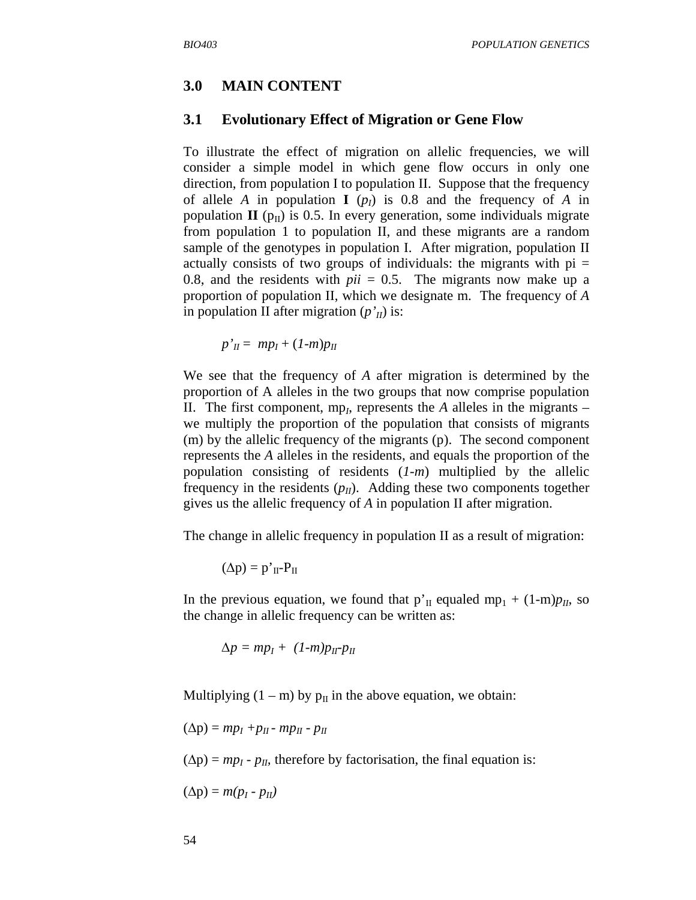#### **3.0 MAIN CONTENT**

#### **3.1 Evolutionary Effect of Migration or Gene Flow**

To illustrate the effect of migration on allelic frequencies, we will consider a simple model in which gene flow occurs in only one direction, from population I to population II. Suppose that the frequency of allele *A* in population **I**  $(p_i)$  is 0.8 and the frequency of *A* in population **II** ( $p_{\text{II}}$ ) is 0.5. In every generation, some individuals migrate from population 1 to population II, and these migrants are a random sample of the genotypes in population I. After migration, population II actually consists of two groups of individuals: the migrants with  $pi =$ 0.8, and the residents with  $pi = 0.5$ . The migrants now make up a proportion of population II, which we designate m. The frequency of *A* in population II after migration  $(p'_n)$  is:

 $p'_{II} = mp_I + (1-m)p_{II}$ 

We see that the frequency of *A* after migration is determined by the proportion of A alleles in the two groups that now comprise population II. The first component, mp<sub>*I*</sub>, represents the  $A$  alleles in the migrants – we multiply the proportion of the population that consists of migrants (m) by the allelic frequency of the migrants (p). The second component represents the *A* alleles in the residents, and equals the proportion of the population consisting of residents (*1-m*) multiplied by the allelic frequency in the residents  $(p_{II})$ . Adding these two components together gives us the allelic frequency of *A* in population II after migration.

The change in allelic frequency in population II as a result of migration:

$$
(\Delta p) = p'_{II} - P_{II}
$$

In the previous equation, we found that  $p'_I$  equaled mp<sub>1</sub> + (1-m) $p_{II}$ , so the change in allelic frequency can be written as:

$$
\Delta p = m p_I + (1-m) p_{II} \cdot p_{II}
$$

Multiplying  $(1 - m)$  by  $p_{II}$  in the above equation, we obtain:

 $(\Delta p) = mp_I + p_{II} - mp_{II} - p_{II}$  $(\Delta p) = mp_I - p_I$ , therefore by factorisation, the final equation is:  $(\Delta p) = m(p_I - p_{II})$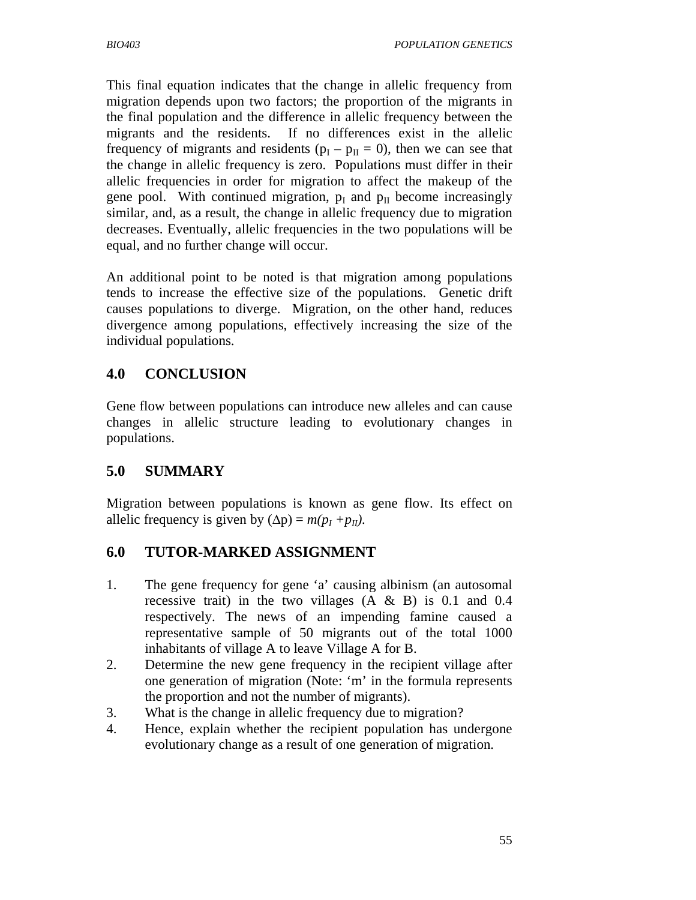This final equation indicates that the change in allelic frequency from migration depends upon two factors; the proportion of the migrants in the final population and the difference in allelic frequency between the migrants and the residents. If no differences exist in the allelic frequency of migrants and residents  $(p_I - p_{II} = 0)$ , then we can see that the change in allelic frequency is zero. Populations must differ in their allelic frequencies in order for migration to affect the makeup of the gene pool. With continued migration,  $p_I$  and  $p_{II}$  become increasingly similar, and, as a result, the change in allelic frequency due to migration decreases. Eventually, allelic frequencies in the two populations will be equal, and no further change will occur.

An additional point to be noted is that migration among populations tends to increase the effective size of the populations. Genetic drift causes populations to diverge. Migration, on the other hand, reduces divergence among populations, effectively increasing the size of the individual populations.

# **4.0 CONCLUSION**

Gene flow between populations can introduce new alleles and can cause changes in allelic structure leading to evolutionary changes in populations.

# **5.0 SUMMARY**

Migration between populations is known as gene flow. Its effect on allelic frequency is given by  $(∆p) = m(p<sub>I</sub> + p<sub>II</sub>)$ .

# **6.0 TUTOR-MARKED ASSIGNMENT**

- 1. The gene frequency for gene 'a' causing albinism (an autosomal recessive trait) in the two villages  $(A \& B)$  is 0.1 and 0.4 respectively. The news of an impending famine caused a representative sample of 50 migrants out of the total 1000 inhabitants of village A to leave Village A for B.
- 2. Determine the new gene frequency in the recipient village after one generation of migration (Note: 'm' in the formula represents the proportion and not the number of migrants).
- 3. What is the change in allelic frequency due to migration?
- 4. Hence, explain whether the recipient population has undergone evolutionary change as a result of one generation of migration.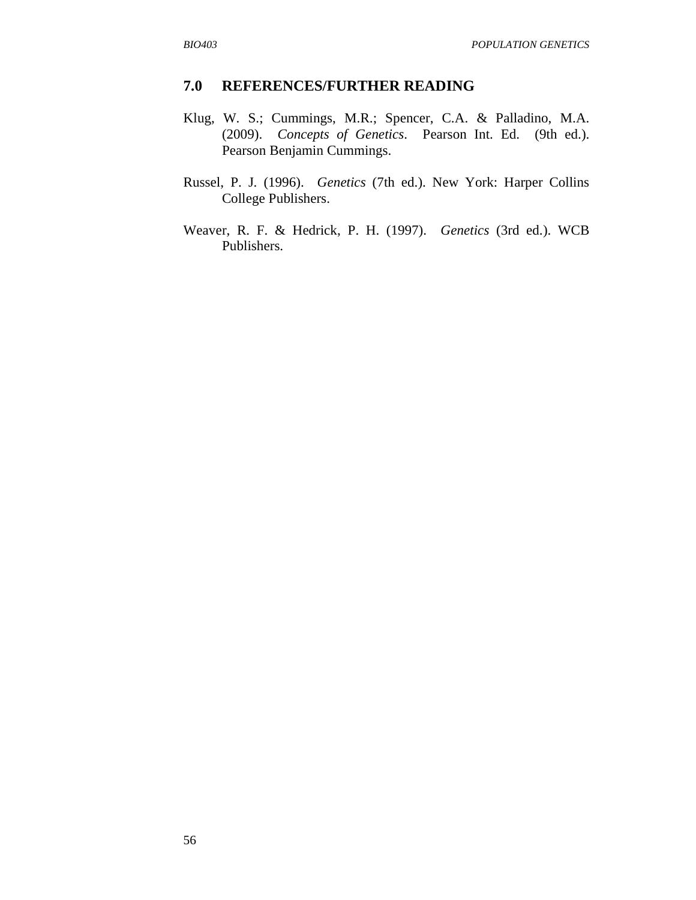- Klug, W. S.; Cummings, M.R.; Spencer, C.A. & Palladino, M.A. (2009). *Concepts of Genetics*. Pearson Int. Ed. (9th ed.). Pearson Benjamin Cummings.
- Russel, P. J. (1996). *Genetics* (7th ed.). New York: Harper Collins College Publishers.
- Weaver, R. F. & Hedrick, P. H. (1997). *Genetics* (3rd ed.). WCB Publishers.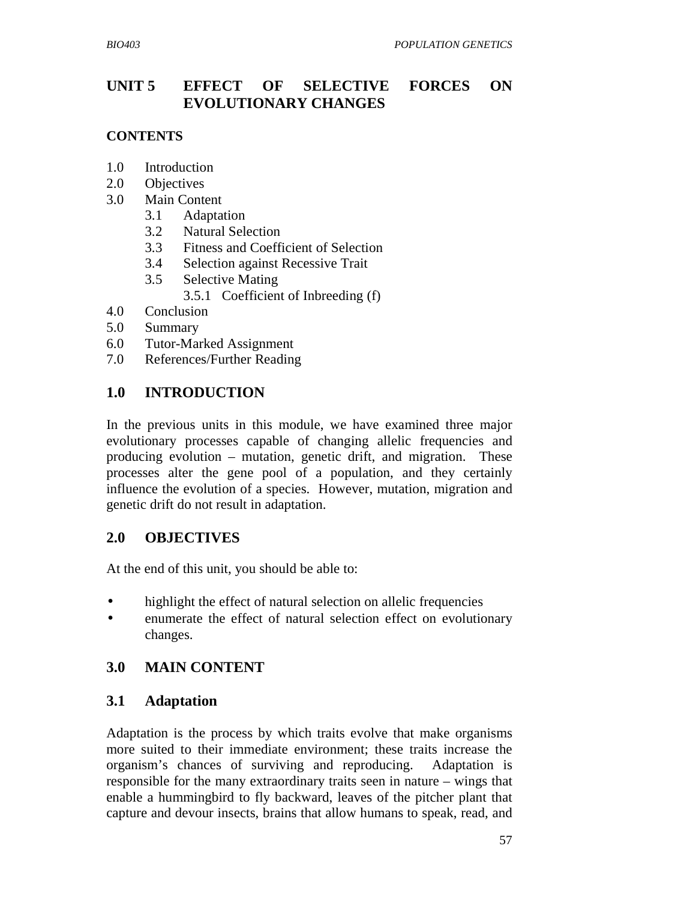## **UNIT 5 EFFECT OF SELECTIVE FORCES ON EVOLUTIONARY CHANGES**

#### **CONTENTS**

- 1.0 Introduction
- 2.0 Objectives
- 3.0 Main Content
	- 3.1 Adaptation
	- 3.2 Natural Selection
	- 3.3 Fitness and Coefficient of Selection
	- 3.4 Selection against Recessive Trait
	- 3.5 Selective Mating
		- 3.5.1 Coefficient of Inbreeding (f)
- 4.0 Conclusion
- 5.0 Summary
- 6.0 Tutor-Marked Assignment
- 7.0 References/Further Reading

## **1.0 INTRODUCTION**

In the previous units in this module, we have examined three major evolutionary processes capable of changing allelic frequencies and producing evolution – mutation, genetic drift, and migration. These processes alter the gene pool of a population, and they certainly influence the evolution of a species. However, mutation, migration and genetic drift do not result in adaptation.

## **2.0 OBJECTIVES**

At the end of this unit, you should be able to:

- highlight the effect of natural selection on allelic frequencies
- enumerate the effect of natural selection effect on evolutionary changes.

# **3.0 MAIN CONTENT**

## **3.1 Adaptation**

Adaptation is the process by which traits evolve that make organisms more suited to their immediate environment; these traits increase the organism's chances of surviving and reproducing. Adaptation is responsible for the many extraordinary traits seen in nature – wings that enable a hummingbird to fly backward, leaves of the pitcher plant that capture and devour insects, brains that allow humans to speak, read, and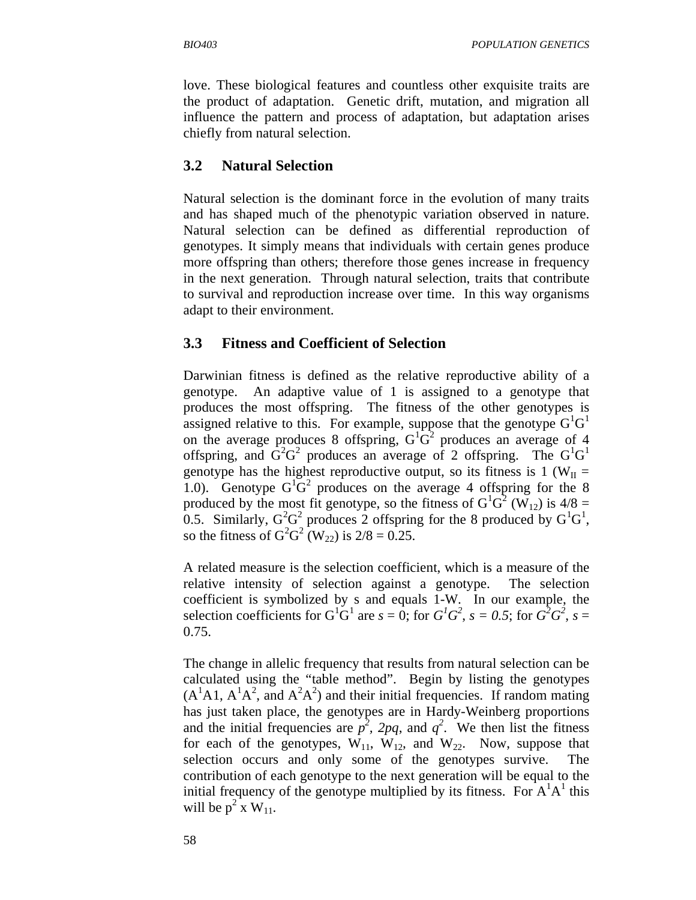love. These biological features and countless other exquisite traits are the product of adaptation. Genetic drift, mutation, and migration all influence the pattern and process of adaptation, but adaptation arises chiefly from natural selection.

## **3.2 Natural Selection**

Natural selection is the dominant force in the evolution of many traits and has shaped much of the phenotypic variation observed in nature. Natural selection can be defined as differential reproduction of genotypes. It simply means that individuals with certain genes produce more offspring than others; therefore those genes increase in frequency in the next generation. Through natural selection, traits that contribute to survival and reproduction increase over time. In this way organisms adapt to their environment.

## **3.3 Fitness and Coefficient of Selection**

Darwinian fitness is defined as the relative reproductive ability of a genotype. An adaptive value of 1 is assigned to a genotype that produces the most offspring. The fitness of the other genotypes is assigned relative to this. For example, suppose that the genotype  $G^1G^1$ on the average produces 8 offspring,  $G^1\overline{G}^2$  produces an average of 4 offspring, and  $\dot{G}^2G^2$  produces an average of 2 offspring. The  $G^1G^1$ genotype has the highest reproductive output, so its fitness is 1 ( $W_{II}$  = 1.0). Genotype  $G^1G^2$  produces on the average 4 offspring for the 8 produced by the most fit genotype, so the fitness of  $G^1G^2$  (W<sub>12</sub>) is  $4/8 =$ 0.5. Similarly,  $G^2G^2$  produces 2 offspring for the 8 produced by  $G^1G^1$ , so the fitness of  $G^2G^2(W_{22})$  is  $2/8 = 0.25$ .

A related measure is the selection coefficient, which is a measure of the relative intensity of selection against a genotype. The selection coefficient is symbolized by s and equals 1-W. In our example, the selection coefficients for  $G^1G^1$  are  $s = 0$ ; for  $G^1G^2$ ,  $s = 0.5$ ; for  $G^2G^2$ ,  $s = 0$ 0.75.

The change in allelic frequency that results from natural selection can be calculated using the "table method". Begin by listing the genotypes  $(A<sup>1</sup>A1, A<sup>1</sup>A<sup>2</sup>,$  and  $A<sup>2</sup>A<sup>2</sup>$ ) and their initial frequencies. If random mating has just taken place, the genotypes are in Hardy-Weinberg proportions and the initial frequencies are  $p^2$ , 2pq, and  $q^2$ . We then list the fitness for each of the genotypes,  $W_{11}$ ,  $W_{12}$ , and  $W_{22}$ . Now, suppose that selection occurs and only some of the genotypes survive. The contribution of each genotype to the next generation will be equal to the initial frequency of the genotype multiplied by its fitness. For  $A<sup>1</sup>A<sup>1</sup>$  this will be  $p^2$  x  $W_{11}$ .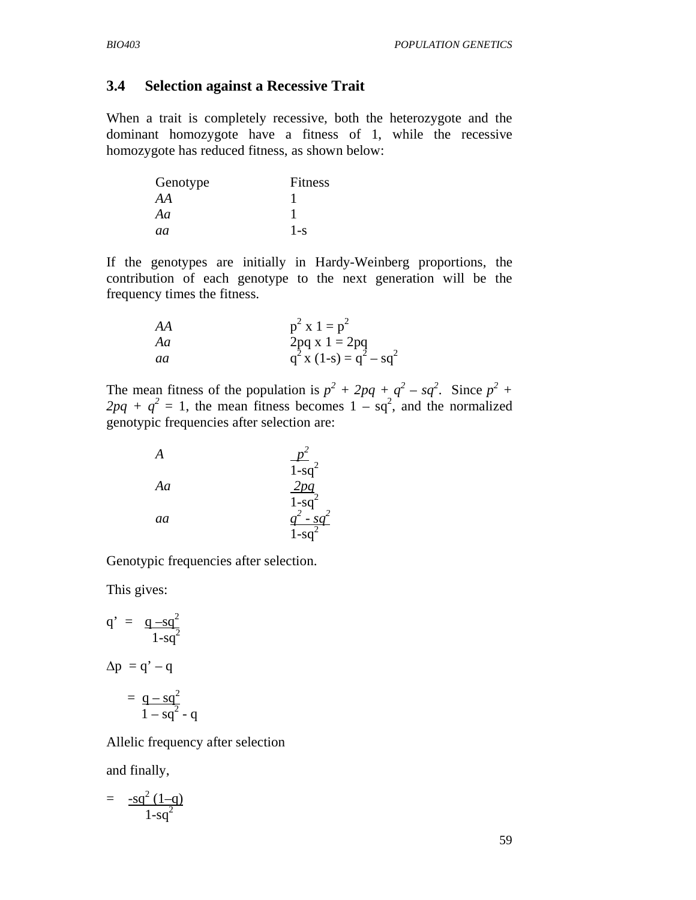# **3.4 Selection against a Recessive Trait**

When a trait is completely recessive, both the heterozygote and the dominant homozygote have a fitness of 1, while the recessive homozygote has reduced fitness, as shown below:

| Genotype | <b>Fitness</b> |
|----------|----------------|
| AA       |                |
| Aa       |                |
| aa       | $1 - s$        |

If the genotypes are initially in Hardy-Weinberg proportions, the contribution of each genotype to the next generation will be the frequency times the fitness.

*AA* p 2 x 1 = p<sup>2</sup> *Aa* 2pq x 1 = 2pq *aa* q <sup>2</sup>x (1-s) = q<sup>2</sup> – sq 2

The mean fitness of the population is  $p^2 + 2pq + q^2 - sq^2$ . Since  $p^2 +$  $2pq + q^2 = 1$ , the mean fitness becomes  $1 - sq^2$ , and the normalized genotypic frequencies after selection are:

A  
\n
$$
\frac{p^2}{1-sq^2}
$$
\nA  
\n
$$
\frac{2pq}{1-sq^2}
$$
\n
$$
\frac{q^2 - sq^2}{1-sq^2}
$$

Genotypic frequencies after selection.

This gives:

$$
q' = \frac{q - sq^2}{1 - sq^2}
$$

$$
\Delta p = q' - q
$$

$$
= \frac{q - sq^2}{1 - sq^2 - q}
$$

Allelic frequency after selection

and finally,

$$
= \frac{-sq^2(1-q)}{1-sq^2}
$$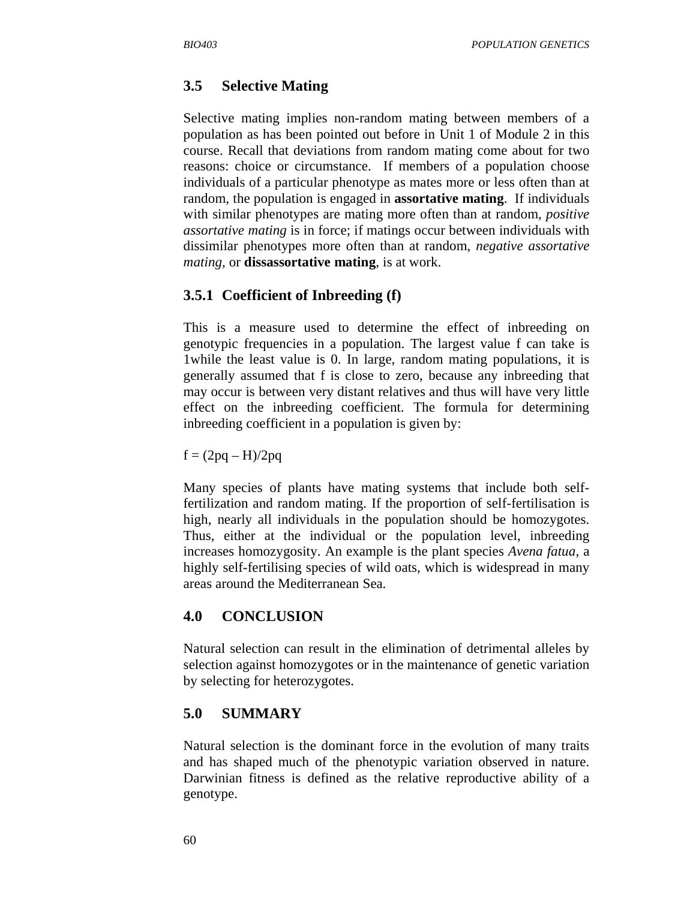# **3.5 Selective Mating**

Selective mating implies non-random mating between members of a population as has been pointed out before in Unit 1 of Module 2 in this course. Recall that deviations from random mating come about for two reasons: choice or circumstance. If members of a population choose individuals of a particular phenotype as mates more or less often than at random, the population is engaged in **assortative mating**. If individuals with similar phenotypes are mating more often than at random, *positive assortative mating* is in force; if matings occur between individuals with dissimilar phenotypes more often than at random, *negative assortative mating,* or **dissassortative mating**, is at work.

# **3.5.1 Coefficient of Inbreeding (f)**

This is a measure used to determine the effect of inbreeding on genotypic frequencies in a population. The largest value f can take is 1while the least value is 0. In large, random mating populations, it is generally assumed that f is close to zero, because any inbreeding that may occur is between very distant relatives and thus will have very little effect on the inbreeding coefficient. The formula for determining inbreeding coefficient in a population is given by:

 $f = (2pq - H)/2pq$ 

Many species of plants have mating systems that include both selffertilization and random mating. If the proportion of self-fertilisation is high, nearly all individuals in the population should be homozygotes. Thus, either at the individual or the population level, inbreeding increases homozygosity. An example is the plant species *Avena fatua*, a highly self-fertilising species of wild oats, which is widespread in many areas around the Mediterranean Sea.

### **4.0 CONCLUSION**

Natural selection can result in the elimination of detrimental alleles by selection against homozygotes or in the maintenance of genetic variation by selecting for heterozygotes.

### **5.0 SUMMARY**

Natural selection is the dominant force in the evolution of many traits and has shaped much of the phenotypic variation observed in nature. Darwinian fitness is defined as the relative reproductive ability of a genotype.